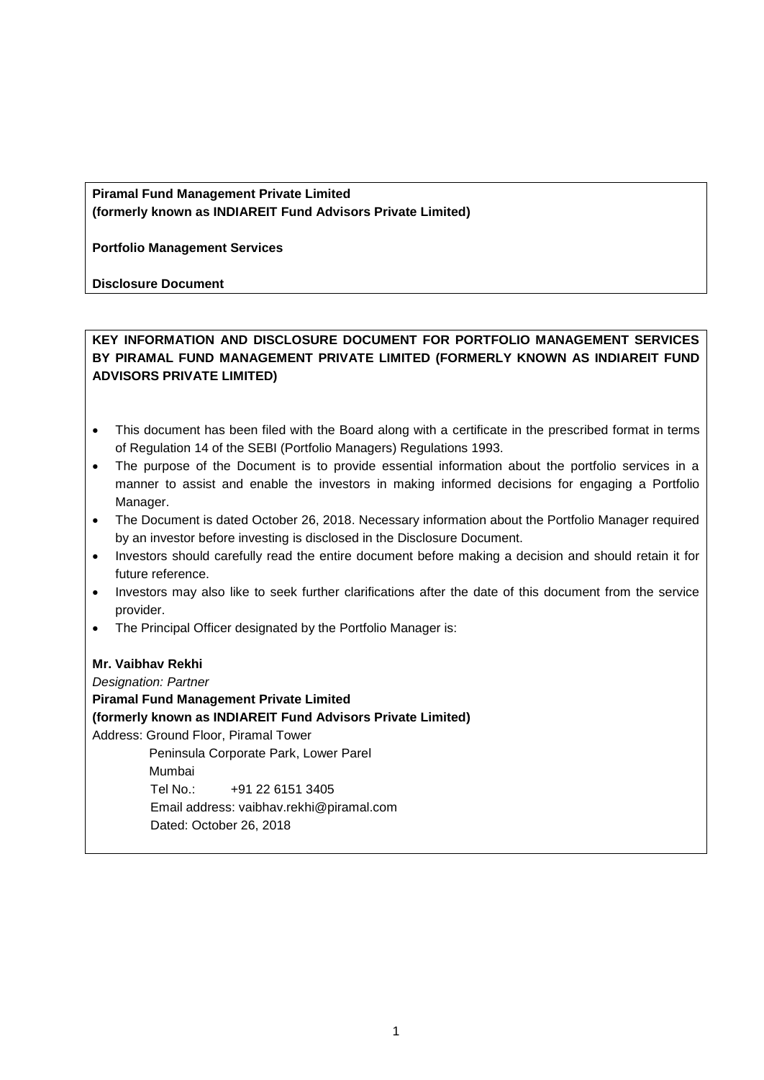# **Piramal Fund Management Private Limited (formerly known as INDIAREIT Fund Advisors Private Limited)**

**Portfolio Management Services**

**Disclosure Document**

# **KEY INFORMATION AND DISCLOSURE DOCUMENT FOR PORTFOLIO MANAGEMENT SERVICES BY PIRAMAL FUND MANAGEMENT PRIVATE LIMITED (FORMERLY KNOWN AS INDIAREIT FUND ADVISORS PRIVATE LIMITED)**

- This document has been filed with the Board along with a certificate in the prescribed format in terms of Regulation 14 of the SEBI (Portfolio Managers) Regulations 1993.
- The purpose of the Document is to provide essential information about the portfolio services in a manner to assist and enable the investors in making informed decisions for engaging a Portfolio Manager.
- The Document is dated October 26, 2018. Necessary information about the Portfolio Manager required by an investor before investing is disclosed in the Disclosure Document.
- Investors should carefully read the entire document before making a decision and should retain it for future reference.
- Investors may also like to seek further clarifications after the date of this document from the service provider.
- The Principal Officer designated by the Portfolio Manager is:

### **Mr. Vaibhav Rekhi**

*Designation: Partner* **Piramal Fund Management Private Limited (formerly known as INDIAREIT Fund Advisors Private Limited)** Address: Ground Floor, Piramal Tower Peninsula Corporate Park, Lower Parel Mumbai Tel No.: +91 22 6151 3405 Email address: vaibhav.rekhi@piramal.com Dated: October 26, 2018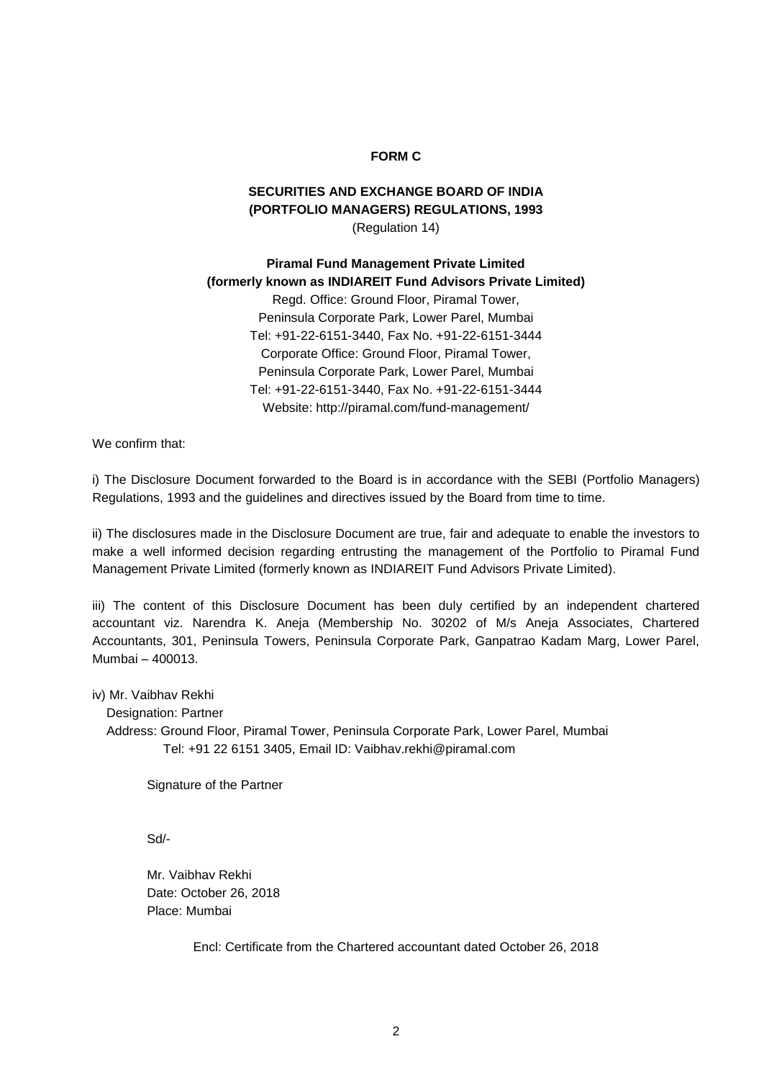#### **FORM C**

# **SECURITIES AND EXCHANGE BOARD OF INDIA (PORTFOLIO MANAGERS) REGULATIONS, 1993** (Regulation 14)

**Piramal Fund Management Private Limited (formerly known as INDIAREIT Fund Advisors Private Limited)** Regd. Office: Ground Floor, Piramal Tower, Peninsula Corporate Park, Lower Parel, Mumbai Tel: +91-22-6151-3440, Fax No. +91-22-6151-3444 Corporate Office: Ground Floor, Piramal Tower, Peninsula Corporate Park, Lower Parel, Mumbai Tel: +91-22-6151-3440, Fax No. +91-22-6151-3444 Website: http://piramal.com/fund-management/

We confirm that:

i) The Disclosure Document forwarded to the Board is in accordance with the SEBI (Portfolio Managers) Regulations, 1993 and the guidelines and directives issued by the Board from time to time.

ii) The disclosures made in the Disclosure Document are true, fair and adequate to enable the investors to make a well informed decision regarding entrusting the management of the Portfolio to Piramal Fund Management Private Limited (formerly known as INDIAREIT Fund Advisors Private Limited).

iii) The content of this Disclosure Document has been duly certified by an independent chartered accountant viz. Narendra K. Aneja (Membership No. 30202 of M/s Aneja Associates, Chartered Accountants, 301, Peninsula Towers, Peninsula Corporate Park, Ganpatrao Kadam Marg, Lower Parel, Mumbai – 400013.

iv) Mr. Vaibhav Rekhi

Designation: Partner

 Address: Ground Floor, Piramal Tower, Peninsula Corporate Park, Lower Parel, Mumbai Tel: +91 22 6151 3405, Email ID: Vaibhav.rekhi@piramal.com

Signature of the Partner

Sd/-

Mr. Vaibhav Rekhi Date: October 26, 2018 Place: Mumbai

Encl: Certificate from the Chartered accountant dated October 26, 2018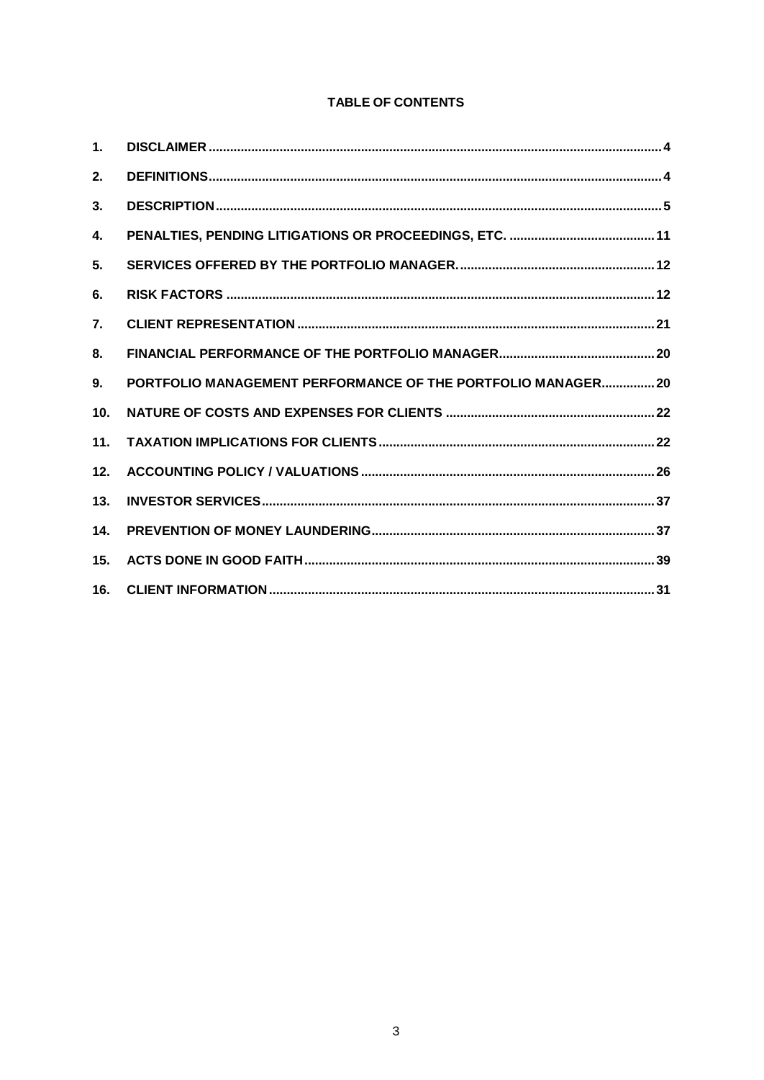# **TABLE OF CONTENTS**

| 1.               |                                                              |  |
|------------------|--------------------------------------------------------------|--|
| 2.               |                                                              |  |
| 3.               |                                                              |  |
| 4.               |                                                              |  |
| 5.               |                                                              |  |
| 6.               |                                                              |  |
| $\overline{7}$ . |                                                              |  |
| 8.               |                                                              |  |
| 9.               | PORTFOLIO MANAGEMENT PERFORMANCE OF THE PORTFOLIO MANAGER 20 |  |
| 10.              |                                                              |  |
| 11.              |                                                              |  |
| 12.              |                                                              |  |
| 13.              |                                                              |  |
| 14.              |                                                              |  |
| 15.              |                                                              |  |
| 16.              |                                                              |  |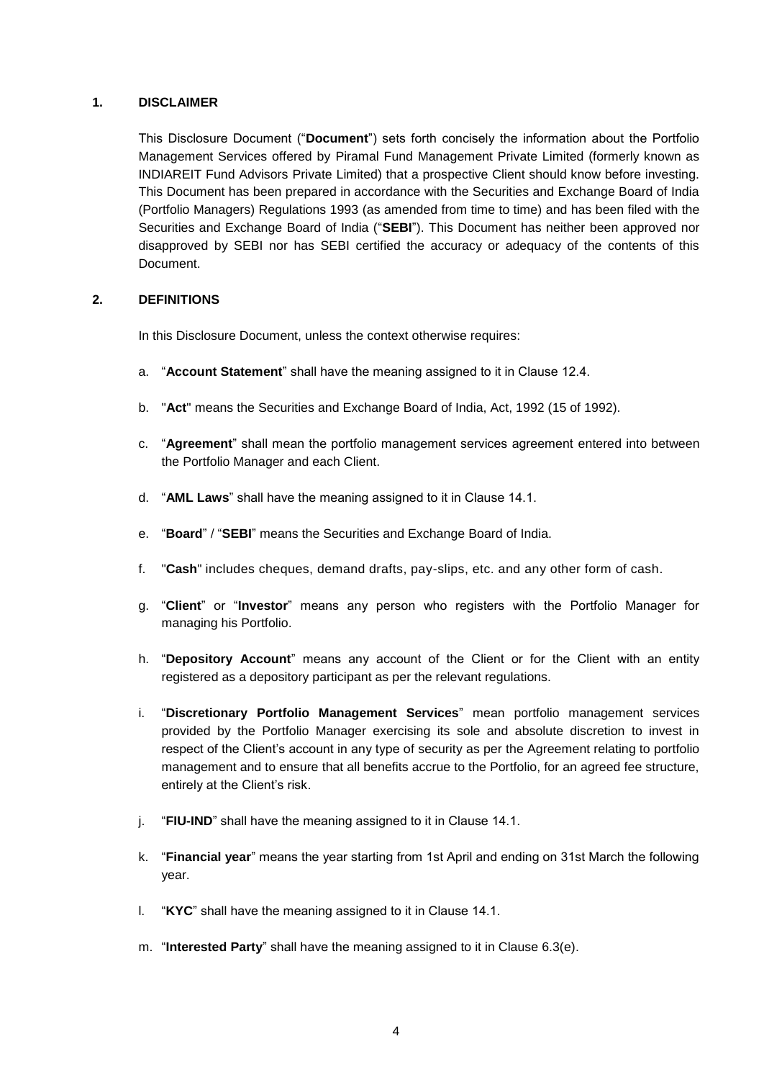### **1. DISCLAIMER**

This Disclosure Document ("**Document**") sets forth concisely the information about the Portfolio Management Services offered by Piramal Fund Management Private Limited (formerly known as INDIAREIT Fund Advisors Private Limited) that a prospective Client should know before investing. This Document has been prepared in accordance with the Securities and Exchange Board of India (Portfolio Managers) Regulations 1993 (as amended from time to time) and has been filed with the Securities and Exchange Board of India ("**SEBI**"). This Document has neither been approved nor disapproved by SEBI nor has SEBI certified the accuracy or adequacy of the contents of this Document.

### **2. DEFINITIONS**

In this Disclosure Document, unless the context otherwise requires:

- a. "**Account Statement**" shall have the meaning assigned to it in Clause 12.4.
- b. "**Act**" means the Securities and Exchange Board of India, Act, 1992 (15 of 1992).
- c. "**Agreement**" shall mean the portfolio management services agreement entered into between the Portfolio Manager and each Client.
- d. "**AML Laws**" shall have the meaning assigned to it in Clause 14.1.
- e. "**Board**" / "**SEBI**" means the Securities and Exchange Board of India.
- f. "**Cash**" includes cheques, demand drafts, pay-slips, etc. and any other form of cash.
- g. "**Client**" or "**Investor**" means any person who registers with the Portfolio Manager for managing his Portfolio.
- h. "**Depository Account**" means any account of the Client or for the Client with an entity registered as a depository participant as per the relevant regulations.
- i. "**Discretionary Portfolio Management Services**" mean portfolio management services provided by the Portfolio Manager exercising its sole and absolute discretion to invest in respect of the Client's account in any type of security as per the Agreement relating to portfolio management and to ensure that all benefits accrue to the Portfolio, for an agreed fee structure, entirely at the Client's risk.
- j. "**FIU-IND**" shall have the meaning assigned to it in Clause 14.1.
- k. "**Financial year**" means the year starting from 1st April and ending on 31st March the following year.
- l. "**KYC**" shall have the meaning assigned to it in Clause 14.1.
- m. "**Interested Party**" shall have the meaning assigned to it in Clause 6.3(e).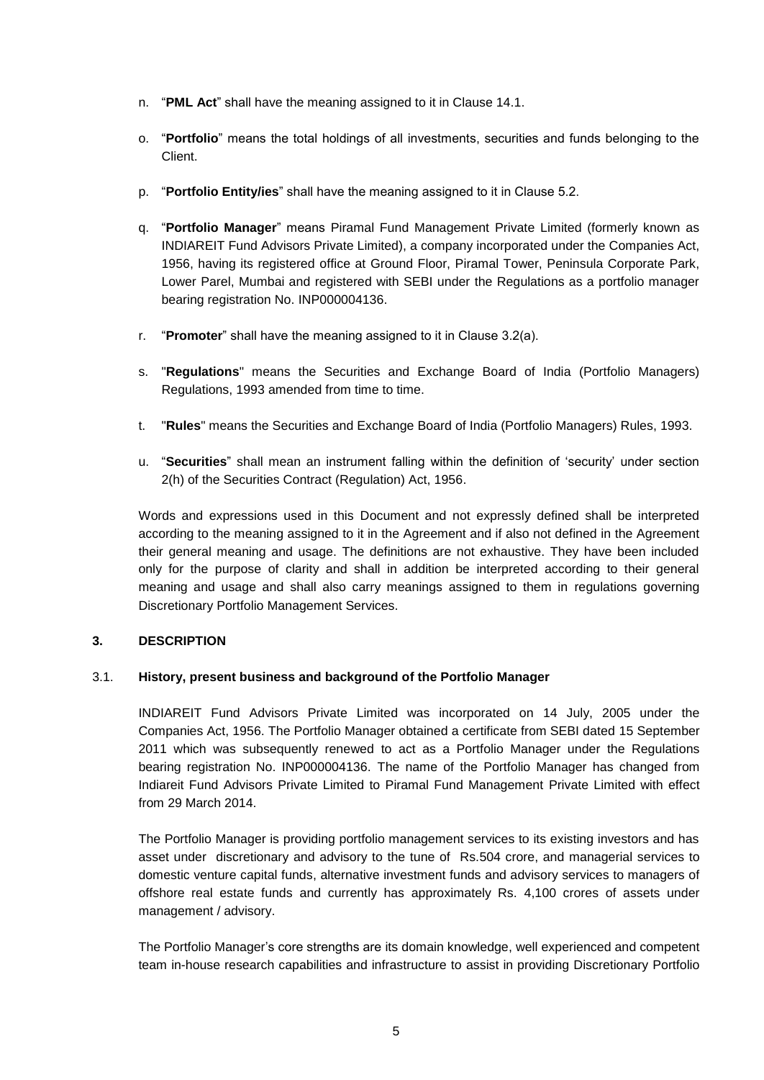- n. "**PML Act**" shall have the meaning assigned to it in Clause 14.1.
- o. "**Portfolio**" means the total holdings of all investments, securities and funds belonging to the Client.
- p. "**Portfolio Entity/ies**" shall have the meaning assigned to it in Clause 5.2.
- q. "**Portfolio Manager**" means Piramal Fund Management Private Limited (formerly known as INDIAREIT Fund Advisors Private Limited), a company incorporated under the Companies Act, 1956, having its registered office at Ground Floor, Piramal Tower, Peninsula Corporate Park, Lower Parel, Mumbai and registered with SEBI under the Regulations as a portfolio manager bearing registration No. INP000004136.
- r. "**Promoter**" shall have the meaning assigned to it in Clause 3.2(a).
- s. "**Regulations**" means the Securities and Exchange Board of India (Portfolio Managers) Regulations, 1993 amended from time to time.
- t. "**Rules**" means the Securities and Exchange Board of India (Portfolio Managers) Rules, 1993.
- u. "**Securities**" shall mean an instrument falling within the definition of 'security' under section 2(h) of the Securities Contract (Regulation) Act, 1956.

Words and expressions used in this Document and not expressly defined shall be interpreted according to the meaning assigned to it in the Agreement and if also not defined in the Agreement their general meaning and usage. The definitions are not exhaustive. They have been included only for the purpose of clarity and shall in addition be interpreted according to their general meaning and usage and shall also carry meanings assigned to them in regulations governing Discretionary Portfolio Management Services.

### **3. DESCRIPTION**

### 3.1. **History, present business and background of the Portfolio Manager**

INDIAREIT Fund Advisors Private Limited was incorporated on 14 July, 2005 under the Companies Act, 1956. The Portfolio Manager obtained a certificate from SEBI dated 15 September 2011 which was subsequently renewed to act as a Portfolio Manager under the Regulations bearing registration No. INP000004136. The name of the Portfolio Manager has changed from Indiareit Fund Advisors Private Limited to Piramal Fund Management Private Limited with effect from 29 March 2014.

The Portfolio Manager is providing portfolio management services to its existing investors and has asset under discretionary and advisory to the tune of Rs.504 crore, and managerial services to domestic venture capital funds, alternative investment funds and advisory services to managers of offshore real estate funds and currently has approximately Rs. 4,100 crores of assets under management / advisory.

The Portfolio Manager's core strengths are its domain knowledge, well experienced and competent team in-house research capabilities and infrastructure to assist in providing Discretionary Portfolio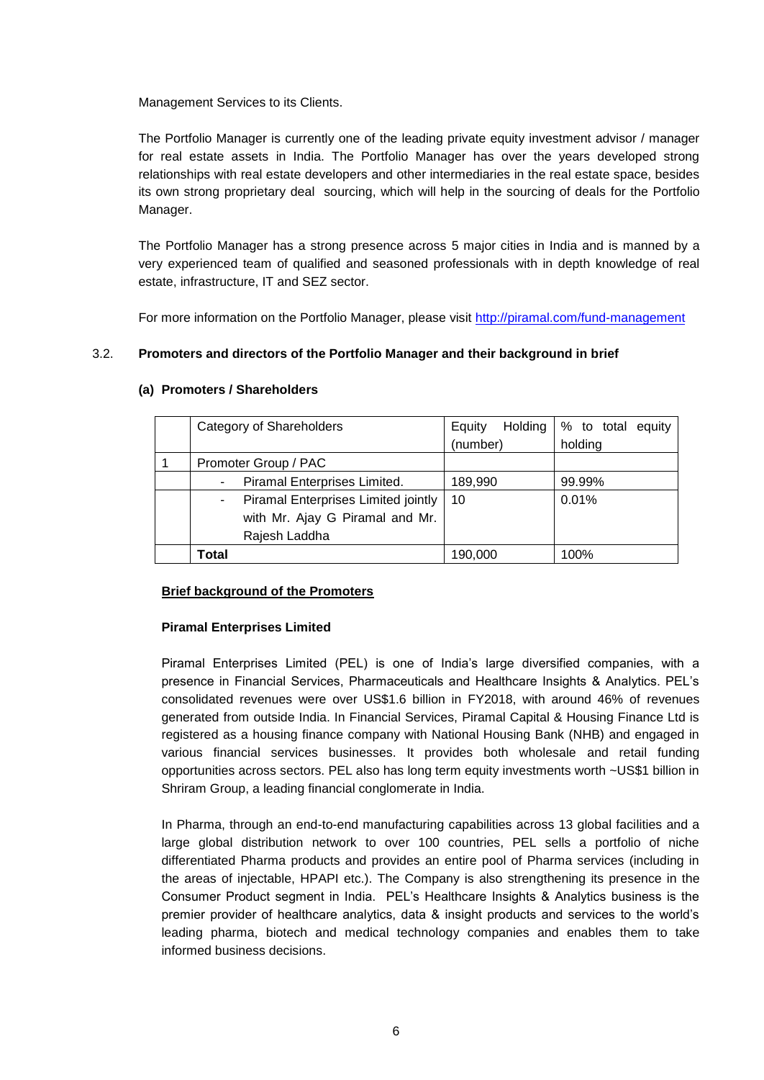Management Services to its Clients.

The Portfolio Manager is currently one of the leading private equity investment advisor / manager for real estate assets in India. The Portfolio Manager has over the years developed strong relationships with real estate developers and other intermediaries in the real estate space, besides its own strong proprietary deal sourcing, which will help in the sourcing of deals for the Portfolio Manager.

The Portfolio Manager has a strong presence across 5 major cities in India and is manned by a very experienced team of qualified and seasoned professionals with in depth knowledge of real estate, infrastructure, IT and SEZ sector.

For more information on the Portfolio Manager, please visit http://piramal.com/fund-management

# 3.2. **Promoters and directors of the Portfolio Manager and their background in brief**

| Category of Shareholders                                          | Holding  <br>Equity | % to total equity |
|-------------------------------------------------------------------|---------------------|-------------------|
|                                                                   | (number)            | holding           |
| Promoter Group / PAC                                              |                     |                   |
| Piramal Enterprises Limited.                                      | 189,990             | 99.99%            |
| Piramal Enterprises Limited jointly  <br>$\overline{\phantom{a}}$ | 10                  | 0.01%             |
| with Mr. Ajay G Piramal and Mr.                                   |                     |                   |
| Rajesh Laddha                                                     |                     |                   |
| Total                                                             | 190,000             | 100%              |

### **(a) Promoters / Shareholders**

# **Brief background of the Promoters**

# **Piramal Enterprises Limited**

Piramal Enterprises Limited (PEL) is one of India's large diversified companies, with a presence in Financial Services, Pharmaceuticals and Healthcare Insights & Analytics. PEL's consolidated revenues were over US\$1.6 billion in FY2018, with around 46% of revenues generated from outside India. In Financial Services, Piramal Capital & Housing Finance Ltd is registered as a housing finance company with National Housing Bank (NHB) and engaged in various financial services businesses. It provides both wholesale and retail funding opportunities across sectors. PEL also has long term equity investments worth ~US\$1 billion in Shriram Group, a leading financial conglomerate in India.

In Pharma, through an end-to-end manufacturing capabilities across 13 global facilities and a large global distribution network to over 100 countries, PEL sells a portfolio of niche differentiated Pharma products and provides an entire pool of Pharma services (including in the areas of injectable, HPAPI etc.). The Company is also strengthening its presence in the Consumer Product segment in India. PEL's Healthcare Insights & Analytics business is the premier provider of healthcare analytics, data & insight products and services to the world's leading pharma, biotech and medical technology companies and enables them to take informed business decisions.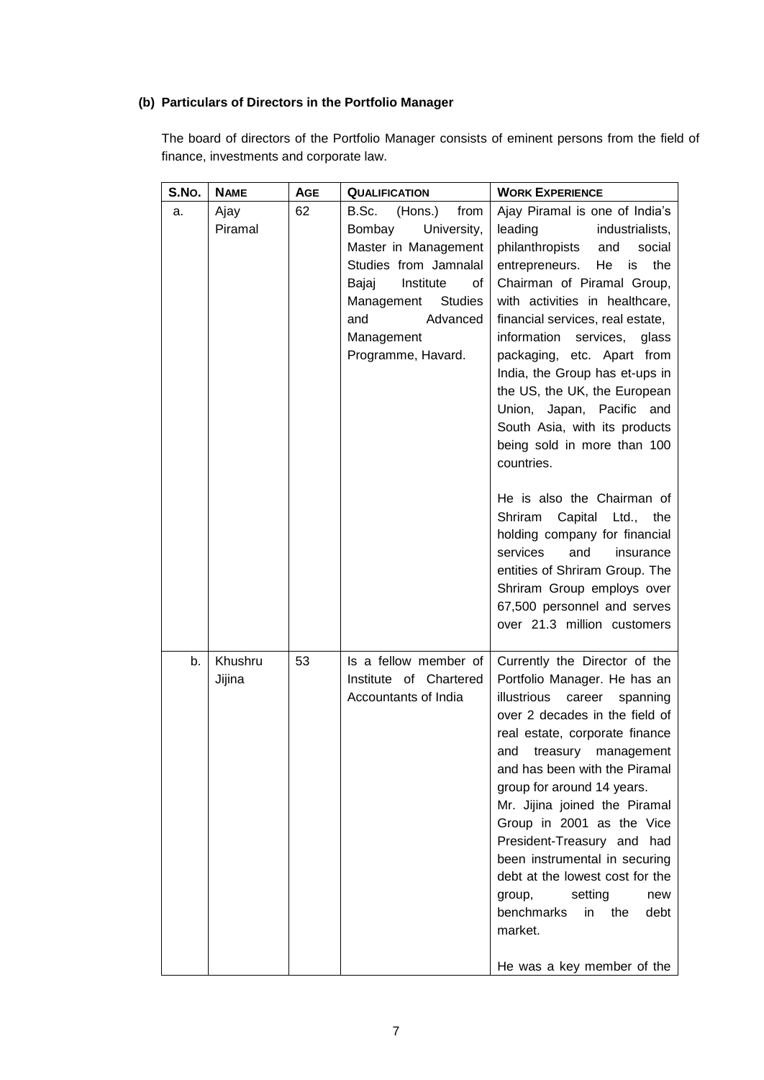# **(b) Particulars of Directors in the Portfolio Manager**

The board of directors of the Portfolio Manager consists of eminent persons from the field of finance, investments and corporate law.

| S.No. | <b>NAME</b>       | <b>AGE</b> | <b>QUALIFICATION</b>                                                                                                                                                                                                  | <b>WORK EXPERIENCE</b>                                                                                                                                                                                                                                                                                                                                                                                                                                                                                                                                                                                                                                                                                                                                 |
|-------|-------------------|------------|-----------------------------------------------------------------------------------------------------------------------------------------------------------------------------------------------------------------------|--------------------------------------------------------------------------------------------------------------------------------------------------------------------------------------------------------------------------------------------------------------------------------------------------------------------------------------------------------------------------------------------------------------------------------------------------------------------------------------------------------------------------------------------------------------------------------------------------------------------------------------------------------------------------------------------------------------------------------------------------------|
| a.    | Ajay<br>Piramal   | 62         | (Hons.)<br>B.Sc.<br>from<br>Bombay<br>University,<br>Master in Management<br>Studies from Jamnalal<br>Institute<br>Bajaj<br>οf<br><b>Studies</b><br>Management<br>and<br>Advanced<br>Management<br>Programme, Havard. | Ajay Piramal is one of India's<br>leading<br>industrialists,<br>philanthropists<br>and<br>social<br>entrepreneurs.<br>He<br>is<br>the<br>Chairman of Piramal Group,<br>with activities in healthcare,<br>financial services, real estate,<br>information<br>services,<br>glass<br>packaging, etc. Apart from<br>India, the Group has et-ups in<br>the US, the UK, the European<br>Union, Japan, Pacific and<br>South Asia, with its products<br>being sold in more than 100<br>countries.<br>He is also the Chairman of<br>Shriram<br>Capital Ltd., the<br>holding company for financial<br>services<br>and<br>insurance<br>entities of Shriram Group. The<br>Shriram Group employs over<br>67,500 personnel and serves<br>over 21.3 million customers |
| b.    | Khushru<br>Jijina | 53         | Is a fellow member of<br>Institute of Chartered<br>Accountants of India                                                                                                                                               | Currently the Director of the<br>Portfolio Manager. He has an<br>illustrious<br>career<br>spanning<br>over 2 decades in the field of<br>real estate, corporate finance<br>and<br>treasury management<br>and has been with the Piramal<br>group for around 14 years.<br>Mr. Jijina joined the Piramal<br>Group in 2001 as the Vice<br>President-Treasury and had<br>been instrumental in securing<br>debt at the lowest cost for the<br>setting<br>new<br>group,<br>benchmarks<br>in the<br>debt<br>market.<br>He was a key member of the                                                                                                                                                                                                               |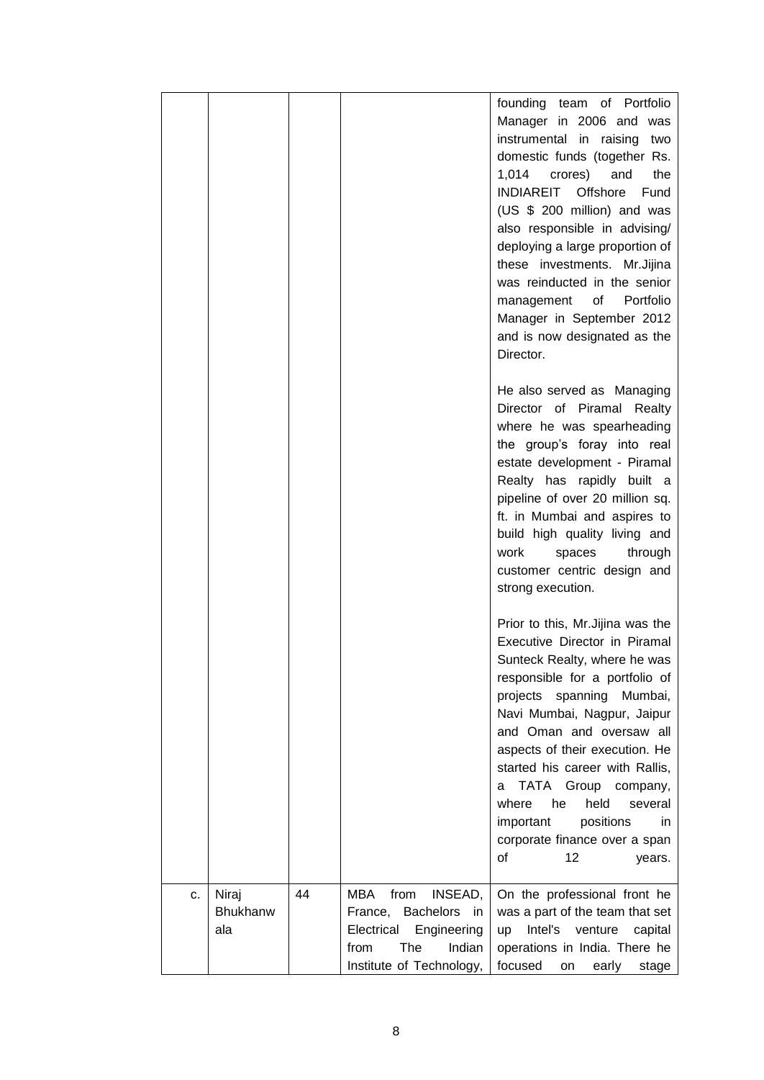|    |                          |    |                                                                                                                                  | founding team of Portfolio<br>Manager in 2006 and was<br>instrumental in raising<br>two<br>domestic funds (together Rs.<br>1,014 crores)<br>and<br>the<br>INDIAREIT<br>Offshore<br>Fund<br>(US \$ 200 million) and was<br>also responsible in advising/<br>deploying a large proportion of<br>these investments. Mr.Jijina<br>was reinducted in the senior<br>Portfolio<br>management<br>of<br>Manager in September 2012<br>and is now designated as the<br>Director. |
|----|--------------------------|----|----------------------------------------------------------------------------------------------------------------------------------|-----------------------------------------------------------------------------------------------------------------------------------------------------------------------------------------------------------------------------------------------------------------------------------------------------------------------------------------------------------------------------------------------------------------------------------------------------------------------|
|    |                          |    |                                                                                                                                  | He also served as Managing<br>Director of Piramal Realty<br>where he was spearheading<br>the group's foray into real<br>estate development - Piramal<br>Realty has rapidly built a<br>pipeline of over 20 million sq.<br>ft. in Mumbai and aspires to<br>build high quality living and<br>work<br>through<br>spaces<br>customer centric design and<br>strong execution.                                                                                               |
|    |                          |    |                                                                                                                                  | Prior to this, Mr. Jijina was the<br>Executive Director in Piramal<br>Sunteck Realty, where he was<br>responsible for a portfolio of<br>projects spanning Mumbai,<br>Navi Mumbai, Nagpur, Jaipur<br>and Oman and oversaw all<br>aspects of their execution. He<br>started his career with Rallis,<br>TATA Group<br>company,<br>а<br>held<br>where<br>he<br>several<br>important<br>positions<br>in.<br>corporate finance over a span<br>οf<br>12<br>years.            |
| c. | Niraj<br>Bhukhanw<br>ala | 44 | MBA<br>from<br>INSEAD,<br>France, Bachelors in<br>Electrical<br>Engineering<br>from<br>The<br>Indian<br>Institute of Technology, | On the professional front he<br>was a part of the team that set<br>Intel's<br>up<br>venture<br>capital<br>operations in India. There he<br>focused<br>on early<br>stage                                                                                                                                                                                                                                                                                               |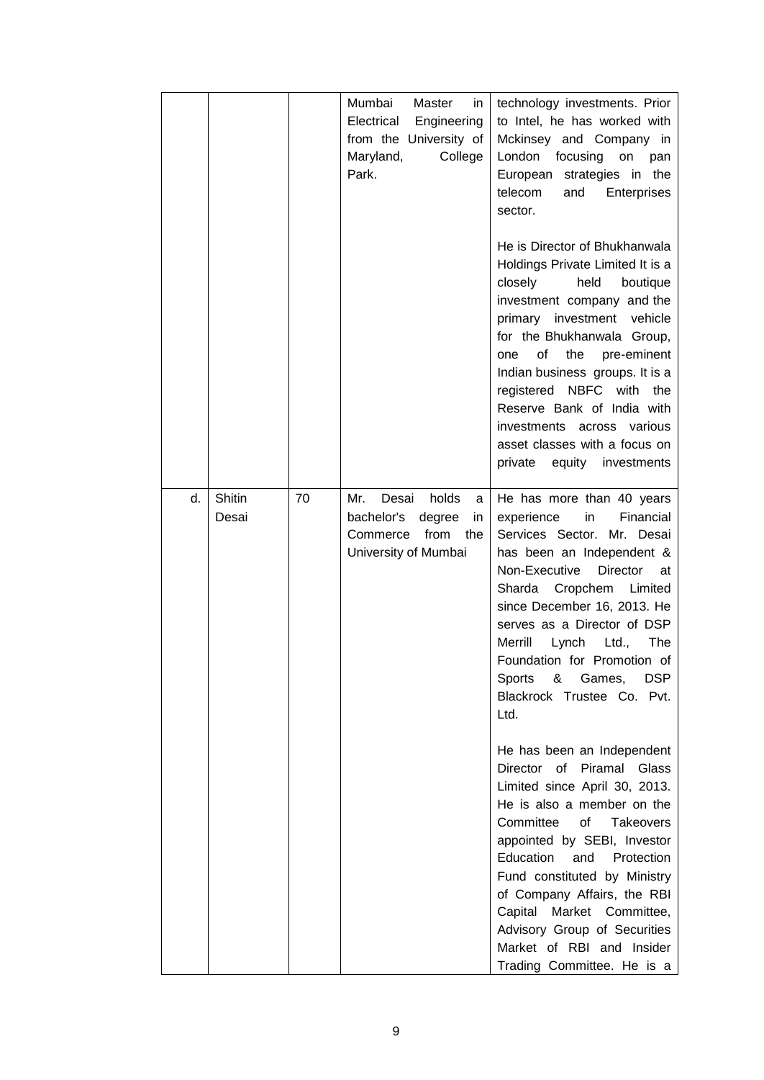|    |        |    | Mumbai<br>Master<br>in<br>Electrical<br>Engineering<br>from the University of<br>Maryland,<br>College<br>Park. | technology investments. Prior<br>to Intel, he has worked with<br>Mckinsey and Company in<br>London<br>focusing<br>on<br>pan<br>European strategies in the<br>telecom<br>and<br>Enterprises<br>sector.<br>He is Director of Bhukhanwala<br>Holdings Private Limited It is a<br>held<br>closely<br>boutique<br>investment company and the<br>investment vehicle<br>primary<br>for the Bhukhanwala Group,<br>οf<br>the<br>pre-eminent<br>one<br>Indian business groups. It is a<br>registered NBFC with the<br>Reserve Bank of India with<br>investments across various<br>asset classes with a focus on |
|----|--------|----|----------------------------------------------------------------------------------------------------------------|-------------------------------------------------------------------------------------------------------------------------------------------------------------------------------------------------------------------------------------------------------------------------------------------------------------------------------------------------------------------------------------------------------------------------------------------------------------------------------------------------------------------------------------------------------------------------------------------------------|
| d. | Shitin | 70 | Desai<br>holds<br>Mr.<br>a                                                                                     | equity<br>investments<br>private<br>He has more than 40 years                                                                                                                                                                                                                                                                                                                                                                                                                                                                                                                                         |
|    | Desai  |    | bachelor's<br>degree<br>in<br>from<br>Commerce<br>the<br>University of Mumbai                                  | Financial<br>experience<br>in<br>Services Sector. Mr. Desai<br>has been an Independent &<br>Director<br>Non-Executive<br>at<br>Sharda Cropchem<br>Limited<br>since December 16, 2013. He<br>serves as a Director of DSP<br>Merrill<br>Lynch<br>Ltd.,<br>The<br>Foundation for Promotion of<br>Games,<br><b>DSP</b><br><b>Sports</b><br>&<br>Blackrock Trustee Co. Pvt.<br>Ltd.                                                                                                                                                                                                                        |
|    |        |    |                                                                                                                | He has been an Independent<br>Director of Piramal Glass<br>Limited since April 30, 2013.<br>He is also a member on the<br>Committee<br>of<br><b>Takeovers</b><br>appointed by SEBI, Investor<br>Education<br>and<br>Protection<br>Fund constituted by Ministry<br>of Company Affairs, the RBI<br>Capital Market Committee,<br>Advisory Group of Securities<br>Market of RBI and Insider<br>Trading Committee. He is a                                                                                                                                                                                 |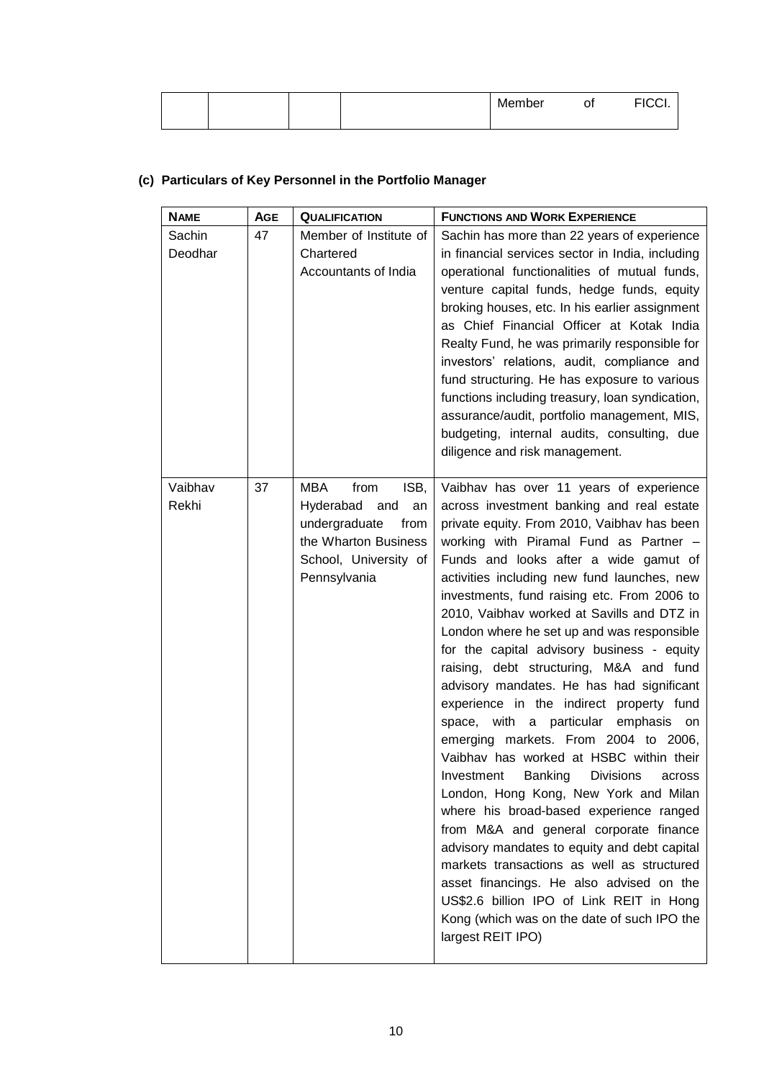|  |  | Member | Οİ | <b>EICCI</b> |
|--|--|--------|----|--------------|
|  |  |        |    |              |

# **(c) Particulars of Key Personnel in the Portfolio Manager**

| <b>NAME</b>       | <b>AGE</b> | <b>QUALIFICATION</b>                                                                                                                    | <b>FUNCTIONS AND WORK EXPERIENCE</b>                                                                                                                                                                                                                                                                                                                                                                                                                                                                                                                                                                                                                                                                                                                                                                                                                                                                                                                                                                                                                                                                                                                                            |
|-------------------|------------|-----------------------------------------------------------------------------------------------------------------------------------------|---------------------------------------------------------------------------------------------------------------------------------------------------------------------------------------------------------------------------------------------------------------------------------------------------------------------------------------------------------------------------------------------------------------------------------------------------------------------------------------------------------------------------------------------------------------------------------------------------------------------------------------------------------------------------------------------------------------------------------------------------------------------------------------------------------------------------------------------------------------------------------------------------------------------------------------------------------------------------------------------------------------------------------------------------------------------------------------------------------------------------------------------------------------------------------|
| Sachin<br>Deodhar | 47         | Member of Institute of<br>Chartered<br>Accountants of India                                                                             | Sachin has more than 22 years of experience<br>in financial services sector in India, including<br>operational functionalities of mutual funds,<br>venture capital funds, hedge funds, equity<br>broking houses, etc. In his earlier assignment<br>as Chief Financial Officer at Kotak India<br>Realty Fund, he was primarily responsible for<br>investors' relations, audit, compliance and<br>fund structuring. He has exposure to various<br>functions including treasury, loan syndication,<br>assurance/audit, portfolio management, MIS,<br>budgeting, internal audits, consulting, due<br>diligence and risk management.                                                                                                                                                                                                                                                                                                                                                                                                                                                                                                                                                 |
| Vaibhav<br>Rekhi  | 37         | MBA<br>ISB,<br>from<br>Hyderabad<br>and<br>an<br>undergraduate<br>from<br>the Wharton Business<br>School, University of<br>Pennsylvania | Vaibhav has over 11 years of experience<br>across investment banking and real estate<br>private equity. From 2010, Vaibhav has been<br>working with Piramal Fund as Partner -<br>Funds and looks after a wide gamut of<br>activities including new fund launches, new<br>investments, fund raising etc. From 2006 to<br>2010, Vaibhav worked at Savills and DTZ in<br>London where he set up and was responsible<br>for the capital advisory business - equity<br>raising, debt structuring, M&A and fund<br>advisory mandates. He has had significant<br>experience in the indirect property fund<br>space, with a particular emphasis<br>on<br>emerging markets. From 2004 to 2006,<br>Vaibhav has worked at HSBC within their<br>Banking<br><b>Divisions</b><br>Investment<br>across<br>London, Hong Kong, New York and Milan<br>where his broad-based experience ranged<br>from M&A and general corporate finance<br>advisory mandates to equity and debt capital<br>markets transactions as well as structured<br>asset financings. He also advised on the<br>US\$2.6 billion IPO of Link REIT in Hong<br>Kong (which was on the date of such IPO the<br>largest REIT IPO) |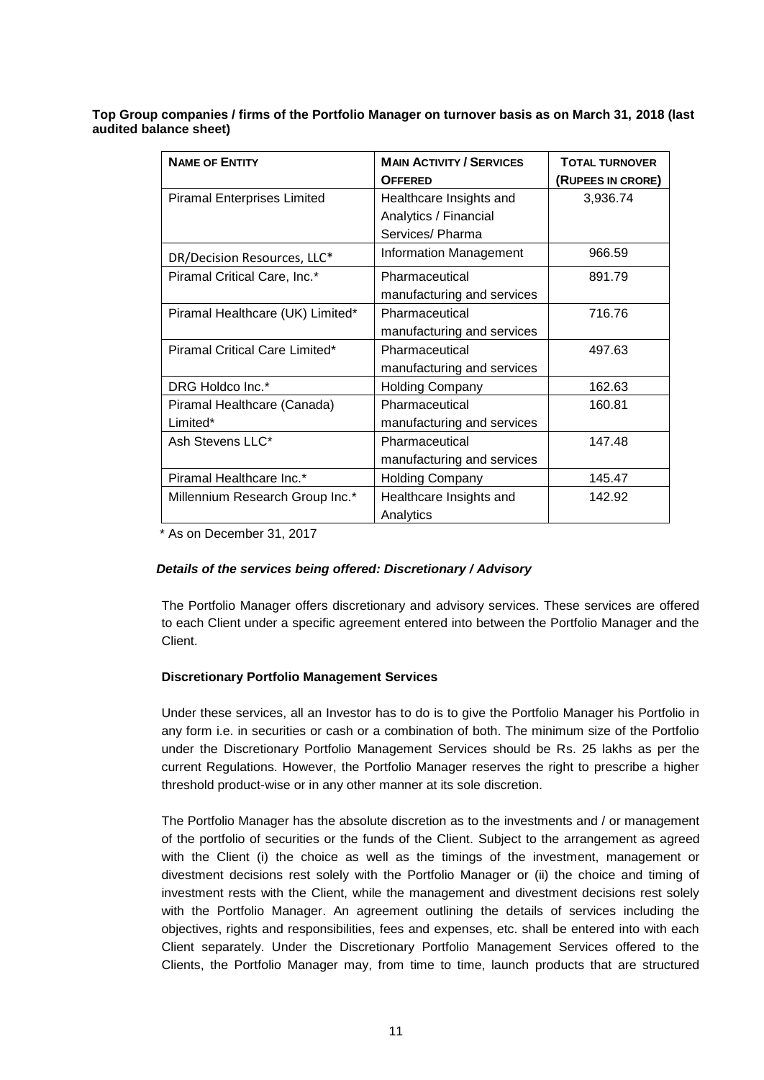**Top Group companies / firms of the Portfolio Manager on turnover basis as on March 31, 2018 (last audited balance sheet)** 

| <b>NAME OF ENTITY</b>              | <b>MAIN ACTIVITY / SERVICES</b> | <b>TOTAL TURNOVER</b> |
|------------------------------------|---------------------------------|-----------------------|
|                                    | <b>OFFERED</b>                  | (RUPEES IN CRORE)     |
| <b>Piramal Enterprises Limited</b> | Healthcare Insights and         | 3,936.74              |
|                                    | Analytics / Financial           |                       |
|                                    | Services/ Pharma                |                       |
| DR/Decision Resources, LLC*        | <b>Information Management</b>   | 966.59                |
| Piramal Critical Care, Inc.*       | Pharmaceutical                  | 891.79                |
|                                    | manufacturing and services      |                       |
| Piramal Healthcare (UK) Limited*   | Pharmaceutical                  | 716.76                |
|                                    | manufacturing and services      |                       |
| Piramal Critical Care Limited*     | Pharmaceutical                  | 497.63                |
|                                    | manufacturing and services      |                       |
| DRG Holdco Inc.*                   | <b>Holding Company</b>          | 162.63                |
| Piramal Healthcare (Canada)        | Pharmaceutical                  | 160.81                |
| Limited*                           | manufacturing and services      |                       |
| Ash Stevens LLC*                   | Pharmaceutical                  | 147.48                |
|                                    | manufacturing and services      |                       |
| Piramal Healthcare Inc.*           | <b>Holding Company</b>          | 145.47                |
| Millennium Research Group Inc.*    | Healthcare Insights and         | 142.92                |
|                                    | Analytics                       |                       |

\* As on December 31, 2017

### *Details of the services being offered: Discretionary / Advisory*

The Portfolio Manager offers discretionary and advisory services. These services are offered to each Client under a specific agreement entered into between the Portfolio Manager and the Client.

### **Discretionary Portfolio Management Services**

Under these services, all an Investor has to do is to give the Portfolio Manager his Portfolio in any form i.e. in securities or cash or a combination of both. The minimum size of the Portfolio under the Discretionary Portfolio Management Services should be Rs. 25 lakhs as per the current Regulations. However, the Portfolio Manager reserves the right to prescribe a higher threshold product-wise or in any other manner at its sole discretion.

The Portfolio Manager has the absolute discretion as to the investments and / or management of the portfolio of securities or the funds of the Client. Subject to the arrangement as agreed with the Client (i) the choice as well as the timings of the investment, management or divestment decisions rest solely with the Portfolio Manager or (ii) the choice and timing of investment rests with the Client, while the management and divestment decisions rest solely with the Portfolio Manager. An agreement outlining the details of services including the objectives, rights and responsibilities, fees and expenses, etc. shall be entered into with each Client separately. Under the Discretionary Portfolio Management Services offered to the Clients, the Portfolio Manager may, from time to time, launch products that are structured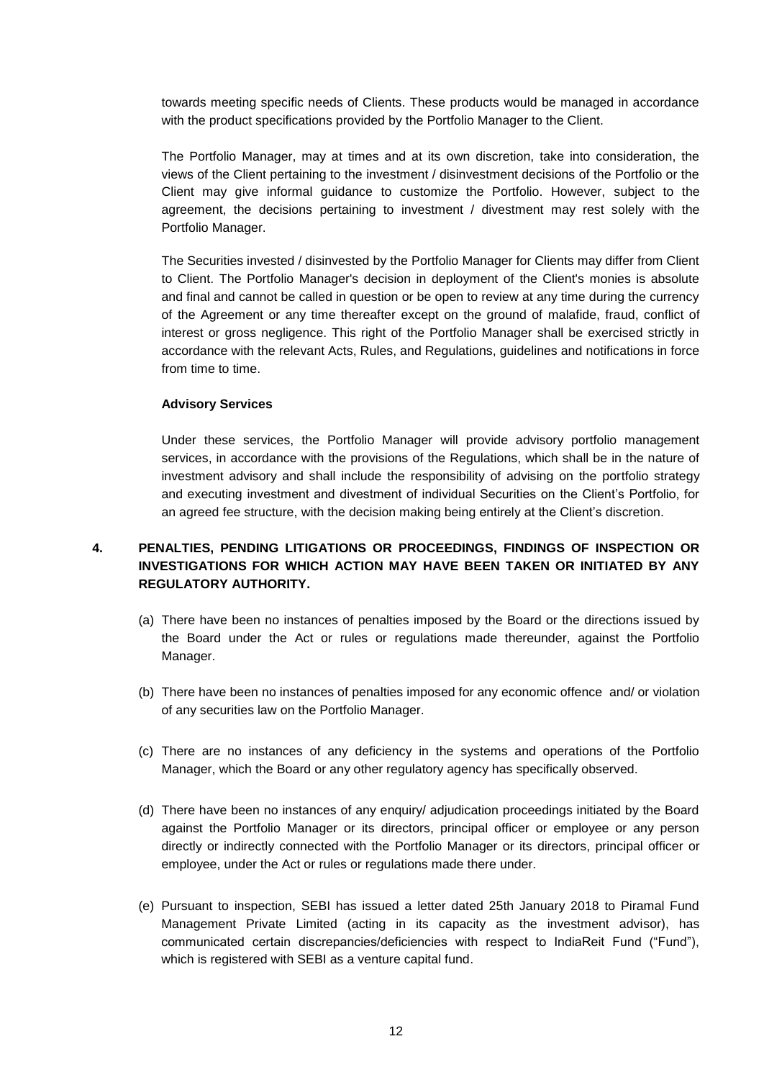towards meeting specific needs of Clients. These products would be managed in accordance with the product specifications provided by the Portfolio Manager to the Client.

The Portfolio Manager, may at times and at its own discretion, take into consideration, the views of the Client pertaining to the investment / disinvestment decisions of the Portfolio or the Client may give informal guidance to customize the Portfolio. However, subject to the agreement, the decisions pertaining to investment / divestment may rest solely with the Portfolio Manager.

The Securities invested / disinvested by the Portfolio Manager for Clients may differ from Client to Client. The Portfolio Manager's decision in deployment of the Client's monies is absolute and final and cannot be called in question or be open to review at any time during the currency of the Agreement or any time thereafter except on the ground of malafide, fraud, conflict of interest or gross negligence. This right of the Portfolio Manager shall be exercised strictly in accordance with the relevant Acts, Rules, and Regulations, guidelines and notifications in force from time to time.

#### **Advisory Services**

Under these services, the Portfolio Manager will provide advisory portfolio management services, in accordance with the provisions of the Regulations, which shall be in the nature of investment advisory and shall include the responsibility of advising on the portfolio strategy and executing investment and divestment of individual Securities on the Client's Portfolio, for an agreed fee structure, with the decision making being entirely at the Client's discretion.

# **4. PENALTIES, PENDING LITIGATIONS OR PROCEEDINGS, FINDINGS OF INSPECTION OR INVESTIGATIONS FOR WHICH ACTION MAY HAVE BEEN TAKEN OR INITIATED BY ANY REGULATORY AUTHORITY.**

- (a) There have been no instances of penalties imposed by the Board or the directions issued by the Board under the Act or rules or regulations made thereunder, against the Portfolio Manager.
- (b) There have been no instances of penalties imposed for any economic offence and/ or violation of any securities law on the Portfolio Manager.
- (c) There are no instances of any deficiency in the systems and operations of the Portfolio Manager, which the Board or any other regulatory agency has specifically observed.
- (d) There have been no instances of any enquiry/ adjudication proceedings initiated by the Board against the Portfolio Manager or its directors, principal officer or employee or any person directly or indirectly connected with the Portfolio Manager or its directors, principal officer or employee, under the Act or rules or regulations made there under.
- (e) Pursuant to inspection, SEBI has issued a letter dated 25th January 2018 to Piramal Fund Management Private Limited (acting in its capacity as the investment advisor), has communicated certain discrepancies/deficiencies with respect to IndiaReit Fund ("Fund"), which is registered with SEBI as a venture capital fund.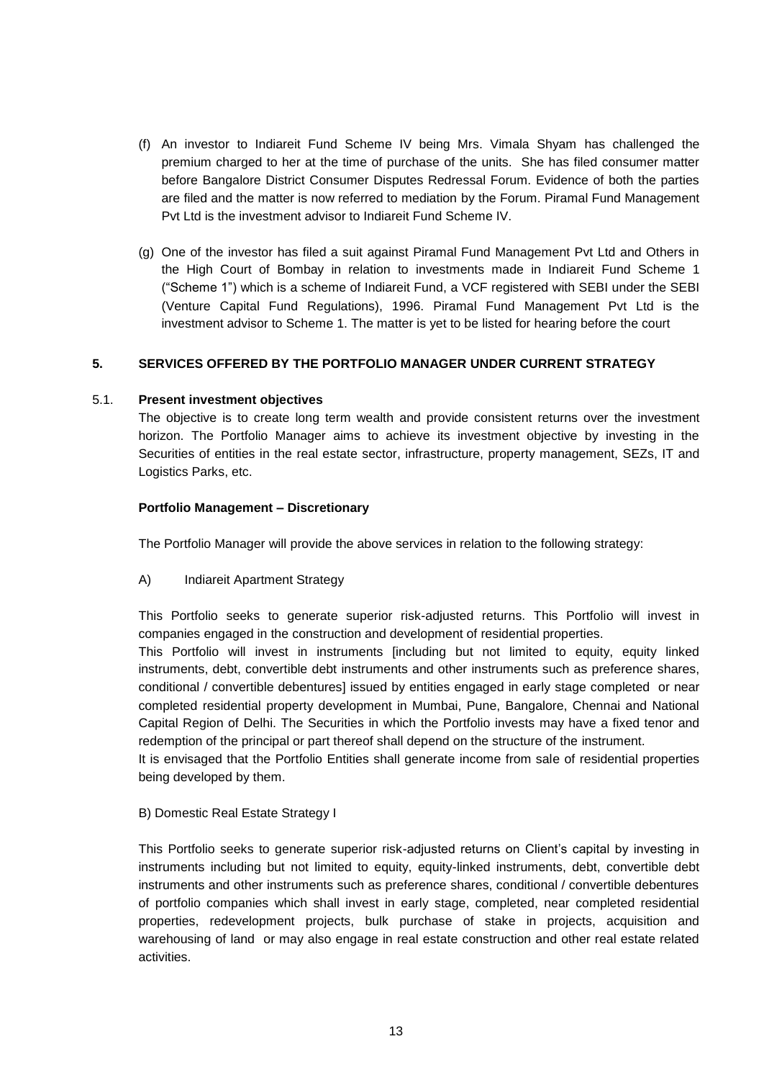- (f) An investor to Indiareit Fund Scheme IV being Mrs. Vimala Shyam has challenged the premium charged to her at the time of purchase of the units. She has filed consumer matter before Bangalore District Consumer Disputes Redressal Forum. Evidence of both the parties are filed and the matter is now referred to mediation by the Forum. Piramal Fund Management Pvt Ltd is the investment advisor to Indiareit Fund Scheme IV.
- (g) One of the investor has filed a suit against Piramal Fund Management Pvt Ltd and Others in the High Court of Bombay in relation to investments made in Indiareit Fund Scheme 1 ("Scheme 1") which is a scheme of Indiareit Fund, a VCF registered with SEBI under the SEBI (Venture Capital Fund Regulations), 1996. Piramal Fund Management Pvt Ltd is the investment advisor to Scheme 1. The matter is yet to be listed for hearing before the court

### **5. SERVICES OFFERED BY THE PORTFOLIO MANAGER UNDER CURRENT STRATEGY**

### 5.1. **Present investment objectives**

The objective is to create long term wealth and provide consistent returns over the investment horizon. The Portfolio Manager aims to achieve its investment objective by investing in the Securities of entities in the real estate sector, infrastructure, property management, SEZs, IT and Logistics Parks, etc.

#### **Portfolio Management – Discretionary**

The Portfolio Manager will provide the above services in relation to the following strategy:

A) Indiareit Apartment Strategy

This Portfolio seeks to generate superior risk-adjusted returns. This Portfolio will invest in companies engaged in the construction and development of residential properties.

This Portfolio will invest in instruments [including but not limited to equity, equity linked instruments, debt, convertible debt instruments and other instruments such as preference shares, conditional / convertible debentures] issued by entities engaged in early stage completed or near completed residential property development in Mumbai, Pune, Bangalore, Chennai and National Capital Region of Delhi. The Securities in which the Portfolio invests may have a fixed tenor and redemption of the principal or part thereof shall depend on the structure of the instrument.

It is envisaged that the Portfolio Entities shall generate income from sale of residential properties being developed by them.

#### B) Domestic Real Estate Strategy I

This Portfolio seeks to generate superior risk-adjusted returns on Client's capital by investing in instruments including but not limited to equity, equity-linked instruments, debt, convertible debt instruments and other instruments such as preference shares, conditional / convertible debentures of portfolio companies which shall invest in early stage, completed, near completed residential properties, redevelopment projects, bulk purchase of stake in projects, acquisition and warehousing of land or may also engage in real estate construction and other real estate related activities.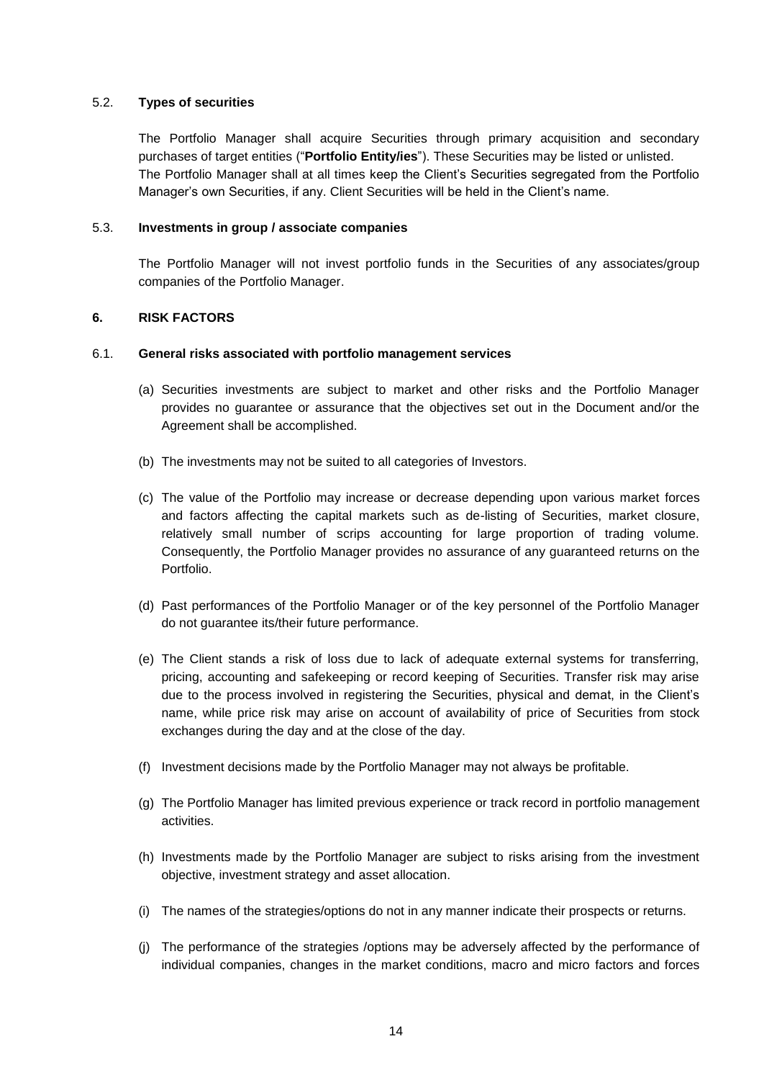### 5.2. **Types of securities**

The Portfolio Manager shall acquire Securities through primary acquisition and secondary purchases of target entities ("**Portfolio Entity/ies**"). These Securities may be listed or unlisted. The Portfolio Manager shall at all times keep the Client's Securities segregated from the Portfolio Manager's own Securities, if any. Client Securities will be held in the Client's name.

### 5.3. **Investments in group / associate companies**

The Portfolio Manager will not invest portfolio funds in the Securities of any associates/group companies of the Portfolio Manager.

#### **6. RISK FACTORS**

#### 6.1. **General risks associated with portfolio management services**

- (a) Securities investments are subject to market and other risks and the Portfolio Manager provides no guarantee or assurance that the objectives set out in the Document and/or the Agreement shall be accomplished.
- (b) The investments may not be suited to all categories of Investors.
- (c) The value of the Portfolio may increase or decrease depending upon various market forces and factors affecting the capital markets such as de-listing of Securities, market closure, relatively small number of scrips accounting for large proportion of trading volume. Consequently, the Portfolio Manager provides no assurance of any guaranteed returns on the Portfolio.
- (d) Past performances of the Portfolio Manager or of the key personnel of the Portfolio Manager do not guarantee its/their future performance.
- (e) The Client stands a risk of loss due to lack of adequate external systems for transferring, pricing, accounting and safekeeping or record keeping of Securities. Transfer risk may arise due to the process involved in registering the Securities, physical and demat, in the Client's name, while price risk may arise on account of availability of price of Securities from stock exchanges during the day and at the close of the day.
- (f) Investment decisions made by the Portfolio Manager may not always be profitable.
- (g) The Portfolio Manager has limited previous experience or track record in portfolio management activities.
- (h) Investments made by the Portfolio Manager are subject to risks arising from the investment objective, investment strategy and asset allocation.
- (i) The names of the strategies/options do not in any manner indicate their prospects or returns.
- (j) The performance of the strategies /options may be adversely affected by the performance of individual companies, changes in the market conditions, macro and micro factors and forces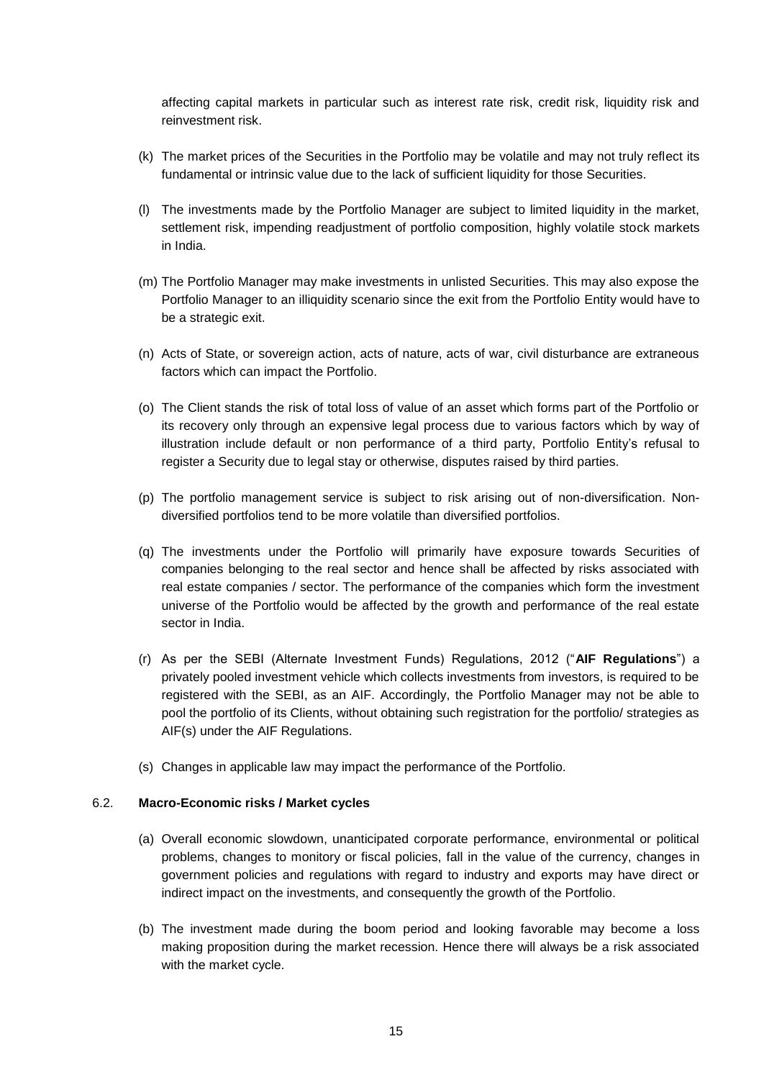affecting capital markets in particular such as interest rate risk, credit risk, liquidity risk and reinvestment risk.

- (k) The market prices of the Securities in the Portfolio may be volatile and may not truly reflect its fundamental or intrinsic value due to the lack of sufficient liquidity for those Securities.
- (l) The investments made by the Portfolio Manager are subject to limited liquidity in the market, settlement risk, impending readjustment of portfolio composition, highly volatile stock markets in India.
- (m) The Portfolio Manager may make investments in unlisted Securities. This may also expose the Portfolio Manager to an illiquidity scenario since the exit from the Portfolio Entity would have to be a strategic exit.
- (n) Acts of State, or sovereign action, acts of nature, acts of war, civil disturbance are extraneous factors which can impact the Portfolio.
- (o) The Client stands the risk of total loss of value of an asset which forms part of the Portfolio or its recovery only through an expensive legal process due to various factors which by way of illustration include default or non performance of a third party, Portfolio Entity's refusal to register a Security due to legal stay or otherwise, disputes raised by third parties.
- (p) The portfolio management service is subject to risk arising out of non-diversification. Nondiversified portfolios tend to be more volatile than diversified portfolios.
- (q) The investments under the Portfolio will primarily have exposure towards Securities of companies belonging to the real sector and hence shall be affected by risks associated with real estate companies / sector. The performance of the companies which form the investment universe of the Portfolio would be affected by the growth and performance of the real estate sector in India.
- (r) As per the SEBI (Alternate Investment Funds) Regulations, 2012 ("**AIF Regulations**") a privately pooled investment vehicle which collects investments from investors, is required to be registered with the SEBI, as an AIF. Accordingly, the Portfolio Manager may not be able to pool the portfolio of its Clients, without obtaining such registration for the portfolio/ strategies as AIF(s) under the AIF Regulations.
- (s) Changes in applicable law may impact the performance of the Portfolio.

### 6.2. **Macro-Economic risks / Market cycles**

- (a) Overall economic slowdown, unanticipated corporate performance, environmental or political problems, changes to monitory or fiscal policies, fall in the value of the currency, changes in government policies and regulations with regard to industry and exports may have direct or indirect impact on the investments, and consequently the growth of the Portfolio.
- (b) The investment made during the boom period and looking favorable may become a loss making proposition during the market recession. Hence there will always be a risk associated with the market cycle.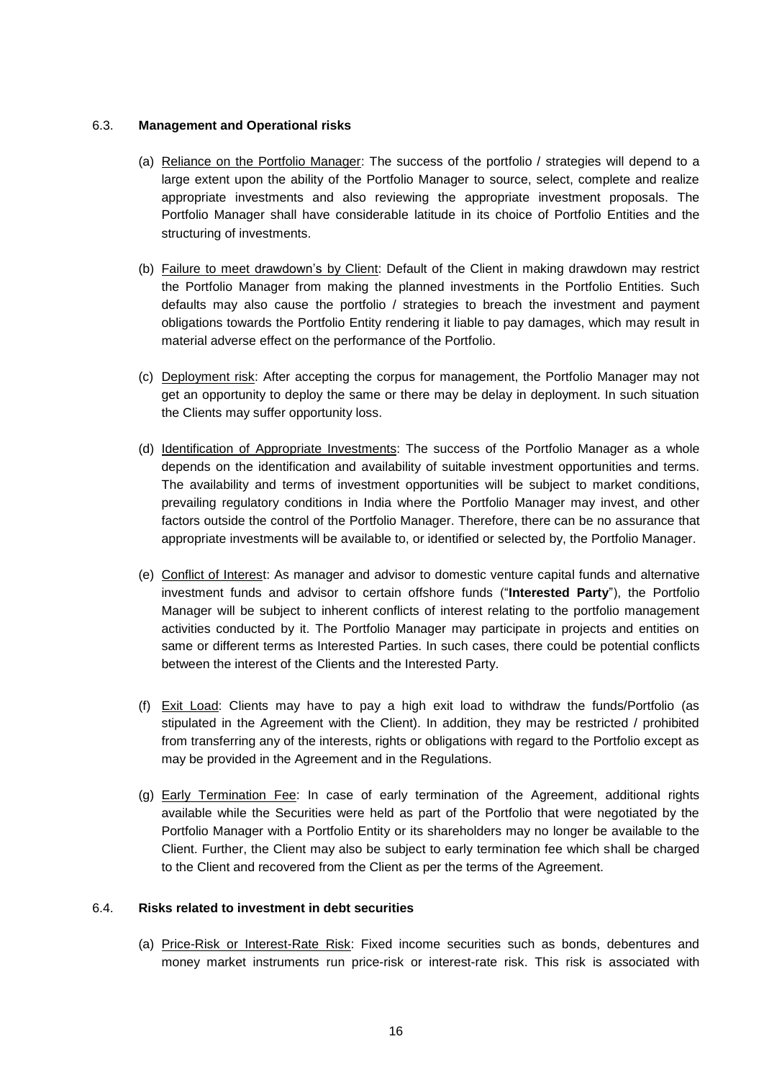### 6.3. **Management and Operational risks**

- (a) Reliance on the Portfolio Manager: The success of the portfolio / strategies will depend to a large extent upon the ability of the Portfolio Manager to source, select, complete and realize appropriate investments and also reviewing the appropriate investment proposals. The Portfolio Manager shall have considerable latitude in its choice of Portfolio Entities and the structuring of investments.
- (b) Failure to meet drawdown's by Client: Default of the Client in making drawdown may restrict the Portfolio Manager from making the planned investments in the Portfolio Entities. Such defaults may also cause the portfolio / strategies to breach the investment and payment obligations towards the Portfolio Entity rendering it liable to pay damages, which may result in material adverse effect on the performance of the Portfolio.
- (c) Deployment risk: After accepting the corpus for management, the Portfolio Manager may not get an opportunity to deploy the same or there may be delay in deployment. In such situation the Clients may suffer opportunity loss.
- (d) Identification of Appropriate Investments: The success of the Portfolio Manager as a whole depends on the identification and availability of suitable investment opportunities and terms. The availability and terms of investment opportunities will be subject to market conditions, prevailing regulatory conditions in India where the Portfolio Manager may invest, and other factors outside the control of the Portfolio Manager. Therefore, there can be no assurance that appropriate investments will be available to, or identified or selected by, the Portfolio Manager.
- (e) Conflict of Interest: As manager and advisor to domestic venture capital funds and alternative investment funds and advisor to certain offshore funds ("**Interested Party**"), the Portfolio Manager will be subject to inherent conflicts of interest relating to the portfolio management activities conducted by it. The Portfolio Manager may participate in projects and entities on same or different terms as Interested Parties. In such cases, there could be potential conflicts between the interest of the Clients and the Interested Party.
- (f) Exit Load: Clients may have to pay a high exit load to withdraw the funds/Portfolio (as stipulated in the Agreement with the Client). In addition, they may be restricted / prohibited from transferring any of the interests, rights or obligations with regard to the Portfolio except as may be provided in the Agreement and in the Regulations.
- (g) Early Termination Fee: In case of early termination of the Agreement, additional rights available while the Securities were held as part of the Portfolio that were negotiated by the Portfolio Manager with a Portfolio Entity or its shareholders may no longer be available to the Client. Further, the Client may also be subject to early termination fee which shall be charged to the Client and recovered from the Client as per the terms of the Agreement.

### 6.4. **Risks related to investment in debt securities**

(a) Price-Risk or Interest-Rate Risk: Fixed income securities such as bonds, debentures and money market instruments run price-risk or interest-rate risk. This risk is associated with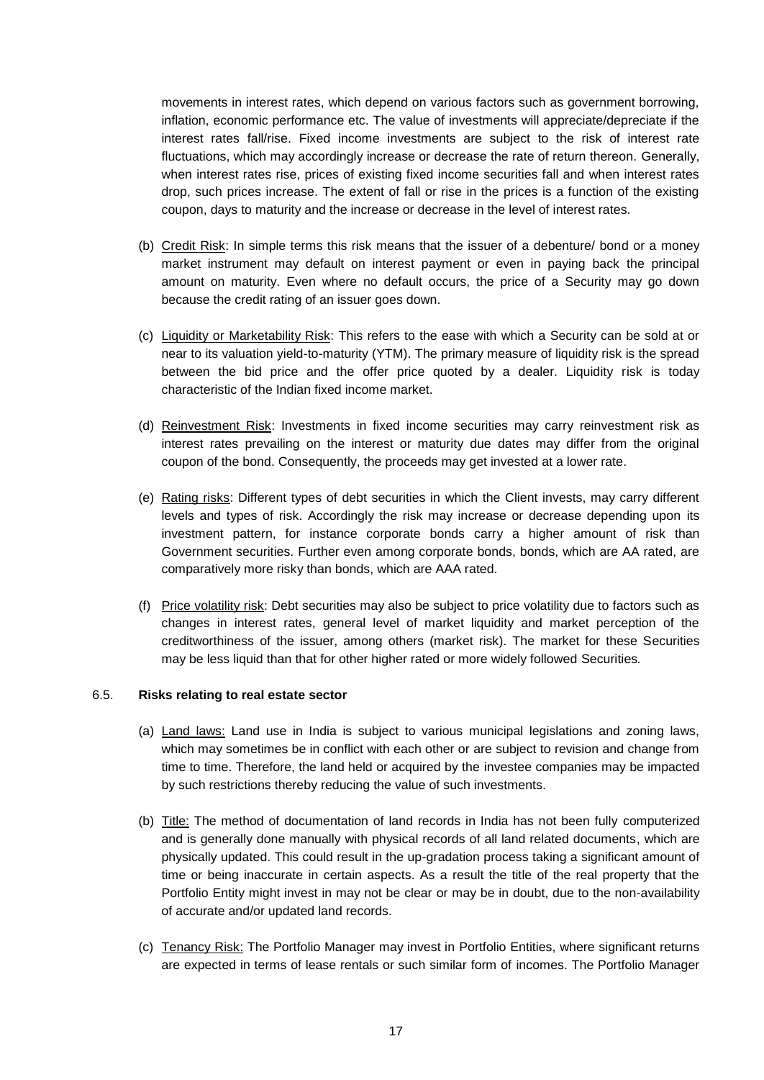movements in interest rates, which depend on various factors such as government borrowing, inflation, economic performance etc. The value of investments will appreciate/depreciate if the interest rates fall/rise. Fixed income investments are subject to the risk of interest rate fluctuations, which may accordingly increase or decrease the rate of return thereon. Generally, when interest rates rise, prices of existing fixed income securities fall and when interest rates drop, such prices increase. The extent of fall or rise in the prices is a function of the existing coupon, days to maturity and the increase or decrease in the level of interest rates.

- (b) Credit Risk: In simple terms this risk means that the issuer of a debenture/ bond or a money market instrument may default on interest payment or even in paying back the principal amount on maturity. Even where no default occurs, the price of a Security may go down because the credit rating of an issuer goes down.
- (c) Liquidity or Marketability Risk: This refers to the ease with which a Security can be sold at or near to its valuation yield-to-maturity (YTM). The primary measure of liquidity risk is the spread between the bid price and the offer price quoted by a dealer. Liquidity risk is today characteristic of the Indian fixed income market.
- (d) Reinvestment Risk: Investments in fixed income securities may carry reinvestment risk as interest rates prevailing on the interest or maturity due dates may differ from the original coupon of the bond. Consequently, the proceeds may get invested at a lower rate.
- (e) Rating risks: Different types of debt securities in which the Client invests, may carry different levels and types of risk. Accordingly the risk may increase or decrease depending upon its investment pattern, for instance corporate bonds carry a higher amount of risk than Government securities. Further even among corporate bonds, bonds, which are AA rated, are comparatively more risky than bonds, which are AAA rated.
- (f) Price volatility risk: Debt securities may also be subject to price volatility due to factors such as changes in interest rates, general level of market liquidity and market perception of the creditworthiness of the issuer, among others (market risk). The market for these Securities may be less liquid than that for other higher rated or more widely followed Securities*.*

### 6.5. **Risks relating to real estate sector**

- (a) Land laws: Land use in India is subject to various municipal legislations and zoning laws, which may sometimes be in conflict with each other or are subject to revision and change from time to time. Therefore, the land held or acquired by the investee companies may be impacted by such restrictions thereby reducing the value of such investments.
- (b) Title: The method of documentation of land records in India has not been fully computerized and is generally done manually with physical records of all land related documents, which are physically updated. This could result in the up-gradation process taking a significant amount of time or being inaccurate in certain aspects. As a result the title of the real property that the Portfolio Entity might invest in may not be clear or may be in doubt, due to the non-availability of accurate and/or updated land records.
- (c) Tenancy Risk: The Portfolio Manager may invest in Portfolio Entities, where significant returns are expected in terms of lease rentals or such similar form of incomes. The Portfolio Manager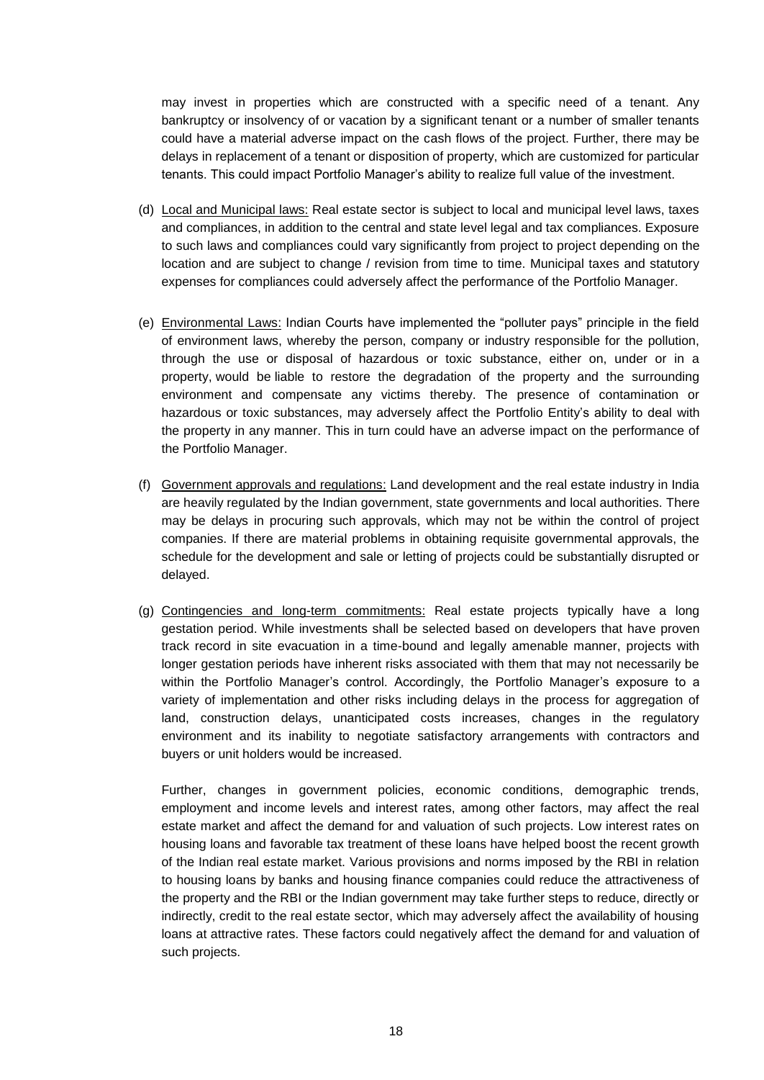may invest in properties which are constructed with a specific need of a tenant. Any bankruptcy or insolvency of or vacation by a significant tenant or a number of smaller tenants could have a material adverse impact on the cash flows of the project. Further, there may be delays in replacement of a tenant or disposition of property, which are customized for particular tenants. This could impact Portfolio Manager's ability to realize full value of the investment.

- (d) Local and Municipal laws: Real estate sector is subject to local and municipal level laws, taxes and compliances, in addition to the central and state level legal and tax compliances. Exposure to such laws and compliances could vary significantly from project to project depending on the location and are subject to change / revision from time to time. Municipal taxes and statutory expenses for compliances could adversely affect the performance of the Portfolio Manager.
- (e) Environmental Laws: Indian Courts have implemented the "polluter pays" principle in the field of environment laws, whereby the person, company or industry responsible for the pollution, through the use or disposal of hazardous or toxic substance, either on, under or in a property, would be liable to restore the degradation of the property and the surrounding environment and compensate any victims thereby. The presence of contamination or hazardous or toxic substances, may adversely affect the Portfolio Entity's ability to deal with the property in any manner. This in turn could have an adverse impact on the performance of the Portfolio Manager.
- (f) Government approvals and regulations: Land development and the real estate industry in India are heavily regulated by the Indian government, state governments and local authorities. There may be delays in procuring such approvals, which may not be within the control of project companies. If there are material problems in obtaining requisite governmental approvals, the schedule for the development and sale or letting of projects could be substantially disrupted or delayed.
- (g) Contingencies and long-term commitments: Real estate projects typically have a long gestation period. While investments shall be selected based on developers that have proven track record in site evacuation in a time-bound and legally amenable manner, projects with longer gestation periods have inherent risks associated with them that may not necessarily be within the Portfolio Manager's control. Accordingly, the Portfolio Manager's exposure to a variety of implementation and other risks including delays in the process for aggregation of land, construction delays, unanticipated costs increases, changes in the regulatory environment and its inability to negotiate satisfactory arrangements with contractors and buyers or unit holders would be increased.

Further, changes in government policies, economic conditions, demographic trends, employment and income levels and interest rates, among other factors, may affect the real estate market and affect the demand for and valuation of such projects. Low interest rates on housing loans and favorable tax treatment of these loans have helped boost the recent growth of the Indian real estate market. Various provisions and norms imposed by the RBI in relation to housing loans by banks and housing finance companies could reduce the attractiveness of the property and the RBI or the Indian government may take further steps to reduce, directly or indirectly, credit to the real estate sector, which may adversely affect the availability of housing loans at attractive rates. These factors could negatively affect the demand for and valuation of such projects.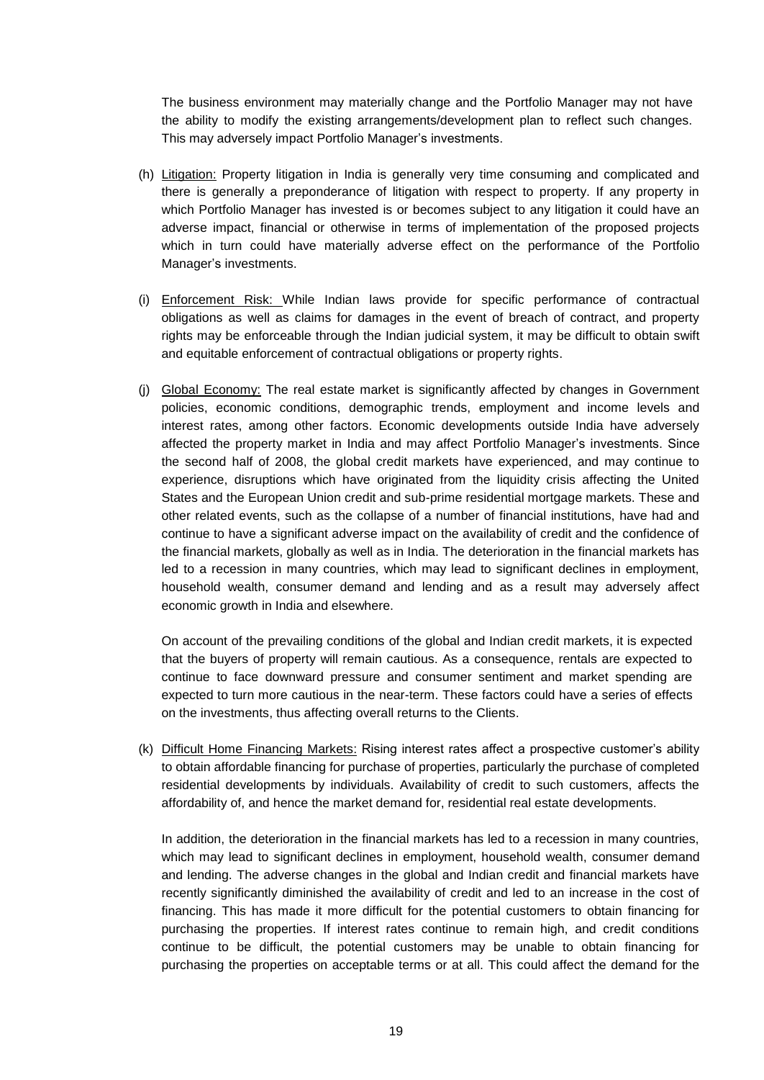The business environment may materially change and the Portfolio Manager may not have the ability to modify the existing arrangements/development plan to reflect such changes. This may adversely impact Portfolio Manager's investments.

- (h) Litigation: Property litigation in India is generally very time consuming and complicated and there is generally a preponderance of litigation with respect to property. If any property in which Portfolio Manager has invested is or becomes subject to any litigation it could have an adverse impact, financial or otherwise in terms of implementation of the proposed projects which in turn could have materially adverse effect on the performance of the Portfolio Manager's investments.
- (i) Enforcement Risk: While Indian laws provide for specific performance of contractual obligations as well as claims for damages in the event of breach of contract, and property rights may be enforceable through the Indian judicial system, it may be difficult to obtain swift and equitable enforcement of contractual obligations or property rights.
- (i) Global Economy: The real estate market is significantly affected by changes in Government policies, economic conditions, demographic trends, employment and income levels and interest rates, among other factors. Economic developments outside India have adversely affected the property market in India and may affect Portfolio Manager's investments. Since the second half of 2008, the global credit markets have experienced, and may continue to experience, disruptions which have originated from the liquidity crisis affecting the United States and the European Union credit and sub-prime residential mortgage markets. These and other related events, such as the collapse of a number of financial institutions, have had and continue to have a significant adverse impact on the availability of credit and the confidence of the financial markets, globally as well as in India. The deterioration in the financial markets has led to a recession in many countries, which may lead to significant declines in employment, household wealth, consumer demand and lending and as a result may adversely affect economic growth in India and elsewhere.

On account of the prevailing conditions of the global and Indian credit markets, it is expected that the buyers of property will remain cautious. As a consequence, rentals are expected to continue to face downward pressure and consumer sentiment and market spending are expected to turn more cautious in the near-term. These factors could have a series of effects on the investments, thus affecting overall returns to the Clients.

(k) Difficult Home Financing Markets: Rising interest rates affect a prospective customer's ability to obtain affordable financing for purchase of properties, particularly the purchase of completed residential developments by individuals. Availability of credit to such customers, affects the affordability of, and hence the market demand for, residential real estate developments.

In addition, the deterioration in the financial markets has led to a recession in many countries, which may lead to significant declines in employment, household wealth, consumer demand and lending. The adverse changes in the global and Indian credit and financial markets have recently significantly diminished the availability of credit and led to an increase in the cost of financing. This has made it more difficult for the potential customers to obtain financing for purchasing the properties. If interest rates continue to remain high, and credit conditions continue to be difficult, the potential customers may be unable to obtain financing for purchasing the properties on acceptable terms or at all. This could affect the demand for the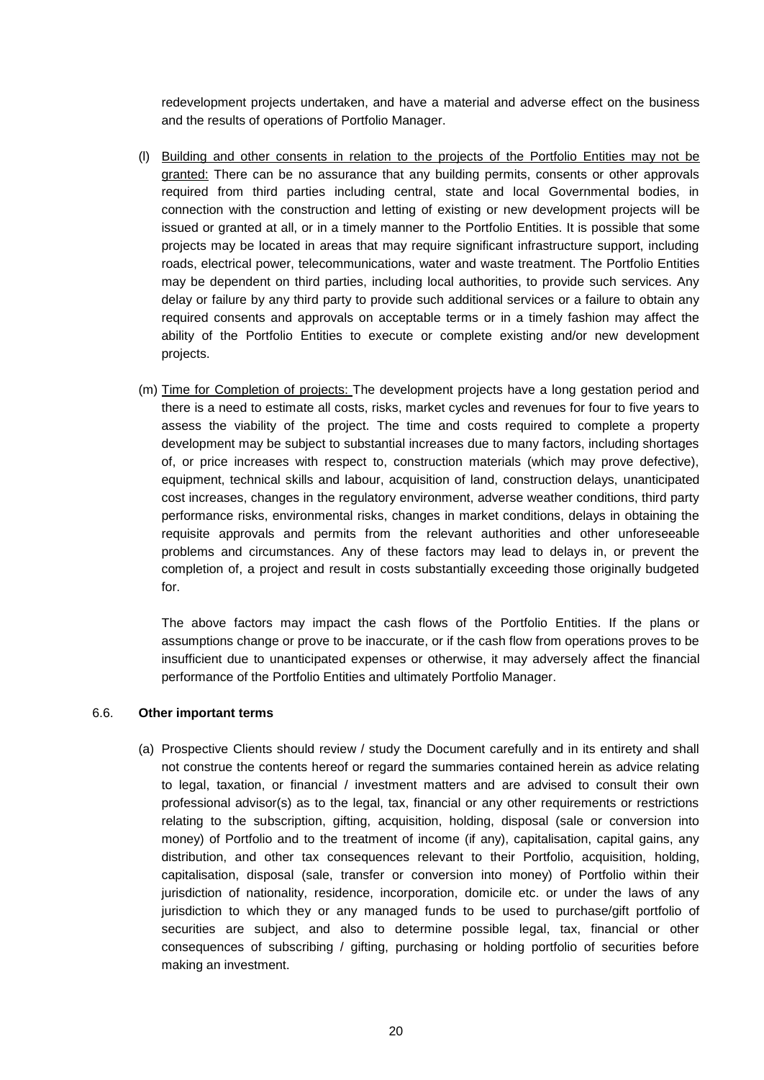redevelopment projects undertaken, and have a material and adverse effect on the business and the results of operations of Portfolio Manager.

- (l) Building and other consents in relation to the projects of the Portfolio Entities may not be granted: There can be no assurance that any building permits, consents or other approvals required from third parties including central, state and local Governmental bodies, in connection with the construction and letting of existing or new development projects will be issued or granted at all, or in a timely manner to the Portfolio Entities. It is possible that some projects may be located in areas that may require significant infrastructure support, including roads, electrical power, telecommunications, water and waste treatment. The Portfolio Entities may be dependent on third parties, including local authorities, to provide such services. Any delay or failure by any third party to provide such additional services or a failure to obtain any required consents and approvals on acceptable terms or in a timely fashion may affect the ability of the Portfolio Entities to execute or complete existing and/or new development projects.
- (m) Time for Completion of projects: The development projects have a long gestation period and there is a need to estimate all costs, risks, market cycles and revenues for four to five years to assess the viability of the project. The time and costs required to complete a property development may be subject to substantial increases due to many factors, including shortages of, or price increases with respect to, construction materials (which may prove defective), equipment, technical skills and labour, acquisition of land, construction delays, unanticipated cost increases, changes in the regulatory environment, adverse weather conditions, third party performance risks, environmental risks, changes in market conditions, delays in obtaining the requisite approvals and permits from the relevant authorities and other unforeseeable problems and circumstances. Any of these factors may lead to delays in, or prevent the completion of, a project and result in costs substantially exceeding those originally budgeted for.

The above factors may impact the cash flows of the Portfolio Entities. If the plans or assumptions change or prove to be inaccurate, or if the cash flow from operations proves to be insufficient due to unanticipated expenses or otherwise, it may adversely affect the financial performance of the Portfolio Entities and ultimately Portfolio Manager.

#### 6.6. **Other important terms**

(a) Prospective Clients should review / study the Document carefully and in its entirety and shall not construe the contents hereof or regard the summaries contained herein as advice relating to legal, taxation, or financial / investment matters and are advised to consult their own professional advisor(s) as to the legal, tax, financial or any other requirements or restrictions relating to the subscription, gifting, acquisition, holding, disposal (sale or conversion into money) of Portfolio and to the treatment of income (if any), capitalisation, capital gains, any distribution, and other tax consequences relevant to their Portfolio, acquisition, holding, capitalisation, disposal (sale, transfer or conversion into money) of Portfolio within their jurisdiction of nationality, residence, incorporation, domicile etc. or under the laws of any jurisdiction to which they or any managed funds to be used to purchase/gift portfolio of securities are subject, and also to determine possible legal, tax, financial or other consequences of subscribing / gifting, purchasing or holding portfolio of securities before making an investment.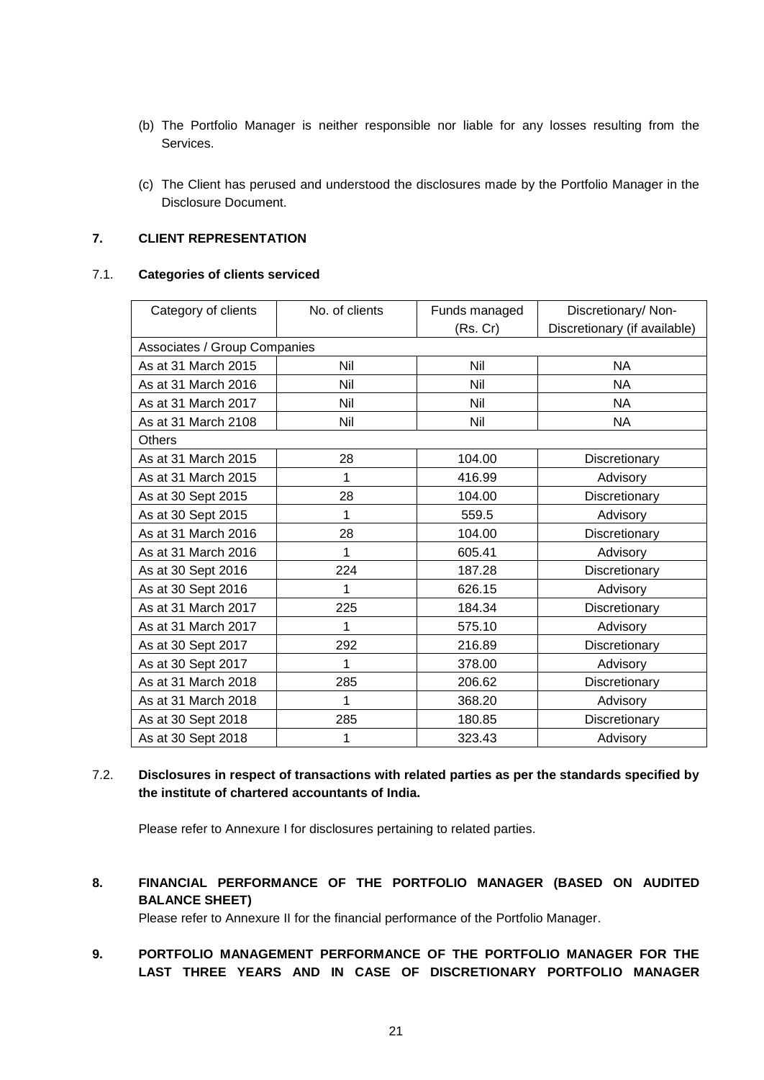- (b) The Portfolio Manager is neither responsible nor liable for any losses resulting from the Services.
- (c) The Client has perused and understood the disclosures made by the Portfolio Manager in the Disclosure Document.

# **7. CLIENT REPRESENTATION**

### 7.1. **Categories of clients serviced**

| Category of clients          | No. of clients | Funds managed | Discretionary/ Non-          |  |  |
|------------------------------|----------------|---------------|------------------------------|--|--|
|                              |                | (Rs. Cr)      | Discretionary (if available) |  |  |
| Associates / Group Companies |                |               |                              |  |  |
| As at 31 March 2015          | Nil            | Nil           | <b>NA</b>                    |  |  |
| As at 31 March 2016          | Nil            | Nil           | <b>NA</b>                    |  |  |
| As at 31 March 2017          | Nil            | Nil           | <b>NA</b>                    |  |  |
| As at 31 March 2108          | Nil            | Nil           | NA                           |  |  |
| <b>Others</b>                |                |               |                              |  |  |
| As at 31 March 2015          | 28             | 104.00        | Discretionary                |  |  |
| As at 31 March 2015          | 1              | 416.99        | Advisory                     |  |  |
| As at 30 Sept 2015           | 28             | 104.00        | Discretionary                |  |  |
| As at 30 Sept 2015           | 1              | 559.5         | Advisory                     |  |  |
| As at 31 March 2016          | 28             | 104.00        | Discretionary                |  |  |
| As at 31 March 2016          | 1              | 605.41        | Advisory                     |  |  |
| As at 30 Sept 2016           | 224            | 187.28        | Discretionary                |  |  |
| As at 30 Sept 2016           | 1              | 626.15        | Advisory                     |  |  |
| As at 31 March 2017          | 225            | 184.34        | Discretionary                |  |  |
| As at 31 March 2017          | 1              | 575.10        | Advisory                     |  |  |
| As at 30 Sept 2017           | 292            | 216.89        | Discretionary                |  |  |
| As at 30 Sept 2017           | 1              | 378.00        | Advisory                     |  |  |
| As at 31 March 2018          | 285            | 206.62        | Discretionary                |  |  |
| As at 31 March 2018          |                | 368.20        | Advisory                     |  |  |
| As at 30 Sept 2018           | 285            | 180.85        | Discretionary                |  |  |
| As at 30 Sept 2018           | 1              | 323.43        | Advisory                     |  |  |

7.2. **Disclosures in respect of transactions with related parties as per the standards specified by the institute of chartered accountants of India.**

Please refer to Annexure I for disclosures pertaining to related parties.

**8. FINANCIAL PERFORMANCE OF THE PORTFOLIO MANAGER (BASED ON AUDITED BALANCE SHEET)**

Please refer to Annexure II for the financial performance of the Portfolio Manager.

**9. PORTFOLIO MANAGEMENT PERFORMANCE OF THE PORTFOLIO MANAGER FOR THE LAST THREE YEARS AND IN CASE OF DISCRETIONARY PORTFOLIO MANAGER**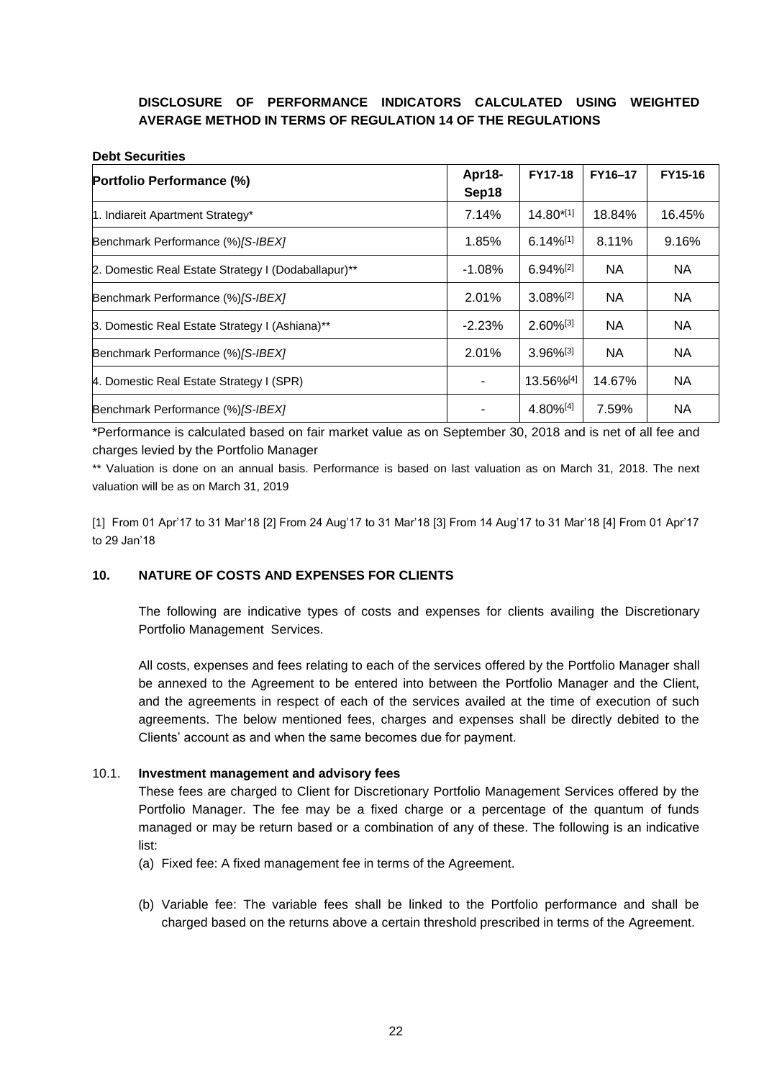# **DISCLOSURE OF PERFORMANCE INDICATORS CALCULATED USING WEIGHTED AVERAGE METHOD IN TERMS OF REGULATION 14 OF THE REGULATIONS**

#### **Debt Securities**

| Portfolio Performance (%)                           | Apr18-<br>Sep18 | <b>FY17-18</b>          | FY16-17   | FY15-16   |
|-----------------------------------------------------|-----------------|-------------------------|-----------|-----------|
| 1. Indiareit Apartment Strategy*                    | 7.14%           | $14.80^{*[1]}$          | 18.84%    | 16.45%    |
| Benchmark Performance (%) [S-IBEX]                  | 1.85%           | $6.14\%$ <sup>[1]</sup> | 8.11%     | 9.16%     |
| 2. Domestic Real Estate Strategy I (Dodaballapur)** | $-1.08\%$       | $6.94\%$ <sup>[2]</sup> | <b>NA</b> | <b>NA</b> |
| Benchmark Performance (%) [S-IBEX]                  | 2.01%           | $3.08\%$ <sup>[2]</sup> | <b>NA</b> | NA        |
| 3. Domestic Real Estate Strategy I (Ashiana)**      | $-2.23%$        | $2.60\%^{[3]}$          | <b>NA</b> | <b>NA</b> |
| Benchmark Performance (%) [S-IBEX]                  | 2.01%           | $3.96\%$ <sup>[3]</sup> | <b>NA</b> | <b>NA</b> |
| 4. Domestic Real Estate Strategy I (SPR)            | ٠               | 13.56%[4]               | 14.67%    | NA        |
| Benchmark Performance (%) [S-IBEX]                  |                 | 4.80%[4]                | 7.59%     | NA.       |

\*Performance is calculated based on fair market value as on September 30, 2018 and is net of all fee and charges levied by the Portfolio Manager

\*\* Valuation is done on an annual basis. Performance is based on last valuation as on March 31, 2018. The next valuation will be as on March 31, 2019

[1] From 01 Apr'17 to 31 Mar'18 [2] From 24 Aug'17 to 31 Mar'18 [3] From 14 Aug'17 to 31 Mar'18 [4] From 01 Apr'17 to 29 Jan'18

### **10. NATURE OF COSTS AND EXPENSES FOR CLIENTS**

The following are indicative types of costs and expenses for clients availing the Discretionary Portfolio Management Services.

All costs, expenses and fees relating to each of the services offered by the Portfolio Manager shall be annexed to the Agreement to be entered into between the Portfolio Manager and the Client, and the agreements in respect of each of the services availed at the time of execution of such agreements. The below mentioned fees, charges and expenses shall be directly debited to the Clients' account as and when the same becomes due for payment.

### 10.1. **Investment management and advisory fees**

These fees are charged to Client for Discretionary Portfolio Management Services offered by the Portfolio Manager. The fee may be a fixed charge or a percentage of the quantum of funds managed or may be return based or a combination of any of these. The following is an indicative list:

- (a) Fixed fee: A fixed management fee in terms of the Agreement.
- (b) Variable fee: The variable fees shall be linked to the Portfolio performance and shall be charged based on the returns above a certain threshold prescribed in terms of the Agreement.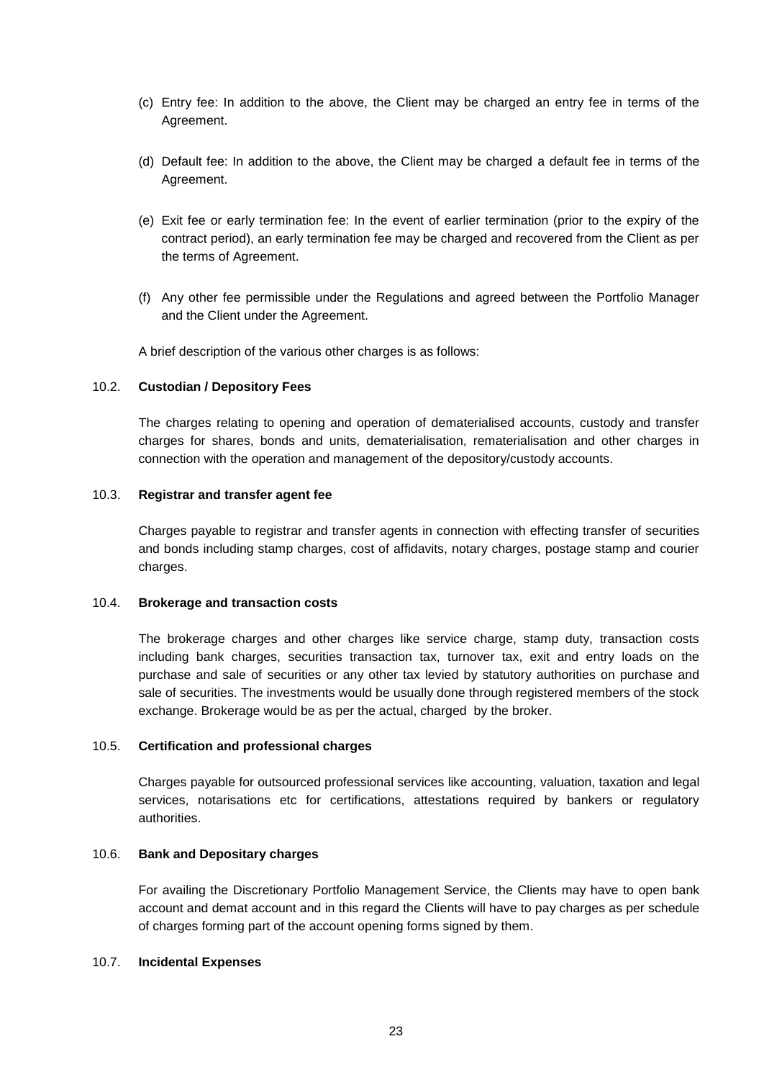- (c) Entry fee: In addition to the above, the Client may be charged an entry fee in terms of the Agreement.
- (d) Default fee: In addition to the above, the Client may be charged a default fee in terms of the Agreement.
- (e) Exit fee or early termination fee: In the event of earlier termination (prior to the expiry of the contract period), an early termination fee may be charged and recovered from the Client as per the terms of Agreement.
- (f) Any other fee permissible under the Regulations and agreed between the Portfolio Manager and the Client under the Agreement.

A brief description of the various other charges is as follows:

#### 10.2. **Custodian / Depository Fees**

The charges relating to opening and operation of dematerialised accounts, custody and transfer charges for shares, bonds and units, dematerialisation, rematerialisation and other charges in connection with the operation and management of the depository/custody accounts.

#### 10.3. **Registrar and transfer agent fee**

Charges payable to registrar and transfer agents in connection with effecting transfer of securities and bonds including stamp charges, cost of affidavits, notary charges, postage stamp and courier charges.

#### 10.4. **Brokerage and transaction costs**

The brokerage charges and other charges like service charge, stamp duty, transaction costs including bank charges, securities transaction tax, turnover tax, exit and entry loads on the purchase and sale of securities or any other tax levied by statutory authorities on purchase and sale of securities. The investments would be usually done through registered members of the stock exchange. Brokerage would be as per the actual, charged by the broker.

### 10.5. **Certification and professional charges**

Charges payable for outsourced professional services like accounting, valuation, taxation and legal services, notarisations etc for certifications, attestations required by bankers or regulatory authorities.

### 10.6. **Bank and Depositary charges**

For availing the Discretionary Portfolio Management Service, the Clients may have to open bank account and demat account and in this regard the Clients will have to pay charges as per schedule of charges forming part of the account opening forms signed by them.

#### 10.7. **Incidental Expenses**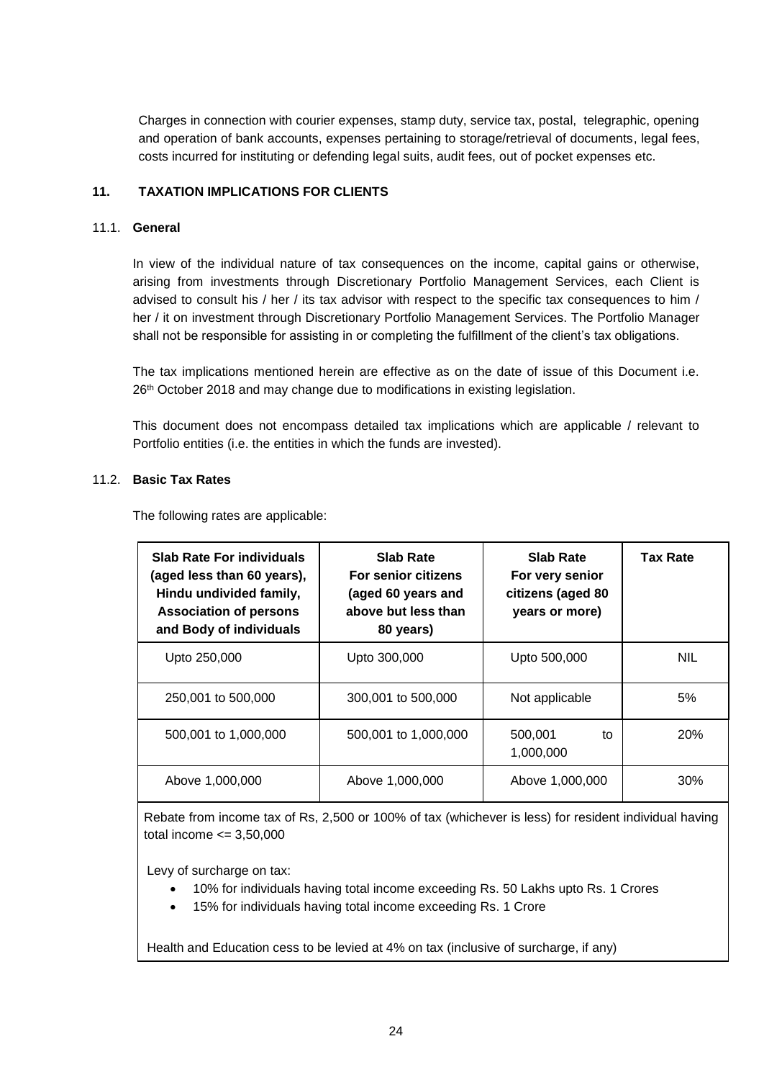Charges in connection with courier expenses, stamp duty, service tax, postal, telegraphic, opening and operation of bank accounts, expenses pertaining to storage/retrieval of documents, legal fees, costs incurred for instituting or defending legal suits, audit fees, out of pocket expenses etc.

### **11. TAXATION IMPLICATIONS FOR CLIENTS**

### 11.1. **General**

In view of the individual nature of tax consequences on the income, capital gains or otherwise, arising from investments through Discretionary Portfolio Management Services, each Client is advised to consult his / her / its tax advisor with respect to the specific tax consequences to him / her / it on investment through Discretionary Portfolio Management Services. The Portfolio Manager shall not be responsible for assisting in or completing the fulfillment of the client's tax obligations.

The tax implications mentioned herein are effective as on the date of issue of this Document i.e. 26<sup>th</sup> October 2018 and may change due to modifications in existing legislation.

This document does not encompass detailed tax implications which are applicable / relevant to Portfolio entities (i.e. the entities in which the funds are invested).

#### 11.2. **Basic Tax Rates**

The following rates are applicable:

| <b>Slab Rate For individuals</b><br>(aged less than 60 years),<br>Hindu undivided family,<br><b>Association of persons</b><br>and Body of individuals | Slab Rate<br>Slab Rate<br>For senior citizens<br>For very senior<br>citizens (aged 80<br>(aged 60 years and<br>above but less than<br>years or more)<br>80 years) |                            | <b>Tax Rate</b> |
|-------------------------------------------------------------------------------------------------------------------------------------------------------|-------------------------------------------------------------------------------------------------------------------------------------------------------------------|----------------------------|-----------------|
| Upto 250,000                                                                                                                                          | Upto 300,000                                                                                                                                                      | Upto 500,000               | <b>NIL</b>      |
| 250,001 to 500,000                                                                                                                                    | 300,001 to 500,000                                                                                                                                                | Not applicable             | 5%              |
| 500,001 to 1,000,000                                                                                                                                  | 500,001 to 1,000,000                                                                                                                                              | 500,001<br>to<br>1,000,000 | <b>20%</b>      |
| Above 1,000,000                                                                                                                                       | Above 1,000,000                                                                                                                                                   | Above 1,000,000            | 30%             |

Rebate from income tax of Rs, 2,500 or 100% of tax (whichever is less) for resident individual having total income  $\leq$  3,50,000

Levy of surcharge on tax:

- 10% for individuals having total income exceeding Rs. 50 Lakhs upto Rs. 1 Crores
- 15% for individuals having total income exceeding Rs. 1 Crore

Health and Education cess to be levied at 4% on tax (inclusive of surcharge, if any)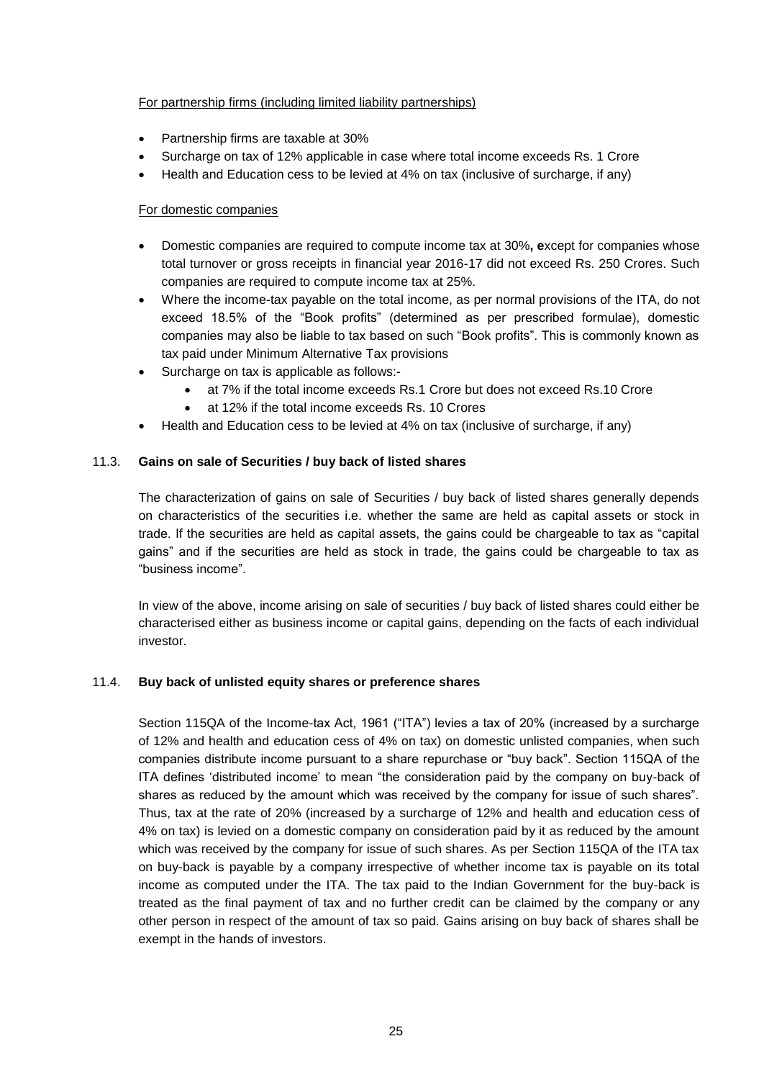### For partnership firms (including limited liability partnerships)

- Partnership firms are taxable at 30%
- Surcharge on tax of 12% applicable in case where total income exceeds Rs. 1 Crore
- Health and Education cess to be levied at 4% on tax (inclusive of surcharge, if any)

### For domestic companies

- Domestic companies are required to compute income tax at 30%**, e**xcept for companies whose total turnover or gross receipts in financial year 2016-17 did not exceed Rs. 250 Crores. Such companies are required to compute income tax at 25%.
- Where the income-tax payable on the total income, as per normal provisions of the ITA, do not exceed 18.5% of the "Book profits" (determined as per prescribed formulae), domestic companies may also be liable to tax based on such "Book profits". This is commonly known as tax paid under Minimum Alternative Tax provisions
- Surcharge on tax is applicable as follows:
	- at 7% if the total income exceeds Rs.1 Crore but does not exceed Rs.10 Crore
	- at 12% if the total income exceeds Rs. 10 Crores
- Health and Education cess to be levied at 4% on tax (inclusive of surcharge, if any)

### 11.3. **Gains on sale of Securities / buy back of listed shares**

The characterization of gains on sale of Securities / buy back of listed shares generally depends on characteristics of the securities i.e. whether the same are held as capital assets or stock in trade. If the securities are held as capital assets, the gains could be chargeable to tax as "capital gains" and if the securities are held as stock in trade, the gains could be chargeable to tax as "business income".

In view of the above, income arising on sale of securities / buy back of listed shares could either be characterised either as business income or capital gains, depending on the facts of each individual investor.

### 11.4. **Buy back of unlisted equity shares or preference shares**

Section 115QA of the Income-tax Act, 1961 ("ITA") levies a tax of 20% (increased by a surcharge of 12% and health and education cess of 4% on tax) on domestic unlisted companies, when such companies distribute income pursuant to a share repurchase or "buy back". Section 115QA of the ITA defines 'distributed income' to mean "the consideration paid by the company on buy-back of shares as reduced by the amount which was received by the company for issue of such shares". Thus, tax at the rate of 20% (increased by a surcharge of 12% and health and education cess of 4% on tax) is levied on a domestic company on consideration paid by it as reduced by the amount which was received by the company for issue of such shares. As per Section 115QA of the ITA tax on buy-back is payable by a company irrespective of whether income tax is payable on its total income as computed under the ITA. The tax paid to the Indian Government for the buy-back is treated as the final payment of tax and no further credit can be claimed by the company or any other person in respect of the amount of tax so paid. Gains arising on buy back of shares shall be exempt in the hands of investors.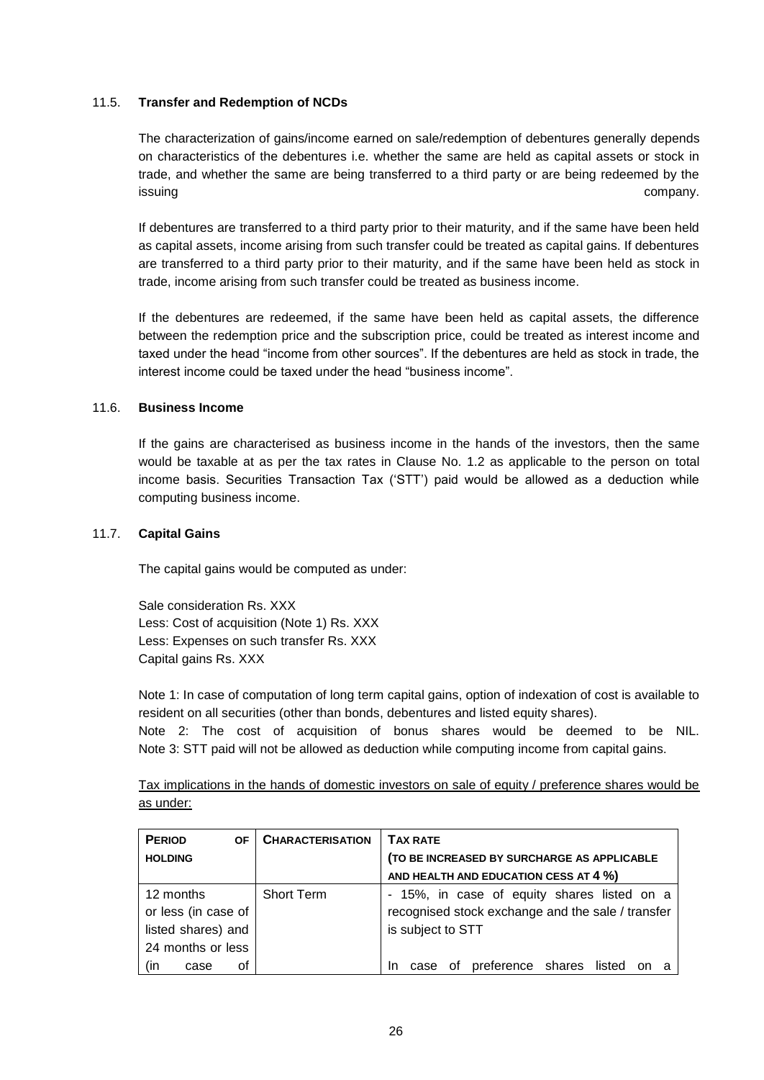### 11.5. **Transfer and Redemption of NCDs**

The characterization of gains/income earned on sale/redemption of debentures generally depends on characteristics of the debentures i.e. whether the same are held as capital assets or stock in trade, and whether the same are being transferred to a third party or are being redeemed by the issuing company. In this company, the company of the company company company company.

If debentures are transferred to a third party prior to their maturity, and if the same have been held as capital assets, income arising from such transfer could be treated as capital gains. If debentures are transferred to a third party prior to their maturity, and if the same have been held as stock in trade, income arising from such transfer could be treated as business income.

If the debentures are redeemed, if the same have been held as capital assets, the difference between the redemption price and the subscription price, could be treated as interest income and taxed under the head "income from other sources". If the debentures are held as stock in trade, the interest income could be taxed under the head "business income".

### 11.6. **Business Income**

If the gains are characterised as business income in the hands of the investors, then the same would be taxable at as per the tax rates in Clause No. 1.2 as applicable to the person on total income basis. Securities Transaction Tax ('STT') paid would be allowed as a deduction while computing business income.

#### 11.7. **Capital Gains**

The capital gains would be computed as under:

Sale consideration Rs. XXX Less: Cost of acquisition (Note 1) Rs. XXX Less: Expenses on such transfer Rs. XXX Capital gains Rs. XXX

Note 1: In case of computation of long term capital gains, option of indexation of cost is available to resident on all securities (other than bonds, debentures and listed equity shares).

Note 2: The cost of acquisition of bonus shares would be deemed to be NIL. Note 3: STT paid will not be allowed as deduction while computing income from capital gains.

Tax implications in the hands of domestic investors on sale of equity / preference shares would be as under:

| <b>PERIOD</b><br><b>OF</b> | <b>CHARACTERISATION</b> | <b>TAX RATE</b>                                   |
|----------------------------|-------------------------|---------------------------------------------------|
| <b>HOLDING</b>             |                         | (TO BE INCREASED BY SURCHARGE AS APPLICABLE       |
|                            |                         | AND HEALTH AND EDUCATION CESS AT 4 %)             |
| 12 months                  | <b>Short Term</b>       | - 15%, in case of equity shares listed on a       |
| or less (in case of        |                         | recognised stock exchange and the sale / transfer |
| listed shares) and         |                         | is subject to STT                                 |
| 24 months or less          |                         |                                                   |
| (in<br>οf<br>case          |                         | of preference shares listed<br>case<br>In.<br>on  |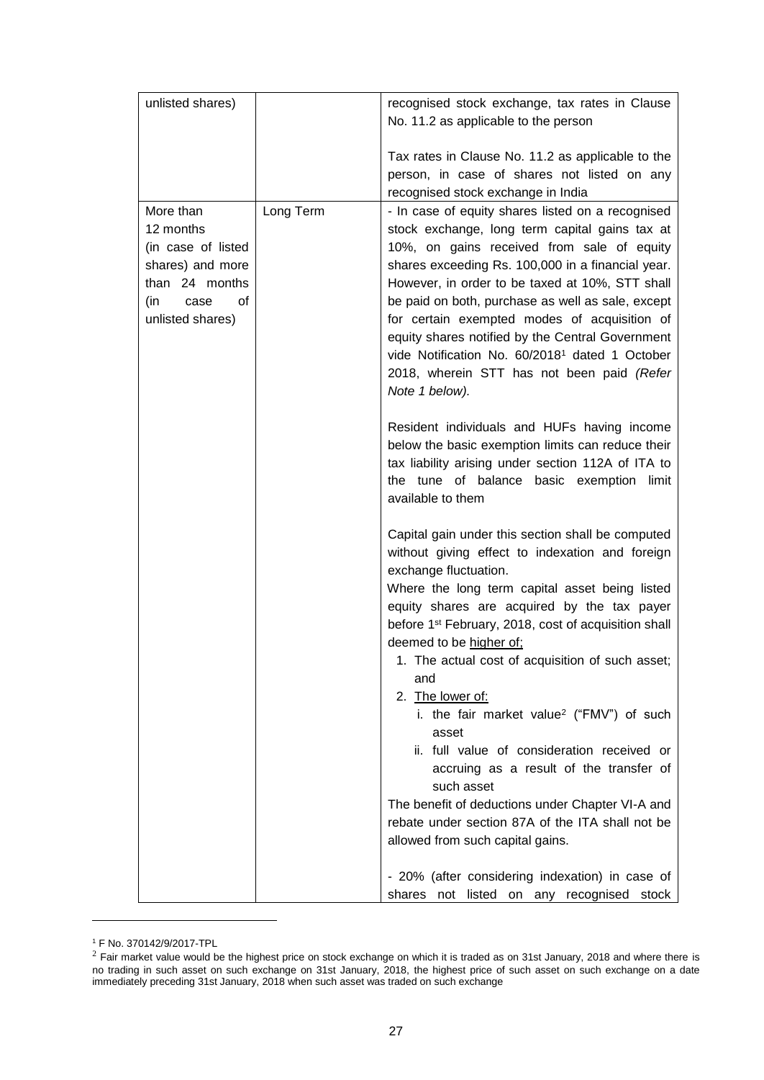| unlisted shares)                                                                                                            |           | recognised stock exchange, tax rates in Clause<br>No. 11.2 as applicable to the person                                                                                                                                                                                                                                                                                                                                                                                                                                                                                                 |  |  |  |  |  |
|-----------------------------------------------------------------------------------------------------------------------------|-----------|----------------------------------------------------------------------------------------------------------------------------------------------------------------------------------------------------------------------------------------------------------------------------------------------------------------------------------------------------------------------------------------------------------------------------------------------------------------------------------------------------------------------------------------------------------------------------------------|--|--|--|--|--|
|                                                                                                                             |           | Tax rates in Clause No. 11.2 as applicable to the<br>person, in case of shares not listed on any<br>recognised stock exchange in India                                                                                                                                                                                                                                                                                                                                                                                                                                                 |  |  |  |  |  |
| More than<br>12 months<br>(in case of listed<br>shares) and more<br>than 24 months<br>(in<br>case<br>οf<br>unlisted shares) | Long Term | - In case of equity shares listed on a recognised<br>stock exchange, long term capital gains tax at<br>10%, on gains received from sale of equity<br>shares exceeding Rs. 100,000 in a financial year.<br>However, in order to be taxed at 10%, STT shall<br>be paid on both, purchase as well as sale, except<br>for certain exempted modes of acquisition of<br>equity shares notified by the Central Government<br>vide Notification No. 60/2018 <sup>1</sup> dated 1 October<br>2018, wherein STT has not been paid (Refer<br>Note 1 below).                                       |  |  |  |  |  |
|                                                                                                                             |           | Resident individuals and HUFs having income<br>below the basic exemption limits can reduce their<br>tax liability arising under section 112A of ITA to<br>the tune of balance basic exemption limit<br>available to them                                                                                                                                                                                                                                                                                                                                                               |  |  |  |  |  |
|                                                                                                                             |           | Capital gain under this section shall be computed<br>without giving effect to indexation and foreign<br>exchange fluctuation.<br>Where the long term capital asset being listed<br>equity shares are acquired by the tax payer<br>before 1 <sup>st</sup> February, 2018, cost of acquisition shall<br>deemed to be higher of;<br>1. The actual cost of acquisition of such asset;<br>and<br>2. The lower of:<br>i. the fair market value <sup>2</sup> ("FMV") of such<br>asset<br>ii. full value of consideration received or<br>accruing as a result of the transfer of<br>such asset |  |  |  |  |  |
|                                                                                                                             |           | The benefit of deductions under Chapter VI-A and<br>rebate under section 87A of the ITA shall not be<br>allowed from such capital gains.                                                                                                                                                                                                                                                                                                                                                                                                                                               |  |  |  |  |  |
|                                                                                                                             |           | - 20% (after considering indexation) in case of<br>shares not listed on any recognised stock                                                                                                                                                                                                                                                                                                                                                                                                                                                                                           |  |  |  |  |  |

<sup>1</sup> F No. 370142/9/2017-TPL

-

 $^2$  Fair market value would be the highest price on stock exchange on which it is traded as on 31st January, 2018 and where there is no trading in such asset on such exchange on 31st January, 2018, the highest price of such asset on such exchange on a date immediately preceding 31st January, 2018 when such asset was traded on such exchange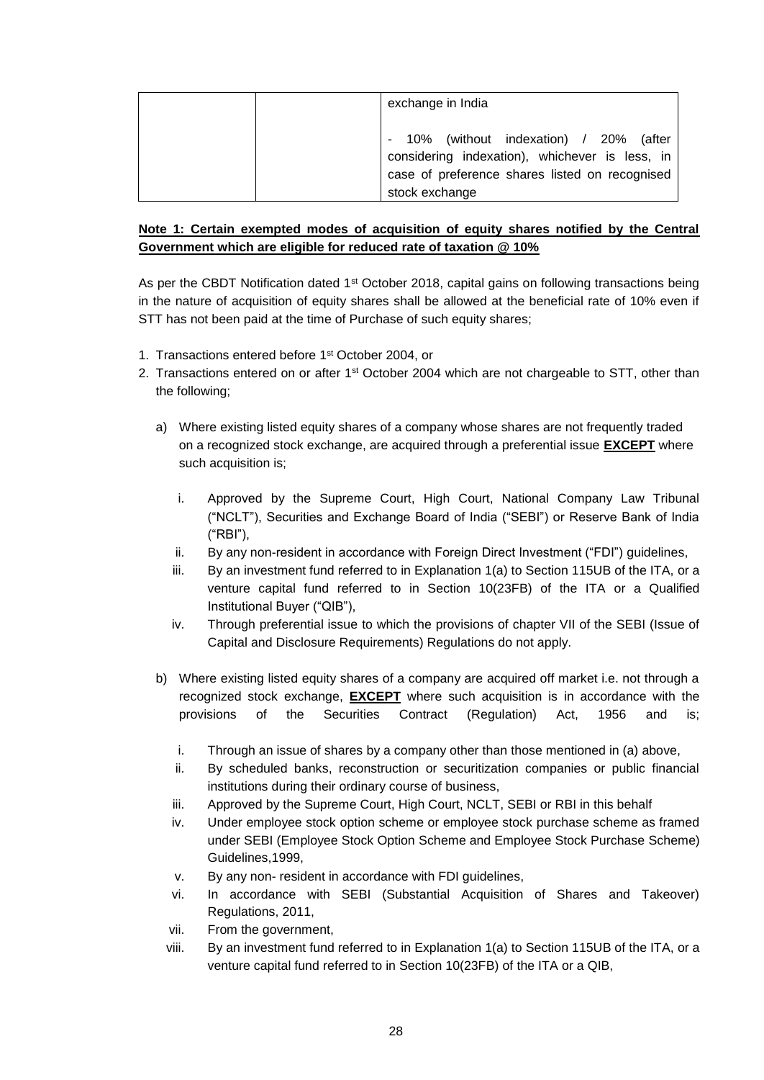| exchange in India                                                                                                                                           |
|-------------------------------------------------------------------------------------------------------------------------------------------------------------|
| 10% (without indexation) / 20% (after<br>considering indexation), whichever is less, in<br>case of preference shares listed on recognised<br>stock exchange |

# **Note 1: Certain exempted modes of acquisition of equity shares notified by the Central Government which are eligible for reduced rate of taxation @ 10%**

As per the CBDT Notification dated 1<sup>st</sup> October 2018, capital gains on following transactions being in the nature of acquisition of equity shares shall be allowed at the beneficial rate of 10% even if STT has not been paid at the time of Purchase of such equity shares;

- 1. Transactions entered before 1st October 2004, or
- 2. Transactions entered on or after 1<sup>st</sup> October 2004 which are not chargeable to STT, other than the following;
	- a) Where existing listed equity shares of a company whose shares are not frequently traded on a recognized stock exchange, are acquired through a preferential issue **EXCEPT** where such acquisition is;
		- i. Approved by the Supreme Court, High Court, National Company Law Tribunal ("NCLT"), Securities and Exchange Board of India ("SEBI") or Reserve Bank of India ("RBI"),
		- ii. By any non-resident in accordance with Foreign Direct Investment ("FDI") guidelines,
		- iii. By an investment fund referred to in Explanation 1(a) to Section 115UB of the ITA, or a venture capital fund referred to in Section 10(23FB) of the ITA or a Qualified Institutional Buyer ("QIB"),
		- iv. Through preferential issue to which the provisions of chapter VII of the SEBI (Issue of Capital and Disclosure Requirements) Regulations do not apply.
	- b) Where existing listed equity shares of a company are acquired off market i.e. not through a recognized stock exchange, **EXCEPT** where such acquisition is in accordance with the provisions of the Securities Contract (Regulation) Act, 1956 and is;
		- i. Through an issue of shares by a company other than those mentioned in (a) above,
		- ii. By scheduled banks, reconstruction or securitization companies or public financial institutions during their ordinary course of business,
		- iii. Approved by the Supreme Court, High Court, NCLT, SEBI or RBI in this behalf
		- iv. Under employee stock option scheme or employee stock purchase scheme as framed under SEBI (Employee Stock Option Scheme and Employee Stock Purchase Scheme) Guidelines,1999,
		- v. By any non- resident in accordance with FDI guidelines,
		- vi. In accordance with SEBI (Substantial Acquisition of Shares and Takeover) Regulations, 2011,
		- vii. From the government,
		- viii. By an investment fund referred to in Explanation 1(a) to Section 115UB of the ITA, or a venture capital fund referred to in Section 10(23FB) of the ITA or a QIB,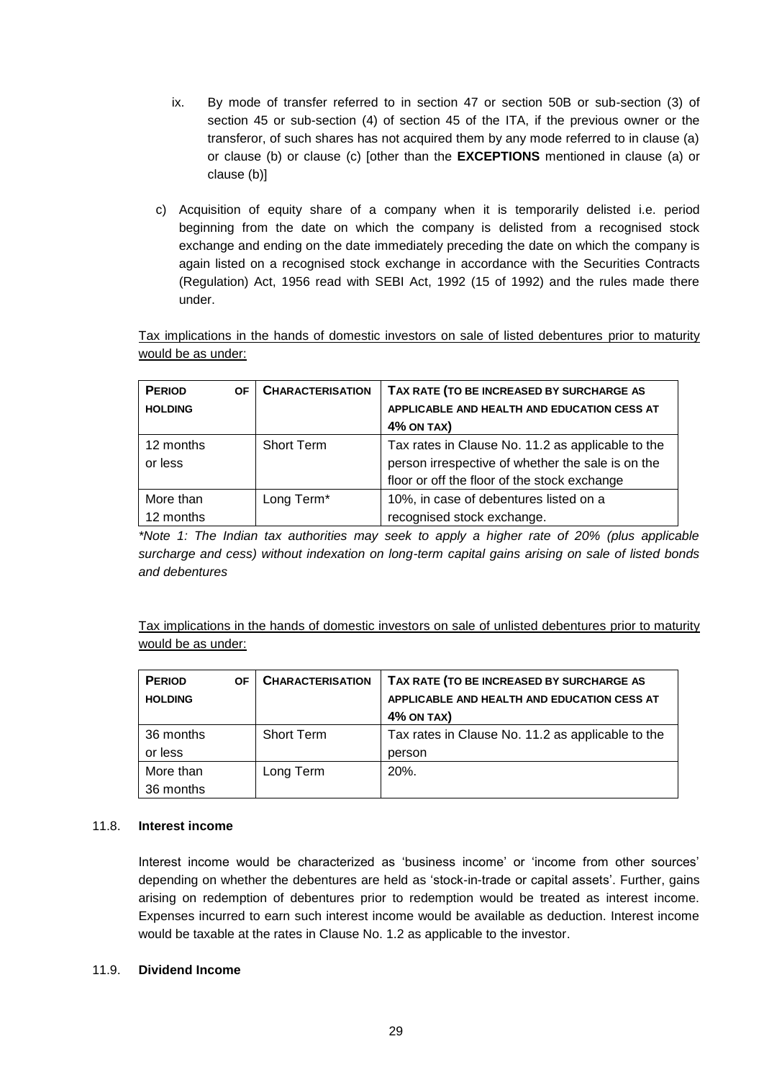- ix. By mode of transfer referred to in section 47 or section 50B or sub-section (3) of section 45 or sub-section (4) of section 45 of the ITA, if the previous owner or the transferor, of such shares has not acquired them by any mode referred to in clause (a) or clause (b) or clause (c) [other than the **EXCEPTIONS** mentioned in clause (a) or clause (b)]
- c) Acquisition of equity share of a company when it is temporarily delisted i.e. period beginning from the date on which the company is delisted from a recognised stock exchange and ending on the date immediately preceding the date on which the company is again listed on a recognised stock exchange in accordance with the Securities Contracts (Regulation) Act, 1956 read with SEBI Act, 1992 (15 of 1992) and the rules made there under.

Tax implications in the hands of domestic investors on sale of listed debentures prior to maturity would be as under:

| <b>PERIOD</b>  | <b>OF</b> | <b>CHARACTERISATION</b> | TAX RATE (TO BE INCREASED BY SURCHARGE AS         |  |
|----------------|-----------|-------------------------|---------------------------------------------------|--|
| <b>HOLDING</b> |           |                         | APPLICABLE AND HEALTH AND EDUCATION CESS AT       |  |
|                |           |                         | <b>4% ON TAX)</b>                                 |  |
| 12 months      |           | <b>Short Term</b>       | Tax rates in Clause No. 11.2 as applicable to the |  |
| or less        |           |                         | person irrespective of whether the sale is on the |  |
|                |           |                         | floor or off the floor of the stock exchange      |  |
| More than      |           | Long Term*              | 10%, in case of debentures listed on a            |  |
| 12 months      |           |                         | recognised stock exchange.                        |  |

*\*Note 1: The Indian tax authorities may seek to apply a higher rate of 20% (plus applicable surcharge and cess) without indexation on long-term capital gains arising on sale of listed bonds and debentures*

Tax implications in the hands of domestic investors on sale of unlisted debentures prior to maturity would be as under:

| <b>PERIOD</b>  | ΟF | <b>CHARACTERISATION</b> | TAX RATE (TO BE INCREASED BY SURCHARGE AS         |  |  |
|----------------|----|-------------------------|---------------------------------------------------|--|--|
| <b>HOLDING</b> |    |                         | APPLICABLE AND HEALTH AND EDUCATION CESS AT       |  |  |
|                |    |                         | <b>4% ON TAX)</b>                                 |  |  |
| 36 months      |    | <b>Short Term</b>       | Tax rates in Clause No. 11.2 as applicable to the |  |  |
| or less        |    |                         | person                                            |  |  |
| More than      |    | Long Term               | $20%$ .                                           |  |  |
| 36 months      |    |                         |                                                   |  |  |

### 11.8. **Interest income**

Interest income would be characterized as 'business income' or 'income from other sources' depending on whether the debentures are held as 'stock-in-trade or capital assets'. Further, gains arising on redemption of debentures prior to redemption would be treated as interest income. Expenses incurred to earn such interest income would be available as deduction. Interest income would be taxable at the rates in Clause No. 1.2 as applicable to the investor.

#### 11.9. **Dividend Income**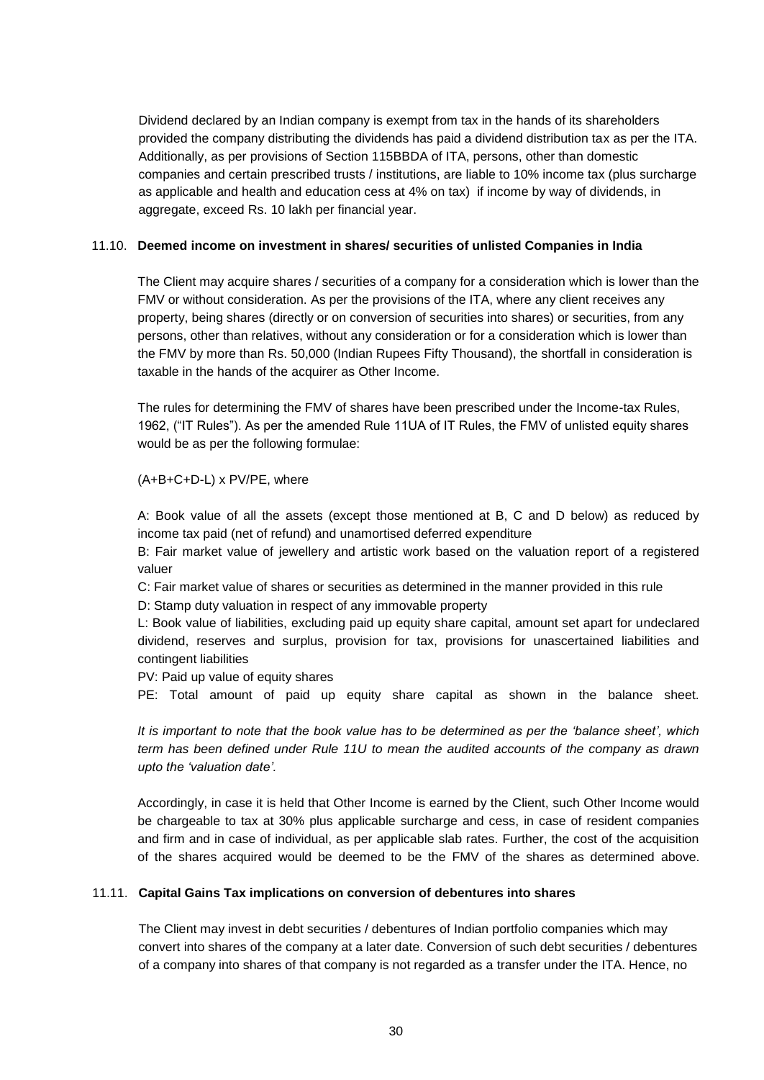Dividend declared by an Indian company is exempt from tax in the hands of its shareholders provided the company distributing the dividends has paid a dividend distribution tax as per the ITA. Additionally, as per provisions of Section 115BBDA of ITA, persons, other than domestic companies and certain prescribed trusts / institutions, are liable to 10% income tax (plus surcharge as applicable and health and education cess at 4% on tax) if income by way of dividends, in aggregate, exceed Rs. 10 lakh per financial year.

#### 11.10. **Deemed income on investment in shares/ securities of unlisted Companies in India**

The Client may acquire shares / securities of a company for a consideration which is lower than the FMV or without consideration. As per the provisions of the ITA, where any client receives any property, being shares (directly or on conversion of securities into shares) or securities, from any persons, other than relatives, without any consideration or for a consideration which is lower than the FMV by more than Rs. 50,000 (Indian Rupees Fifty Thousand), the shortfall in consideration is taxable in the hands of the acquirer as Other Income.

The rules for determining the FMV of shares have been prescribed under the Income-tax Rules, 1962, ("IT Rules"). As per the amended Rule 11UA of IT Rules, the FMV of unlisted equity shares would be as per the following formulae:

#### (A+B+C+D-L) x PV/PE, where

A: Book value of all the assets (except those mentioned at B, C and D below) as reduced by income tax paid (net of refund) and unamortised deferred expenditure

B: Fair market value of jewellery and artistic work based on the valuation report of a registered valuer

C: Fair market value of shares or securities as determined in the manner provided in this rule

D: Stamp duty valuation in respect of any immovable property

L: Book value of liabilities, excluding paid up equity share capital, amount set apart for undeclared dividend, reserves and surplus, provision for tax, provisions for unascertained liabilities and contingent liabilities

PV: Paid up value of equity shares

PE: Total amount of paid up equity share capital as shown in the balance sheet.

*It is important to note that the book value has to be determined as per the 'balance sheet', which term has been defined under Rule 11U to mean the audited accounts of the company as drawn upto the 'valuation date'.*

Accordingly, in case it is held that Other Income is earned by the Client, such Other Income would be chargeable to tax at 30% plus applicable surcharge and cess, in case of resident companies and firm and in case of individual, as per applicable slab rates. Further, the cost of the acquisition of the shares acquired would be deemed to be the FMV of the shares as determined above.

### 11.11. **Capital Gains Tax implications on conversion of debentures into shares**

The Client may invest in debt securities / debentures of Indian portfolio companies which may convert into shares of the company at a later date. Conversion of such debt securities / debentures of a company into shares of that company is not regarded as a transfer under the ITA. Hence, no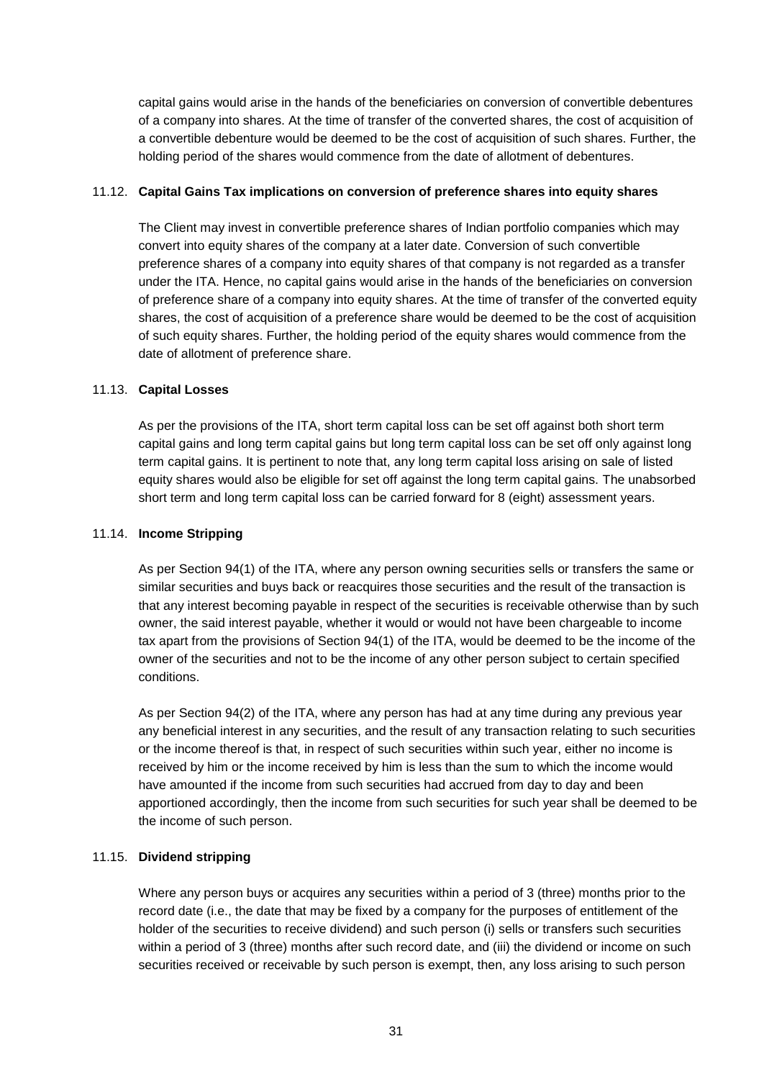capital gains would arise in the hands of the beneficiaries on conversion of convertible debentures of a company into shares. At the time of transfer of the converted shares, the cost of acquisition of a convertible debenture would be deemed to be the cost of acquisition of such shares. Further, the holding period of the shares would commence from the date of allotment of debentures.

### 11.12. **Capital Gains Tax implications on conversion of preference shares into equity shares**

The Client may invest in convertible preference shares of Indian portfolio companies which may convert into equity shares of the company at a later date. Conversion of such convertible preference shares of a company into equity shares of that company is not regarded as a transfer under the ITA. Hence, no capital gains would arise in the hands of the beneficiaries on conversion of preference share of a company into equity shares. At the time of transfer of the converted equity shares, the cost of acquisition of a preference share would be deemed to be the cost of acquisition of such equity shares. Further, the holding period of the equity shares would commence from the date of allotment of preference share.

#### 11.13. **Capital Losses**

As per the provisions of the ITA, short term capital loss can be set off against both short term capital gains and long term capital gains but long term capital loss can be set off only against long term capital gains. It is pertinent to note that, any long term capital loss arising on sale of listed equity shares would also be eligible for set off against the long term capital gains. The unabsorbed short term and long term capital loss can be carried forward for 8 (eight) assessment years.

#### 11.14. **Income Stripping**

As per Section 94(1) of the ITA, where any person owning securities sells or transfers the same or similar securities and buys back or reacquires those securities and the result of the transaction is that any interest becoming payable in respect of the securities is receivable otherwise than by such owner, the said interest payable, whether it would or would not have been chargeable to income tax apart from the provisions of Section 94(1) of the ITA, would be deemed to be the income of the owner of the securities and not to be the income of any other person subject to certain specified conditions.

As per Section 94(2) of the ITA, where any person has had at any time during any previous year any beneficial interest in any securities, and the result of any transaction relating to such securities or the income thereof is that, in respect of such securities within such year, either no income is received by him or the income received by him is less than the sum to which the income would have amounted if the income from such securities had accrued from day to day and been apportioned accordingly, then the income from such securities for such year shall be deemed to be the income of such person.

### 11.15. **Dividend stripping**

Where any person buys or acquires any securities within a period of 3 (three) months prior to the record date (i.e., the date that may be fixed by a company for the purposes of entitlement of the holder of the securities to receive dividend) and such person (i) sells or transfers such securities within a period of 3 (three) months after such record date, and (iii) the dividend or income on such securities received or receivable by such person is exempt, then, any loss arising to such person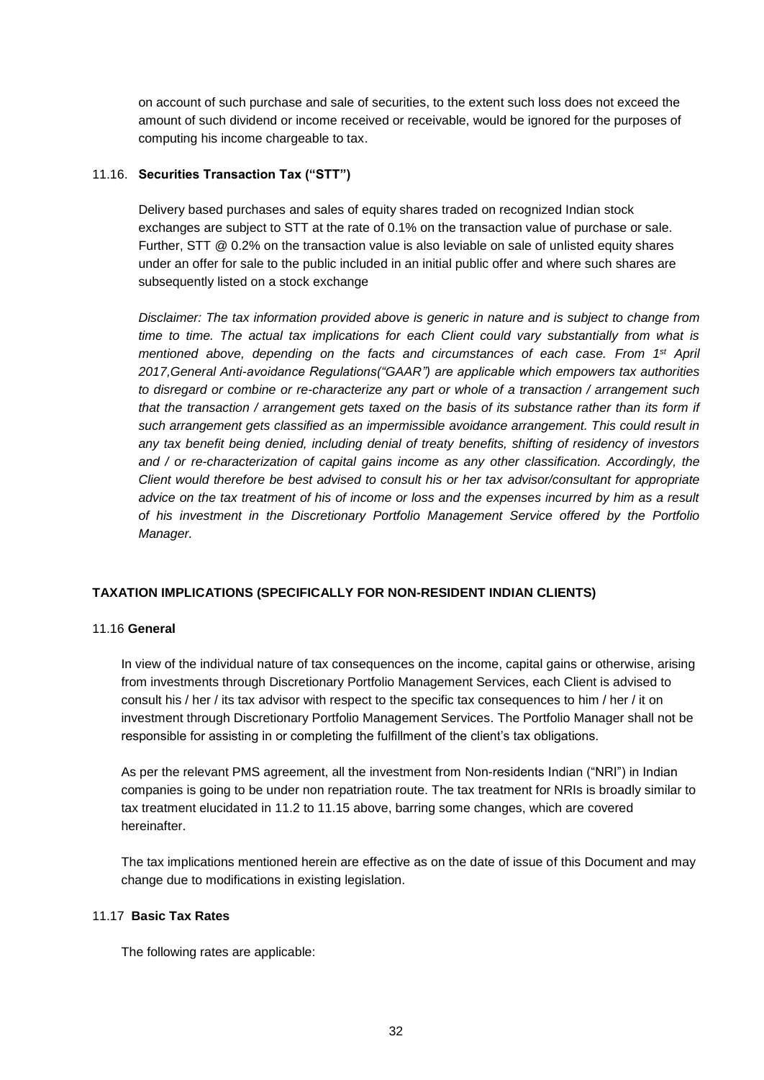on account of such purchase and sale of securities, to the extent such loss does not exceed the amount of such dividend or income received or receivable, would be ignored for the purposes of computing his income chargeable to tax.

### 11.16. **Securities Transaction Tax ("STT")**

Delivery based purchases and sales of equity shares traded on recognized Indian stock exchanges are subject to STT at the rate of 0.1% on the transaction value of purchase or sale. Further, STT @ 0.2% on the transaction value is also leviable on sale of unlisted equity shares under an offer for sale to the public included in an initial public offer and where such shares are subsequently listed on a stock exchange

*Disclaimer: The tax information provided above is generic in nature and is subject to change from time to time. The actual tax implications for each Client could vary substantially from what is mentioned above, depending on the facts and circumstances of each case. From 1st April 2017,General Anti-avoidance Regulations("GAAR") are applicable which empowers tax authorities to disregard or combine or re-characterize any part or whole of a transaction / arrangement such that the transaction / arrangement gets taxed on the basis of its substance rather than its form if such arrangement gets classified as an impermissible avoidance arrangement. This could result in any tax benefit being denied, including denial of treaty benefits, shifting of residency of investors and / or re-characterization of capital gains income as any other classification. Accordingly, the Client would therefore be best advised to consult his or her tax advisor/consultant for appropriate advice on the tax treatment of his of income or loss and the expenses incurred by him as a result of his investment in the Discretionary Portfolio Management Service offered by the Portfolio Manager.*

# **TAXATION IMPLICATIONS (SPECIFICALLY FOR NON-RESIDENT INDIAN CLIENTS)**

### 11.16 **General**

In view of the individual nature of tax consequences on the income, capital gains or otherwise, arising from investments through Discretionary Portfolio Management Services, each Client is advised to consult his / her / its tax advisor with respect to the specific tax consequences to him / her / it on investment through Discretionary Portfolio Management Services. The Portfolio Manager shall not be responsible for assisting in or completing the fulfillment of the client's tax obligations.

As per the relevant PMS agreement, all the investment from Non-residents Indian ("NRI") in Indian companies is going to be under non repatriation route. The tax treatment for NRIs is broadly similar to tax treatment elucidated in 11.2 to 11.15 above, barring some changes, which are covered hereinafter.

The tax implications mentioned herein are effective as on the date of issue of this Document and may change due to modifications in existing legislation.

### 11.17 **Basic Tax Rates**

The following rates are applicable: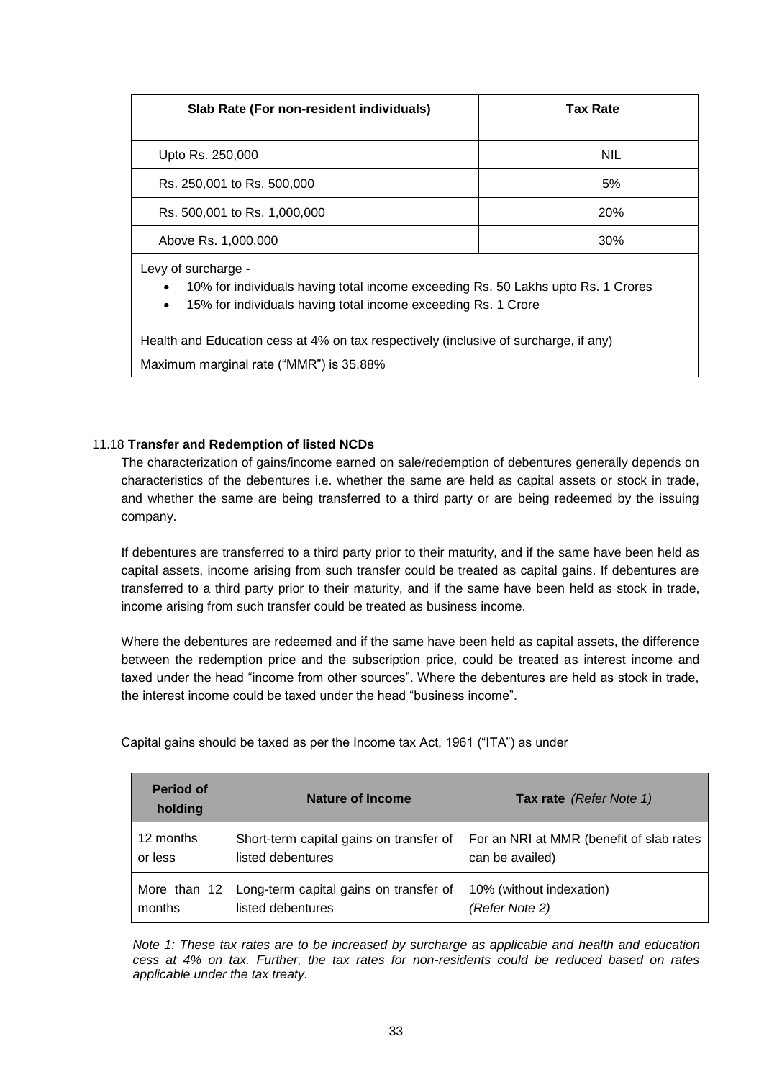| Slab Rate (For non-resident individuals)                                                                                                                                                           | <b>Tax Rate</b> |  |  |  |  |
|----------------------------------------------------------------------------------------------------------------------------------------------------------------------------------------------------|-----------------|--|--|--|--|
| Upto Rs. 250,000                                                                                                                                                                                   | <b>NIL</b>      |  |  |  |  |
| Rs. 250,001 to Rs. 500,000                                                                                                                                                                         | 5%              |  |  |  |  |
| Rs. 500,001 to Rs. 1,000,000                                                                                                                                                                       | <b>20%</b>      |  |  |  |  |
| Above Rs. 1,000,000                                                                                                                                                                                | 30%             |  |  |  |  |
| Levy of surcharge -<br>10% for individuals having total income exceeding Rs. 50 Lakhs upto Rs. 1 Crores<br>$\bullet$<br>15% for individuals having total income exceeding Rs. 1 Crore<br>$\bullet$ |                 |  |  |  |  |

Health and Education cess at 4% on tax respectively (inclusive of surcharge, if any) Maximum marginal rate ("MMR") is 35.88%

# 11.18 **Transfer and Redemption of listed NCDs**

The characterization of gains/income earned on sale/redemption of debentures generally depends on characteristics of the debentures i.e. whether the same are held as capital assets or stock in trade, and whether the same are being transferred to a third party or are being redeemed by the issuing company.

If debentures are transferred to a third party prior to their maturity, and if the same have been held as capital assets, income arising from such transfer could be treated as capital gains. If debentures are transferred to a third party prior to their maturity, and if the same have been held as stock in trade, income arising from such transfer could be treated as business income.

Where the debentures are redeemed and if the same have been held as capital assets, the difference between the redemption price and the subscription price, could be treated as interest income and taxed under the head "income from other sources". Where the debentures are held as stock in trade, the interest income could be taxed under the head "business income".

| <b>Period of</b><br>holding | Nature of Income                        | Tax rate (Refer Note 1)                  |
|-----------------------------|-----------------------------------------|------------------------------------------|
| 12 months                   | Short-term capital gains on transfer of | For an NRI at MMR (benefit of slab rates |
| or less                     | listed debentures                       | can be availed)                          |
| More than 12                | Long-term capital gains on transfer of  | 10% (without indexation)                 |
| months                      | listed debentures                       | (Refer Note 2)                           |

Capital gains should be taxed as per the Income tax Act, 1961 ("ITA") as under

*Note 1: These tax rates are to be increased by surcharge as applicable and health and education cess at 4% on tax. Further, the tax rates for non-residents could be reduced based on rates applicable under the tax treaty.*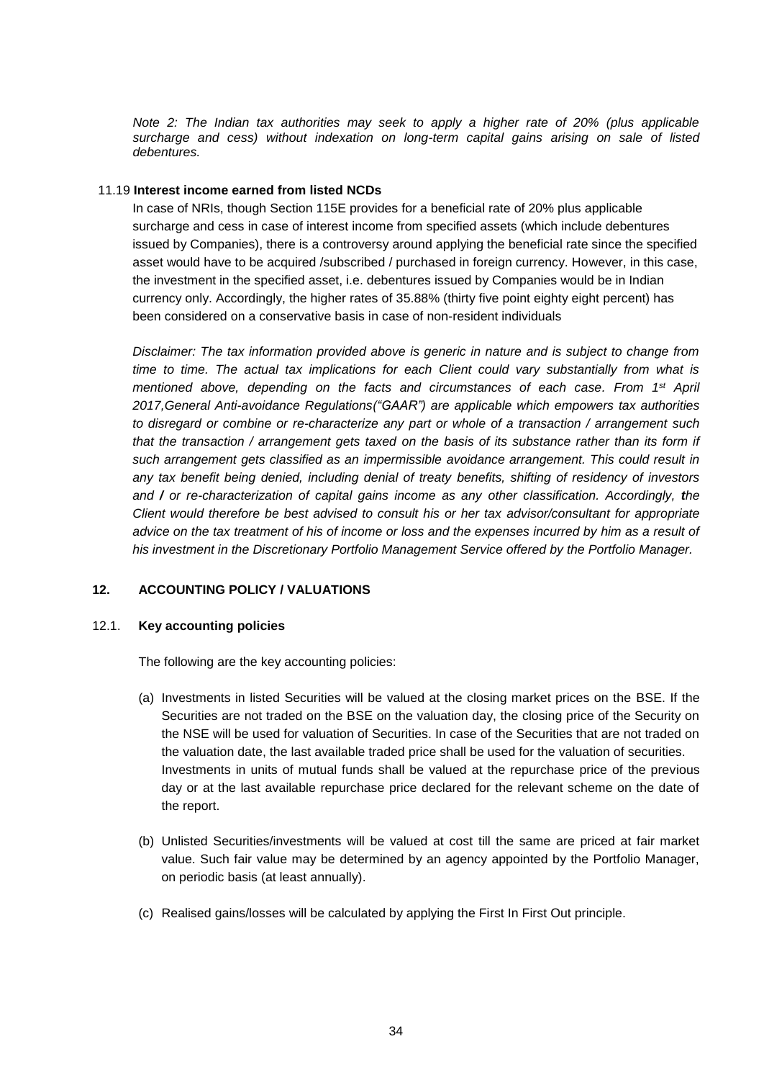*Note 2: The Indian tax authorities may seek to apply a higher rate of 20% (plus applicable surcharge and cess) without indexation on long-term capital gains arising on sale of listed debentures.*

#### 11.19 **Interest income earned from listed NCDs**

In case of NRIs, though Section 115E provides for a beneficial rate of 20% plus applicable surcharge and cess in case of interest income from specified assets (which include debentures issued by Companies), there is a controversy around applying the beneficial rate since the specified asset would have to be acquired /subscribed / purchased in foreign currency. However, in this case, the investment in the specified asset, i.e. debentures issued by Companies would be in Indian currency only. Accordingly, the higher rates of 35.88% (thirty five point eighty eight percent) has been considered on a conservative basis in case of non-resident individuals

*Disclaimer: The tax information provided above is generic in nature and is subject to change from time to time. The actual tax implications for each Client could vary substantially from what is mentioned above, depending on the facts and circumstances of each case. From 1st April 2017,General Anti-avoidance Regulations("GAAR") are applicable which empowers tax authorities to disregard or combine or re-characterize any part or whole of a transaction / arrangement such that the transaction / arrangement gets taxed on the basis of its substance rather than its form if such arrangement gets classified as an impermissible avoidance arrangement. This could result in any tax benefit being denied, including denial of treaty benefits, shifting of residency of investors and / or re-characterization of capital gains income as any other classification. Accordingly, the Client would therefore be best advised to consult his or her tax advisor/consultant for appropriate advice on the tax treatment of his of income or loss and the expenses incurred by him as a result of his investment in the Discretionary Portfolio Management Service offered by the Portfolio Manager.*

### **12. ACCOUNTING POLICY / VALUATIONS**

#### 12.1. **Key accounting policies**

The following are the key accounting policies:

- (a) Investments in listed Securities will be valued at the closing market prices on the BSE. If the Securities are not traded on the BSE on the valuation day, the closing price of the Security on the NSE will be used for valuation of Securities. In case of the Securities that are not traded on the valuation date, the last available traded price shall be used for the valuation of securities. Investments in units of mutual funds shall be valued at the repurchase price of the previous day or at the last available repurchase price declared for the relevant scheme on the date of the report.
- (b) Unlisted Securities/investments will be valued at cost till the same are priced at fair market value. Such fair value may be determined by an agency appointed by the Portfolio Manager, on periodic basis (at least annually).
- (c) Realised gains/losses will be calculated by applying the First In First Out principle.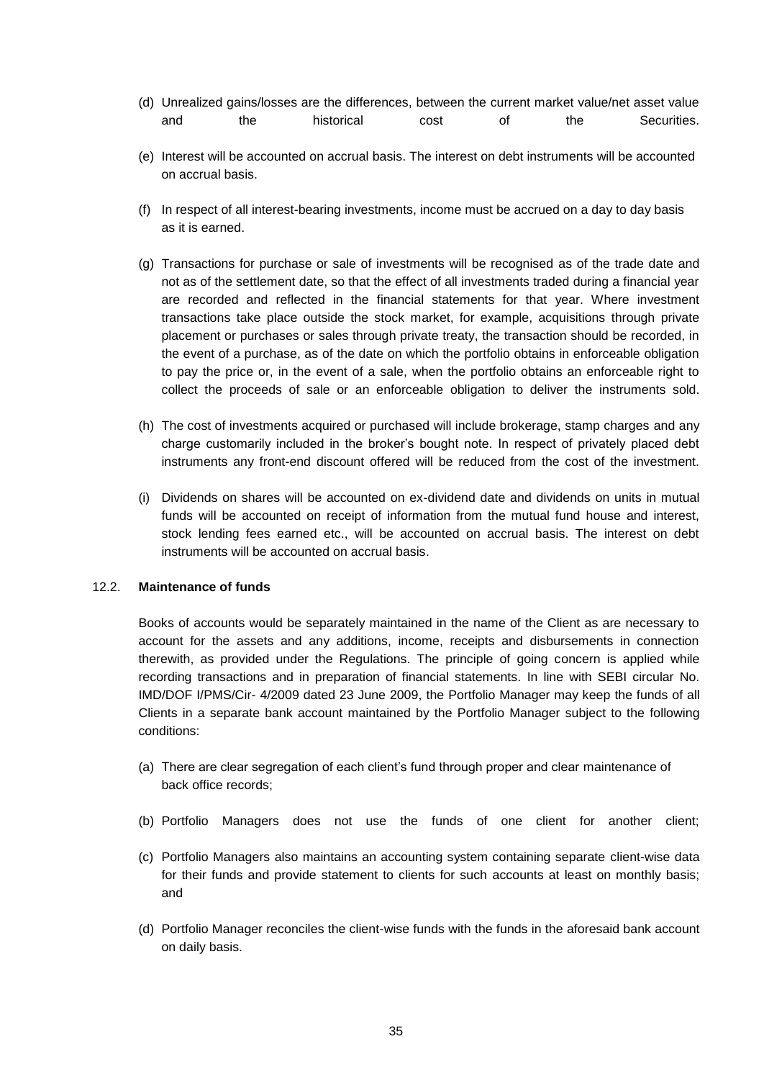- (d) Unrealized gains/losses are the differences, between the current market value/net asset value and the historical cost of the Securities.
- (e) Interest will be accounted on accrual basis. The interest on debt instruments will be accounted on accrual basis.
- (f) In respect of all interest-bearing investments, income must be accrued on a day to day basis as it is earned.
- (g) Transactions for purchase or sale of investments will be recognised as of the trade date and not as of the settlement date, so that the effect of all investments traded during a financial year are recorded and reflected in the financial statements for that year. Where investment transactions take place outside the stock market, for example, acquisitions through private placement or purchases or sales through private treaty, the transaction should be recorded, in the event of a purchase, as of the date on which the portfolio obtains in enforceable obligation to pay the price or, in the event of a sale, when the portfolio obtains an enforceable right to collect the proceeds of sale or an enforceable obligation to deliver the instruments sold.
- (h) The cost of investments acquired or purchased will include brokerage, stamp charges and any charge customarily included in the broker's bought note. In respect of privately placed debt instruments any front-end discount offered will be reduced from the cost of the investment.
- (i) Dividends on shares will be accounted on ex-dividend date and dividends on units in mutual funds will be accounted on receipt of information from the mutual fund house and interest, stock lending fees earned etc., will be accounted on accrual basis. The interest on debt instruments will be accounted on accrual basis.

### 12.2. **Maintenance of funds**

Books of accounts would be separately maintained in the name of the Client as are necessary to account for the assets and any additions, income, receipts and disbursements in connection therewith, as provided under the Regulations. The principle of going concern is applied while recording transactions and in preparation of financial statements. In line with SEBI circular No. IMD/DOF I/PMS/Cir- 4/2009 dated 23 June 2009, the Portfolio Manager may keep the funds of all Clients in a separate bank account maintained by the Portfolio Manager subject to the following conditions:

- (a) There are clear segregation of each client's fund through proper and clear maintenance of back office records;
- (b) Portfolio Managers does not use the funds of one client for another client;
- (c) Portfolio Managers also maintains an accounting system containing separate client-wise data for their funds and provide statement to clients for such accounts at least on monthly basis; and
- (d) Portfolio Manager reconciles the client-wise funds with the funds in the aforesaid bank account on daily basis.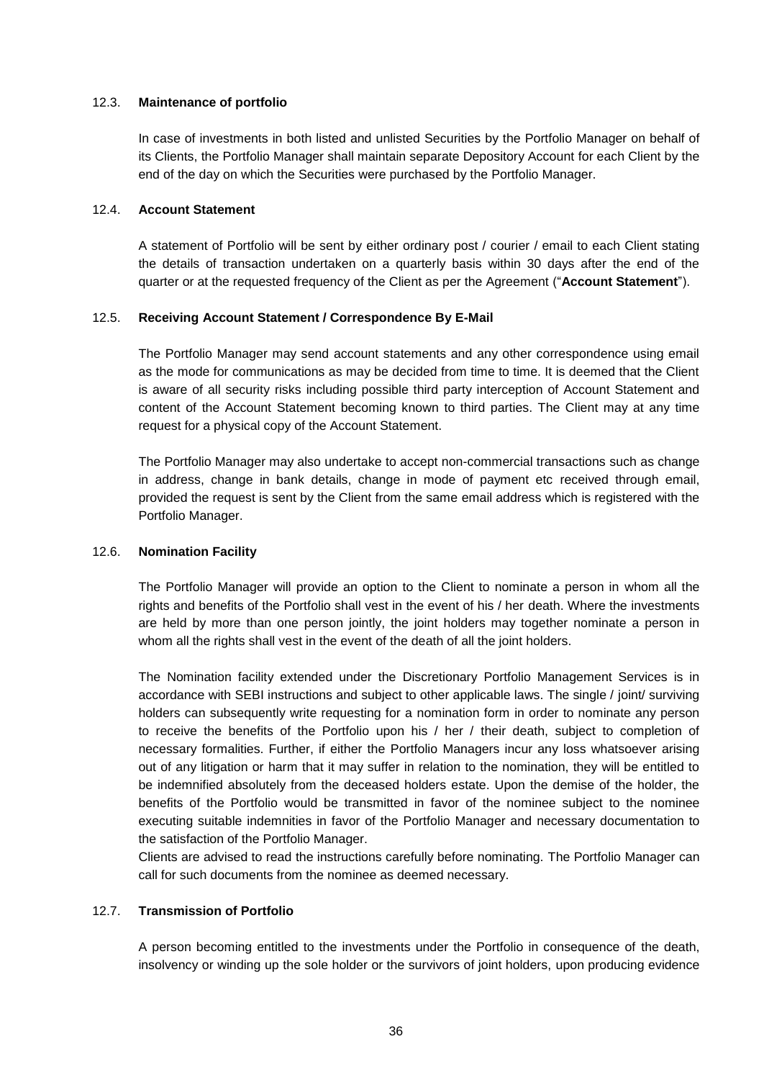### 12.3. **Maintenance of portfolio**

In case of investments in both listed and unlisted Securities by the Portfolio Manager on behalf of its Clients, the Portfolio Manager shall maintain separate Depository Account for each Client by the end of the day on which the Securities were purchased by the Portfolio Manager.

#### 12.4. **Account Statement**

A statement of Portfolio will be sent by either ordinary post / courier / email to each Client stating the details of transaction undertaken on a quarterly basis within 30 days after the end of the quarter or at the requested frequency of the Client as per the Agreement ("**Account Statement**").

#### 12.5. **Receiving Account Statement / Correspondence By E-Mail**

The Portfolio Manager may send account statements and any other correspondence using email as the mode for communications as may be decided from time to time. It is deemed that the Client is aware of all security risks including possible third party interception of Account Statement and content of the Account Statement becoming known to third parties. The Client may at any time request for a physical copy of the Account Statement.

The Portfolio Manager may also undertake to accept non-commercial transactions such as change in address, change in bank details, change in mode of payment etc received through email, provided the request is sent by the Client from the same email address which is registered with the Portfolio Manager.

### 12.6. **Nomination Facility**

The Portfolio Manager will provide an option to the Client to nominate a person in whom all the rights and benefits of the Portfolio shall vest in the event of his / her death. Where the investments are held by more than one person jointly, the joint holders may together nominate a person in whom all the rights shall vest in the event of the death of all the joint holders.

The Nomination facility extended under the Discretionary Portfolio Management Services is in accordance with SEBI instructions and subject to other applicable laws. The single / joint/ surviving holders can subsequently write requesting for a nomination form in order to nominate any person to receive the benefits of the Portfolio upon his / her / their death, subject to completion of necessary formalities. Further, if either the Portfolio Managers incur any loss whatsoever arising out of any litigation or harm that it may suffer in relation to the nomination, they will be entitled to be indemnified absolutely from the deceased holders estate. Upon the demise of the holder, the benefits of the Portfolio would be transmitted in favor of the nominee subject to the nominee executing suitable indemnities in favor of the Portfolio Manager and necessary documentation to the satisfaction of the Portfolio Manager.

Clients are advised to read the instructions carefully before nominating. The Portfolio Manager can call for such documents from the nominee as deemed necessary.

### 12.7. **Transmission of Portfolio**

A person becoming entitled to the investments under the Portfolio in consequence of the death, insolvency or winding up the sole holder or the survivors of joint holders, upon producing evidence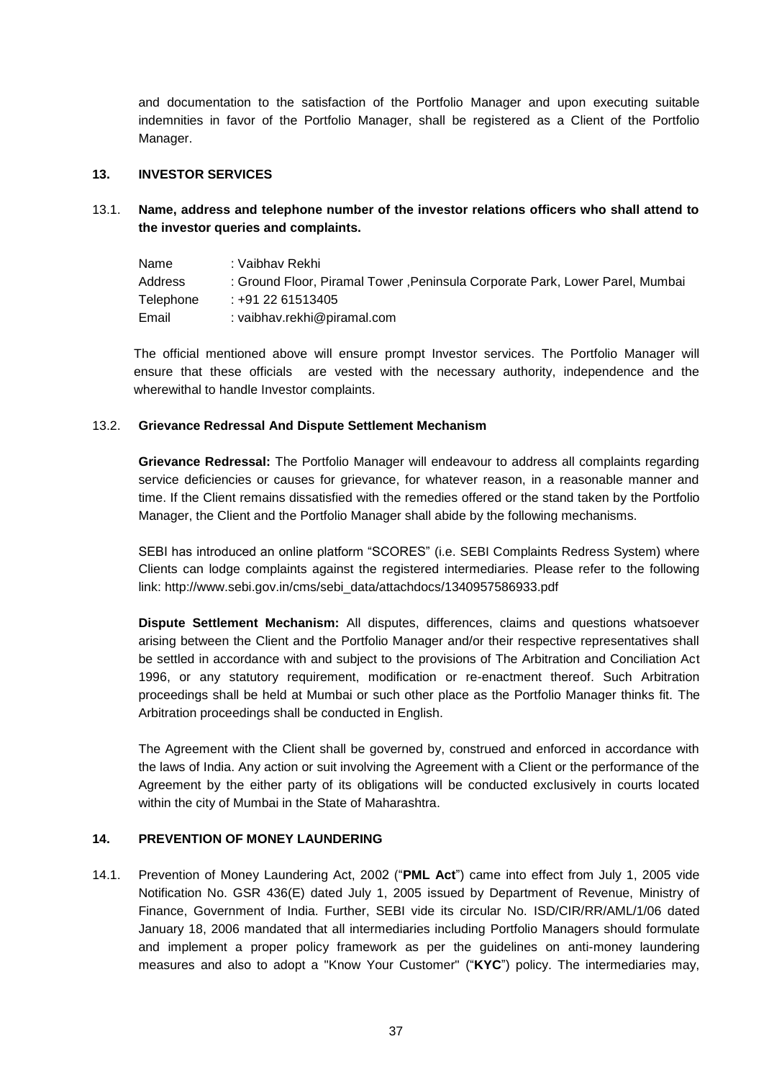and documentation to the satisfaction of the Portfolio Manager and upon executing suitable indemnities in favor of the Portfolio Manager, shall be registered as a Client of the Portfolio Manager.

#### **13. INVESTOR SERVICES**

13.1. **Name, address and telephone number of the investor relations officers who shall attend to the investor queries and complaints.**

| Name      | : Vaibhav Rekhi                                                               |
|-----------|-------------------------------------------------------------------------------|
| Address   | : Ground Floor, Piramal Tower , Peninsula Corporate Park, Lower Parel, Mumbai |
| Telephone | : +91 22 61513405                                                             |
| Email     | : vaibhav.rekhi@piramal.com                                                   |

The official mentioned above will ensure prompt Investor services. The Portfolio Manager will ensure that these officials are vested with the necessary authority, independence and the wherewithal to handle Investor complaints.

#### 13.2. **Grievance Redressal And Dispute Settlement Mechanism**

**Grievance Redressal:** The Portfolio Manager will endeavour to address all complaints regarding service deficiencies or causes for grievance, for whatever reason, in a reasonable manner and time. If the Client remains dissatisfied with the remedies offered or the stand taken by the Portfolio Manager, the Client and the Portfolio Manager shall abide by the following mechanisms.

SEBI has introduced an online platform "SCORES" (i.e. SEBI Complaints Redress System) where Clients can lodge complaints against the registered intermediaries. Please refer to the following link: http://www.sebi.gov.in/cms/sebi\_data/attachdocs/1340957586933.pdf

**Dispute Settlement Mechanism:** All disputes, differences, claims and questions whatsoever arising between the Client and the Portfolio Manager and/or their respective representatives shall be settled in accordance with and subject to the provisions of The Arbitration and Conciliation Act 1996, or any statutory requirement, modification or re-enactment thereof. Such Arbitration proceedings shall be held at Mumbai or such other place as the Portfolio Manager thinks fit. The Arbitration proceedings shall be conducted in English.

The Agreement with the Client shall be governed by, construed and enforced in accordance with the laws of India. Any action or suit involving the Agreement with a Client or the performance of the Agreement by the either party of its obligations will be conducted exclusively in courts located within the city of Mumbai in the State of Maharashtra.

### **14. PREVENTION OF MONEY LAUNDERING**

14.1. Prevention of Money Laundering Act, 2002 ("**PML Act**") came into effect from July 1, 2005 vide Notification No. GSR 436(E) dated July 1, 2005 issued by Department of Revenue, Ministry of Finance, Government of India. Further, SEBI vide its circular No. ISD/CIR/RR/AML/1/06 dated January 18, 2006 mandated that all intermediaries including Portfolio Managers should formulate and implement a proper policy framework as per the guidelines on anti-money laundering measures and also to adopt a "Know Your Customer" ("**KYC**") policy. The intermediaries may,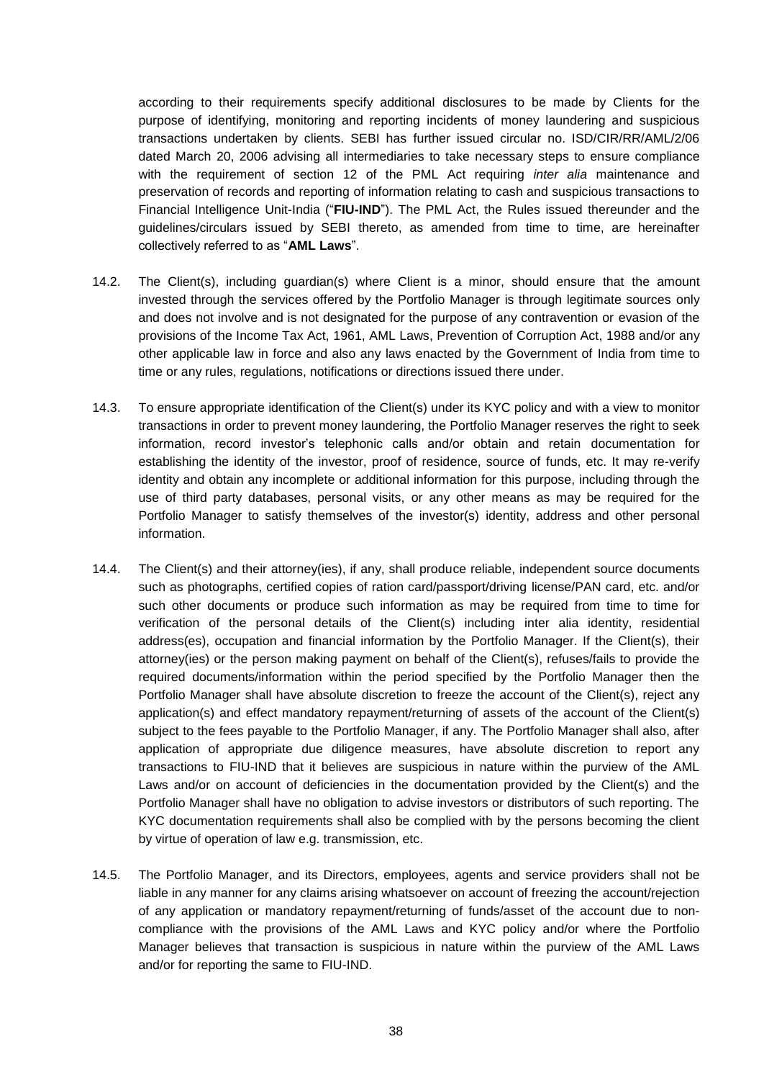according to their requirements specify additional disclosures to be made by Clients for the purpose of identifying, monitoring and reporting incidents of money laundering and suspicious transactions undertaken by clients. SEBI has further issued circular no. ISD/CIR/RR/AML/2/06 dated March 20, 2006 advising all intermediaries to take necessary steps to ensure compliance with the requirement of section 12 of the PML Act requiring *inter alia* maintenance and preservation of records and reporting of information relating to cash and suspicious transactions to Financial Intelligence Unit-India ("**FIU-IND**"). The PML Act, the Rules issued thereunder and the guidelines/circulars issued by SEBI thereto, as amended from time to time, are hereinafter collectively referred to as "**AML Laws**".

- 14.2. The Client(s), including guardian(s) where Client is a minor, should ensure that the amount invested through the services offered by the Portfolio Manager is through legitimate sources only and does not involve and is not designated for the purpose of any contravention or evasion of the provisions of the Income Tax Act, 1961, AML Laws, Prevention of Corruption Act, 1988 and/or any other applicable law in force and also any laws enacted by the Government of India from time to time or any rules, regulations, notifications or directions issued there under.
- 14.3. To ensure appropriate identification of the Client(s) under its KYC policy and with a view to monitor transactions in order to prevent money laundering, the Portfolio Manager reserves the right to seek information, record investor's telephonic calls and/or obtain and retain documentation for establishing the identity of the investor, proof of residence, source of funds, etc. It may re-verify identity and obtain any incomplete or additional information for this purpose, including through the use of third party databases, personal visits, or any other means as may be required for the Portfolio Manager to satisfy themselves of the investor(s) identity, address and other personal information.
- 14.4. The Client(s) and their attorney(ies), if any, shall produce reliable, independent source documents such as photographs, certified copies of ration card/passport/driving license/PAN card, etc. and/or such other documents or produce such information as may be required from time to time for verification of the personal details of the Client(s) including inter alia identity, residential address(es), occupation and financial information by the Portfolio Manager. If the Client(s), their attorney(ies) or the person making payment on behalf of the Client(s), refuses/fails to provide the required documents/information within the period specified by the Portfolio Manager then the Portfolio Manager shall have absolute discretion to freeze the account of the Client(s), reject any application(s) and effect mandatory repayment/returning of assets of the account of the Client(s) subject to the fees payable to the Portfolio Manager, if any. The Portfolio Manager shall also, after application of appropriate due diligence measures, have absolute discretion to report any transactions to FIU-IND that it believes are suspicious in nature within the purview of the AML Laws and/or on account of deficiencies in the documentation provided by the Client(s) and the Portfolio Manager shall have no obligation to advise investors or distributors of such reporting. The KYC documentation requirements shall also be complied with by the persons becoming the client by virtue of operation of law e.g. transmission, etc.
- 14.5. The Portfolio Manager, and its Directors, employees, agents and service providers shall not be liable in any manner for any claims arising whatsoever on account of freezing the account/rejection of any application or mandatory repayment/returning of funds/asset of the account due to noncompliance with the provisions of the AML Laws and KYC policy and/or where the Portfolio Manager believes that transaction is suspicious in nature within the purview of the AML Laws and/or for reporting the same to FIU-IND.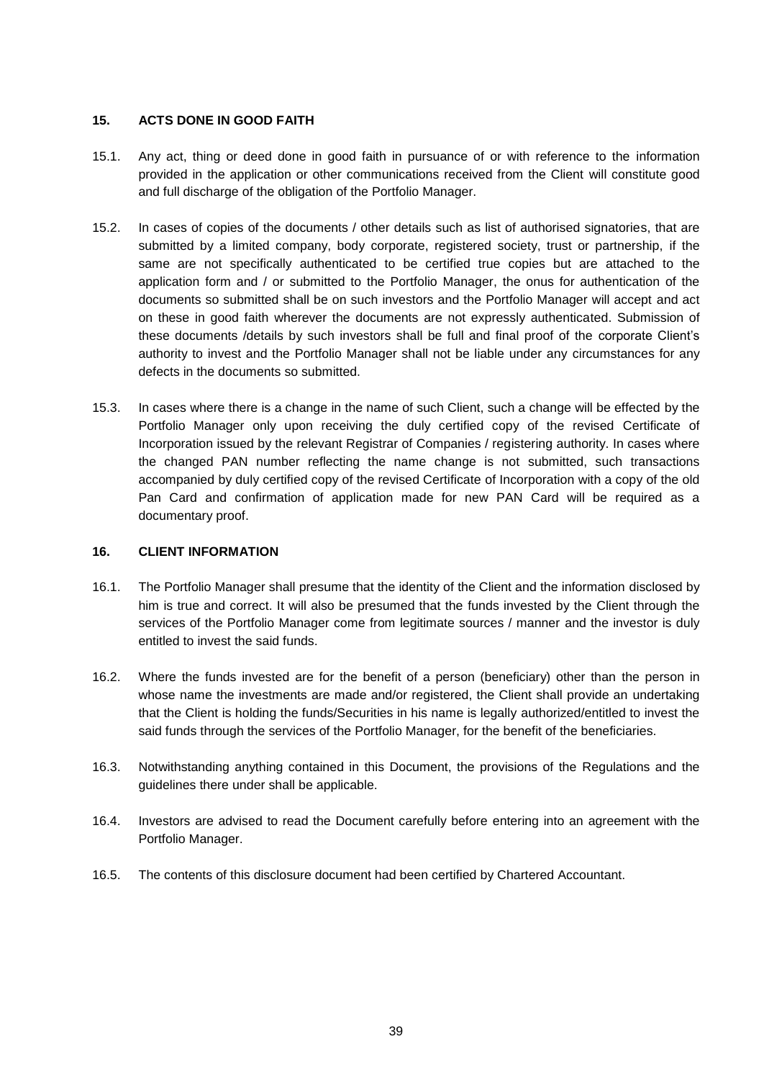### **15. ACTS DONE IN GOOD FAITH**

- 15.1. Any act, thing or deed done in good faith in pursuance of or with reference to the information provided in the application or other communications received from the Client will constitute good and full discharge of the obligation of the Portfolio Manager.
- 15.2. In cases of copies of the documents / other details such as list of authorised signatories, that are submitted by a limited company, body corporate, registered society, trust or partnership, if the same are not specifically authenticated to be certified true copies but are attached to the application form and / or submitted to the Portfolio Manager, the onus for authentication of the documents so submitted shall be on such investors and the Portfolio Manager will accept and act on these in good faith wherever the documents are not expressly authenticated. Submission of these documents /details by such investors shall be full and final proof of the corporate Client's authority to invest and the Portfolio Manager shall not be liable under any circumstances for any defects in the documents so submitted.
- 15.3. In cases where there is a change in the name of such Client, such a change will be effected by the Portfolio Manager only upon receiving the duly certified copy of the revised Certificate of Incorporation issued by the relevant Registrar of Companies / registering authority. In cases where the changed PAN number reflecting the name change is not submitted, such transactions accompanied by duly certified copy of the revised Certificate of Incorporation with a copy of the old Pan Card and confirmation of application made for new PAN Card will be required as a documentary proof.

### **16. CLIENT INFORMATION**

- 16.1. The Portfolio Manager shall presume that the identity of the Client and the information disclosed by him is true and correct. It will also be presumed that the funds invested by the Client through the services of the Portfolio Manager come from legitimate sources / manner and the investor is duly entitled to invest the said funds.
- 16.2. Where the funds invested are for the benefit of a person (beneficiary) other than the person in whose name the investments are made and/or registered, the Client shall provide an undertaking that the Client is holding the funds/Securities in his name is legally authorized/entitled to invest the said funds through the services of the Portfolio Manager, for the benefit of the beneficiaries.
- 16.3. Notwithstanding anything contained in this Document, the provisions of the Regulations and the guidelines there under shall be applicable.
- 16.4. Investors are advised to read the Document carefully before entering into an agreement with the Portfolio Manager.
- 16.5. The contents of this disclosure document had been certified by Chartered Accountant.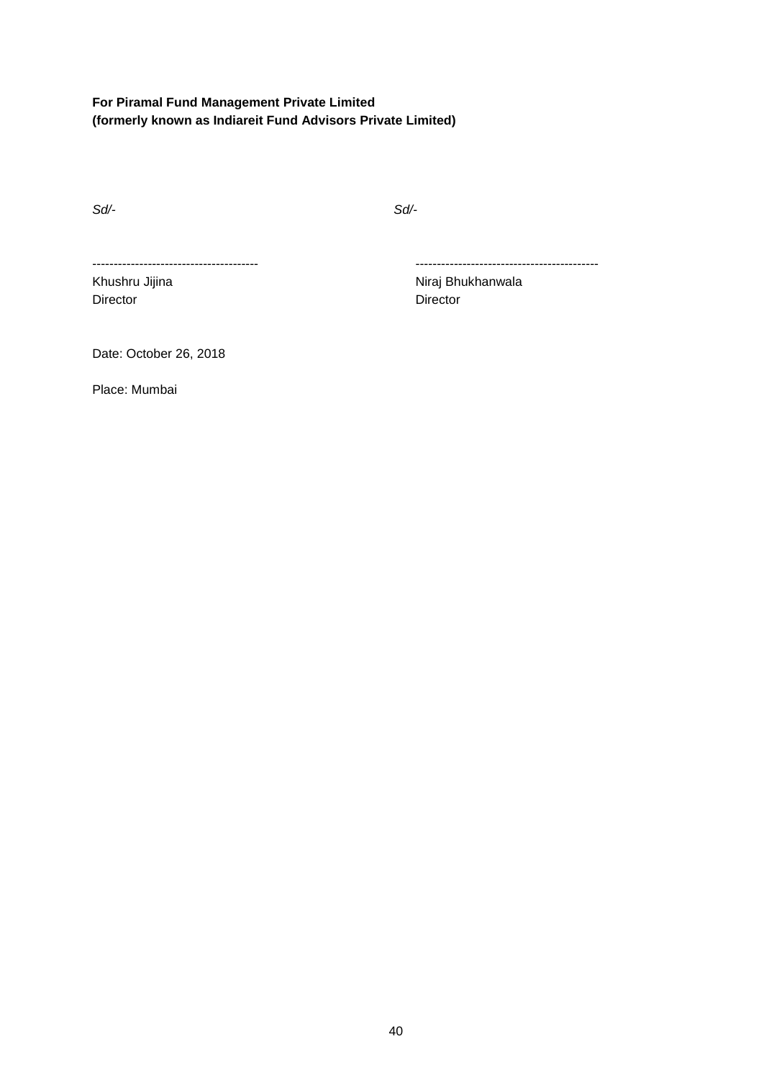# **For Piramal Fund Management Private Limited (formerly known as Indiareit Fund Advisors Private Limited)**

*Sd/- Sd/-* 

Director **Director** Director

--------------------------------------- -------------------------------------------

Khushru Jijina **Niraj Bhukhanwala** 

Date: October 26, 2018

Place: Mumbai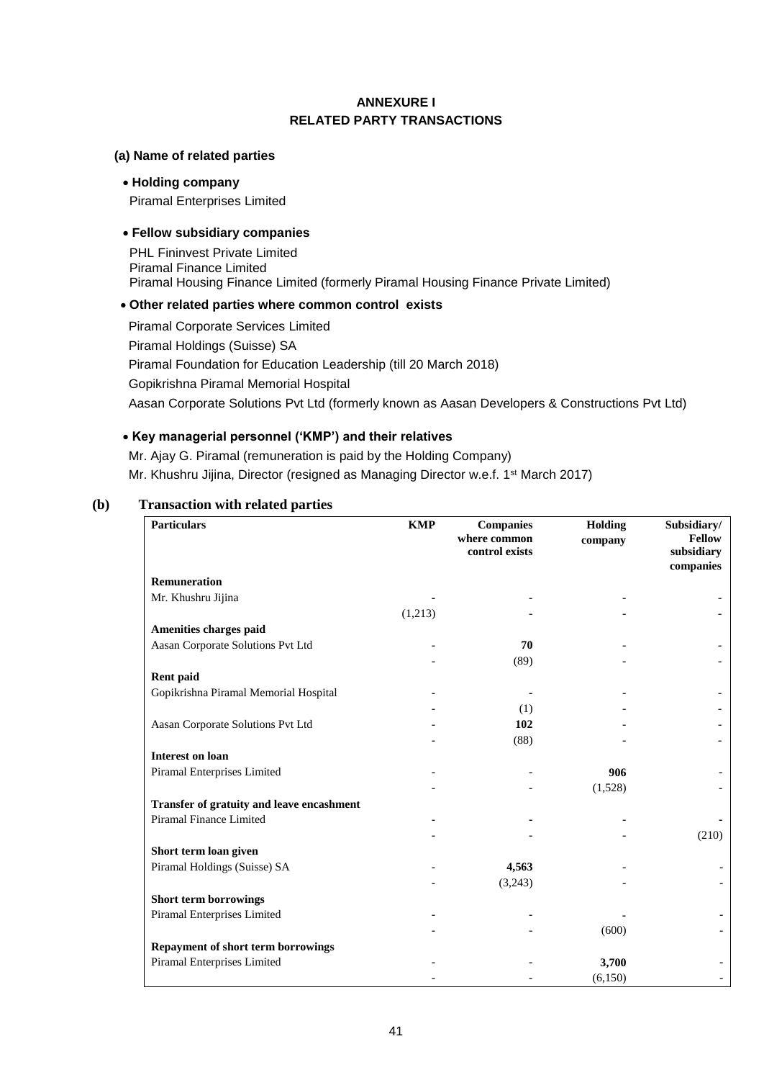## **ANNEXURE I RELATED PARTY TRANSACTIONS**

#### **(a) Name of related parties**

#### **Holding company**

Piramal Enterprises Limited

### **Fellow subsidiary companies**

PHL Fininvest Private Limited Piramal Finance Limited Piramal Housing Finance Limited (formerly Piramal Housing Finance Private Limited)

#### **Other related parties where common control exists**

Piramal Corporate Services Limited Piramal Holdings (Suisse) SA Piramal Foundation for Education Leadership (till 20 March 2018) Gopikrishna Piramal Memorial Hospital Aasan Corporate Solutions Pvt Ltd (formerly known as Aasan Developers & Constructions Pvt Ltd)

### **Key managerial personnel ('KMP') and their relatives**

Mr. Ajay G. Piramal (remuneration is paid by the Holding Company) Mr. Khushru Jijina, Director (resigned as Managing Director w.e.f. 1<sup>st</sup> March 2017)

### **(b) Transaction with related parties**

| <b>Particulars</b>                               | <b>KMP</b> | <b>Companies</b><br>where common<br>control exists | Holding<br>company | Subsidiary/<br><b>Fellow</b><br>subsidiary<br>companies |
|--------------------------------------------------|------------|----------------------------------------------------|--------------------|---------------------------------------------------------|
| Remuneration                                     |            |                                                    |                    |                                                         |
| Mr. Khushru Jijina                               |            |                                                    |                    |                                                         |
|                                                  | (1,213)    |                                                    |                    |                                                         |
| Amenities charges paid                           |            |                                                    |                    |                                                         |
| Aasan Corporate Solutions Pvt Ltd                |            | 70                                                 |                    |                                                         |
|                                                  |            | (89)                                               |                    |                                                         |
| Rent paid                                        |            |                                                    |                    |                                                         |
| Gopikrishna Piramal Memorial Hospital            |            |                                                    |                    |                                                         |
|                                                  |            | (1)                                                |                    |                                                         |
| Aasan Corporate Solutions Pvt Ltd                |            | 102                                                |                    |                                                         |
|                                                  |            | (88)                                               |                    |                                                         |
| <b>Interest on loan</b>                          |            |                                                    |                    |                                                         |
| Piramal Enterprises Limited                      |            |                                                    | 906                |                                                         |
|                                                  |            |                                                    | (1,528)            |                                                         |
| <b>Transfer of gratuity and leave encashment</b> |            |                                                    |                    |                                                         |
| Piramal Finance Limited                          |            |                                                    |                    |                                                         |
|                                                  |            |                                                    |                    | (210)                                                   |
| Short term loan given                            |            |                                                    |                    |                                                         |
| Piramal Holdings (Suisse) SA                     |            | 4,563                                              |                    |                                                         |
|                                                  |            | (3,243)                                            |                    |                                                         |
| <b>Short term borrowings</b>                     |            |                                                    |                    |                                                         |
| Piramal Enterprises Limited                      |            |                                                    |                    |                                                         |
|                                                  |            |                                                    | (600)              |                                                         |
| <b>Repayment of short term borrowings</b>        |            |                                                    |                    |                                                         |
| Piramal Enterprises Limited                      |            |                                                    | 3,700              |                                                         |
|                                                  |            |                                                    | (6,150)            |                                                         |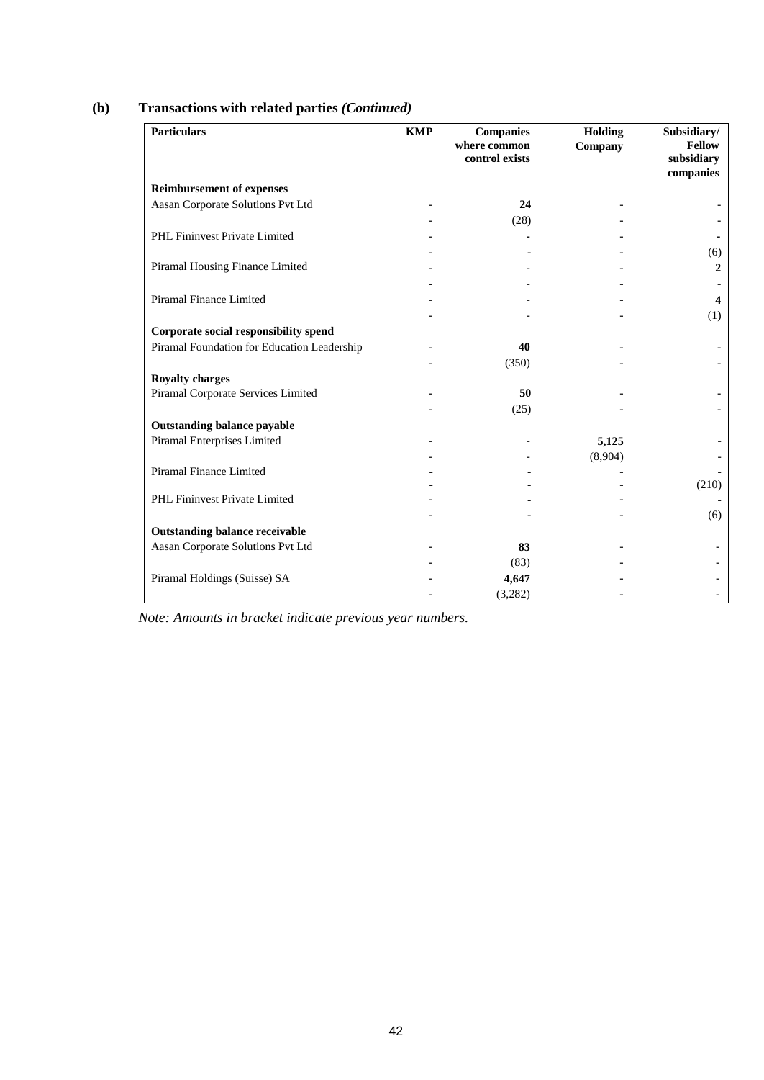| <b>Particulars</b>                          | <b>KMP</b> | <b>Companies</b><br>where common<br>control exists | Holding<br>Company | Subsidiary/<br><b>Fellow</b><br>subsidiary<br>companies |
|---------------------------------------------|------------|----------------------------------------------------|--------------------|---------------------------------------------------------|
| <b>Reimbursement of expenses</b>            |            |                                                    |                    |                                                         |
| Aasan Corporate Solutions Pvt Ltd           |            | 24                                                 |                    |                                                         |
|                                             |            | (28)                                               |                    |                                                         |
| PHL Fininvest Private Limited               |            |                                                    |                    |                                                         |
|                                             |            |                                                    |                    | (6)                                                     |
| Piramal Housing Finance Limited             |            |                                                    |                    | $\overline{2}$                                          |
|                                             |            |                                                    |                    |                                                         |
| Piramal Finance Limited                     |            |                                                    |                    | $\overline{4}$                                          |
|                                             |            |                                                    |                    | (1)                                                     |
| Corporate social responsibility spend       |            |                                                    |                    |                                                         |
| Piramal Foundation for Education Leadership |            | 40                                                 |                    |                                                         |
|                                             |            | (350)                                              |                    |                                                         |
| <b>Royalty charges</b>                      |            |                                                    |                    |                                                         |
| Piramal Corporate Services Limited          |            | 50                                                 |                    |                                                         |
|                                             |            | (25)                                               |                    |                                                         |
| <b>Outstanding balance payable</b>          |            |                                                    |                    |                                                         |
| Piramal Enterprises Limited                 |            |                                                    | 5,125              |                                                         |
|                                             |            |                                                    | (8,904)            |                                                         |
| Piramal Finance Limited                     |            |                                                    |                    |                                                         |
|                                             |            |                                                    |                    | (210)                                                   |
| PHL Fininvest Private Limited               |            |                                                    |                    |                                                         |
|                                             |            |                                                    |                    | (6)                                                     |
| <b>Outstanding balance receivable</b>       |            |                                                    |                    |                                                         |
| Aasan Corporate Solutions Pvt Ltd           |            | 83                                                 |                    |                                                         |
|                                             |            | (83)                                               |                    |                                                         |
| Piramal Holdings (Suisse) SA                |            | 4,647                                              |                    |                                                         |
|                                             |            | (3,282)                                            |                    |                                                         |

# **(b) Transactions with related parties** *(Continued)*

*Note: Amounts in bracket indicate previous year numbers.*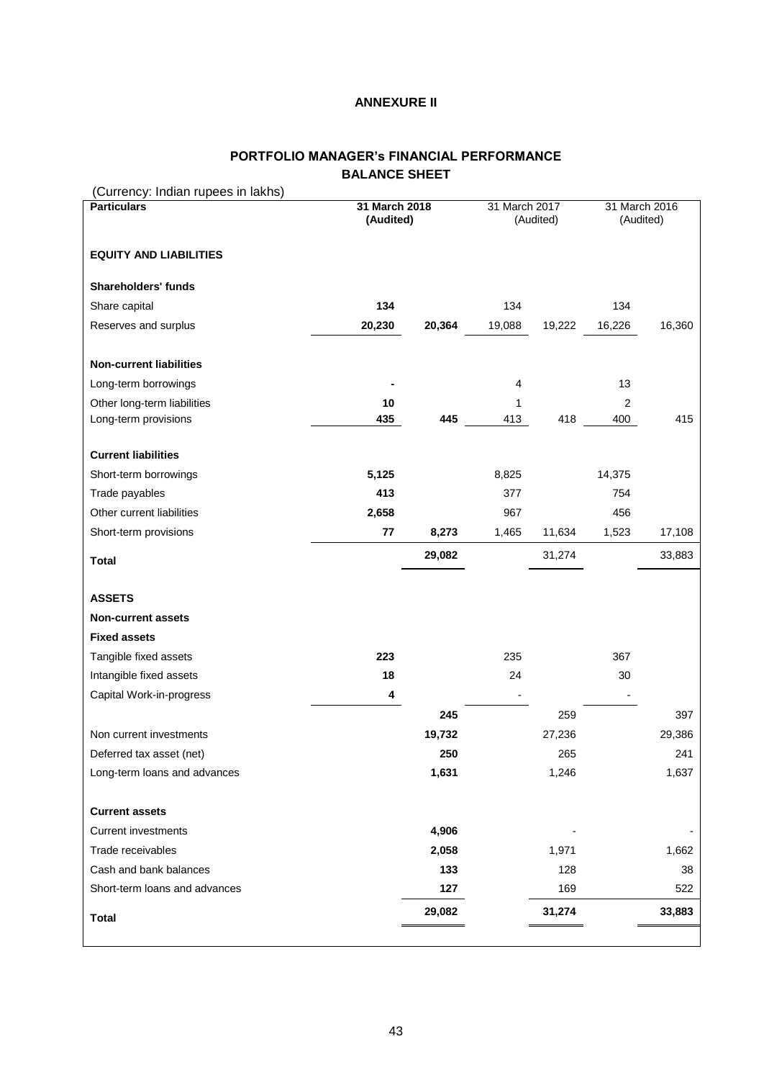### **ANNEXURE II**

# **PORTFOLIO MANAGER's FINANCIAL PERFORMANCE BALANCE SHEET**

| (Currency: Indian rupees in lakhs)                  |                            |        |                            |        |                            |        |
|-----------------------------------------------------|----------------------------|--------|----------------------------|--------|----------------------------|--------|
| <b>Particulars</b>                                  | 31 March 2018<br>(Audited) |        | 31 March 2017<br>(Audited) |        | 31 March 2016<br>(Audited) |        |
|                                                     |                            |        |                            |        |                            |        |
| <b>EQUITY AND LIABILITIES</b>                       |                            |        |                            |        |                            |        |
| <b>Shareholders' funds</b>                          |                            |        |                            |        |                            |        |
| Share capital                                       | 134                        |        | 134                        |        | 134                        |        |
| Reserves and surplus                                | 20,230                     | 20,364 | 19,088                     | 19,222 | 16,226                     | 16,360 |
| <b>Non-current liabilities</b>                      |                            |        |                            |        |                            |        |
|                                                     |                            |        |                            |        |                            |        |
| Long-term borrowings                                |                            |        | 4                          |        | 13                         |        |
| Other long-term liabilities<br>Long-term provisions | 10<br>435                  | 445    | 1<br>413                   | 418    | $\overline{2}$<br>400      | 415    |
|                                                     |                            |        |                            |        |                            |        |
| <b>Current liabilities</b>                          |                            |        |                            |        |                            |        |
| Short-term borrowings                               | 5,125                      |        | 8,825                      |        | 14,375                     |        |
| Trade payables                                      | 413                        |        | 377                        |        | 754                        |        |
| Other current liabilities                           | 2,658                      |        | 967                        |        | 456                        |        |
| Short-term provisions                               | 77                         | 8,273  | 1,465                      | 11,634 | 1,523                      | 17,108 |
| <b>Total</b>                                        |                            | 29,082 |                            | 31,274 |                            | 33,883 |
| <b>ASSETS</b>                                       |                            |        |                            |        |                            |        |
| <b>Non-current assets</b>                           |                            |        |                            |        |                            |        |
| <b>Fixed assets</b>                                 |                            |        |                            |        |                            |        |
| Tangible fixed assets                               | 223                        |        | 235                        |        | 367                        |        |
| Intangible fixed assets                             | 18                         |        | 24                         |        | 30                         |        |
| Capital Work-in-progress                            | 4                          |        |                            |        |                            |        |
|                                                     |                            | 245    |                            | 259    |                            | 397    |
| Non current investments                             |                            | 19,732 |                            | 27,236 |                            | 29,386 |
| Deferred tax asset (net)                            |                            | 250    |                            | 265    |                            | 241    |
| Long-term loans and advances                        |                            | 1,631  |                            | 1,246  |                            | 1,637  |
| <b>Current assets</b>                               |                            |        |                            |        |                            |        |
| <b>Current investments</b>                          |                            | 4,906  |                            |        |                            |        |
| Trade receivables                                   |                            | 2,058  |                            | 1,971  |                            | 1,662  |
| Cash and bank balances                              |                            | 133    |                            | 128    |                            | 38     |
| Short-term loans and advances                       |                            | 127    |                            | 169    |                            | 522    |
| <b>Total</b>                                        |                            | 29,082 |                            | 31,274 |                            | 33,883 |
|                                                     |                            |        |                            |        |                            |        |